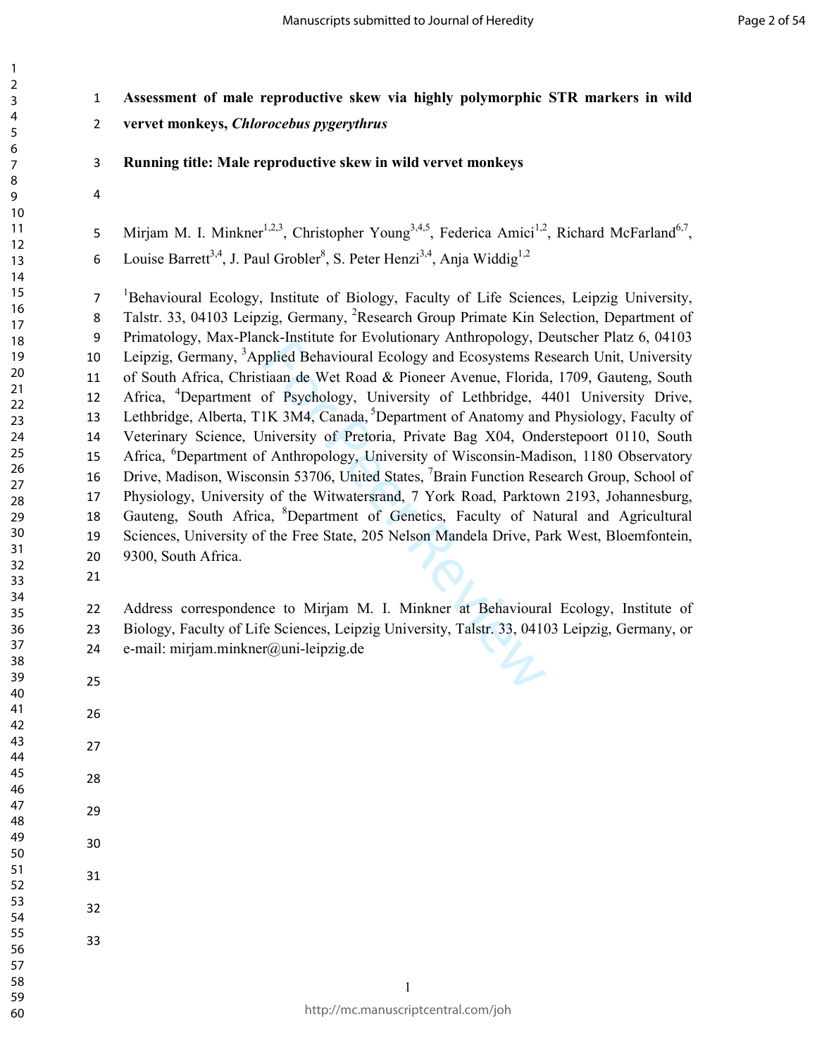**Assessment of male reproductive skew via highly polymorphic STR markers in wild** 

- **vervet monkeys,** *Chlorocebus pygerythrus*
- **Running title: Male reproductive skew in wild vervet monkeys**
- 

5 Mirjam M. I. Minkner<sup>1,2,3</sup>, Christopher Young<sup>3,4,5</sup>, Federica Amici<sup>1,2</sup>, Richard McFarland<sup>6,7</sup>, 6 Louise Barrett<sup>3,4</sup>, J. Paul Grobler<sup>8</sup>, S. Peter Henzi<sup>3,4</sup>, Anja Widdig<sup>1,2</sup>

rex-instructed between Exchanging Antiopology, Boylied Behavioural Ecology and Ecosystems Revision of Psychology, University of Lethbridge, 4<br>1K 3M4, Canada, <sup>5</sup>Department of Anatomy and Inversity of Pretoria, Private Bag <sup>1</sup> Behavioural Ecology, Institute of Biology, Faculty of Life Sciences, Leipzig University, 8 Talstr. 33, 04103 Leipzig, Germany, <sup>2</sup>Research Group Primate Kin Selection, Department of Primatology, Max-Planck-Institute for Evolutionary Anthropology, Deutscher Platz 6, 04103 10 Leipzig, Germany, <sup>3</sup>Applied Behavioural Ecology and Ecosystems Research Unit, University of South Africa, Christiaan de Wet Road & Pioneer Avenue, Florida, 1709, Gauteng, South 12 Africa, <sup>4</sup>Department of Psychology, University of Lethbridge, 4401 University Drive, 13 Lethbridge, Alberta, T1K 3M4, Canada, <sup>5</sup>Department of Anatomy and Physiology, Faculty of Veterinary Science, University of Pretoria, Private Bag X04, Onderstepoort 0110, South 15 Africa, <sup>6</sup>Department of Anthropology, University of Wisconsin-Madison, 1180 Observatory 16 Drive, Madison, Wisconsin 53706, United States, <sup>7</sup>Brain Function Research Group, School of Physiology, University of the Witwatersrand, 7 York Road, Parktown 2193, Johannesburg, 18 Gauteng, South Africa, <sup>8</sup>Department of Genetics, Faculty of Natural and Agricultural Sciences, University of the Free State, 205 Nelson Mandela Drive, Park West, Bloemfontein, 9300, South Africa.

Address correspondence to Mirjam M. I. Minkner at Behavioural Ecology, Institute of Biology, Faculty of Life Sciences, Leipzig University, Talstr. 33, 04103 Leipzig, Germany, or e-mail: mirjam.minkner@uni-leipzig.de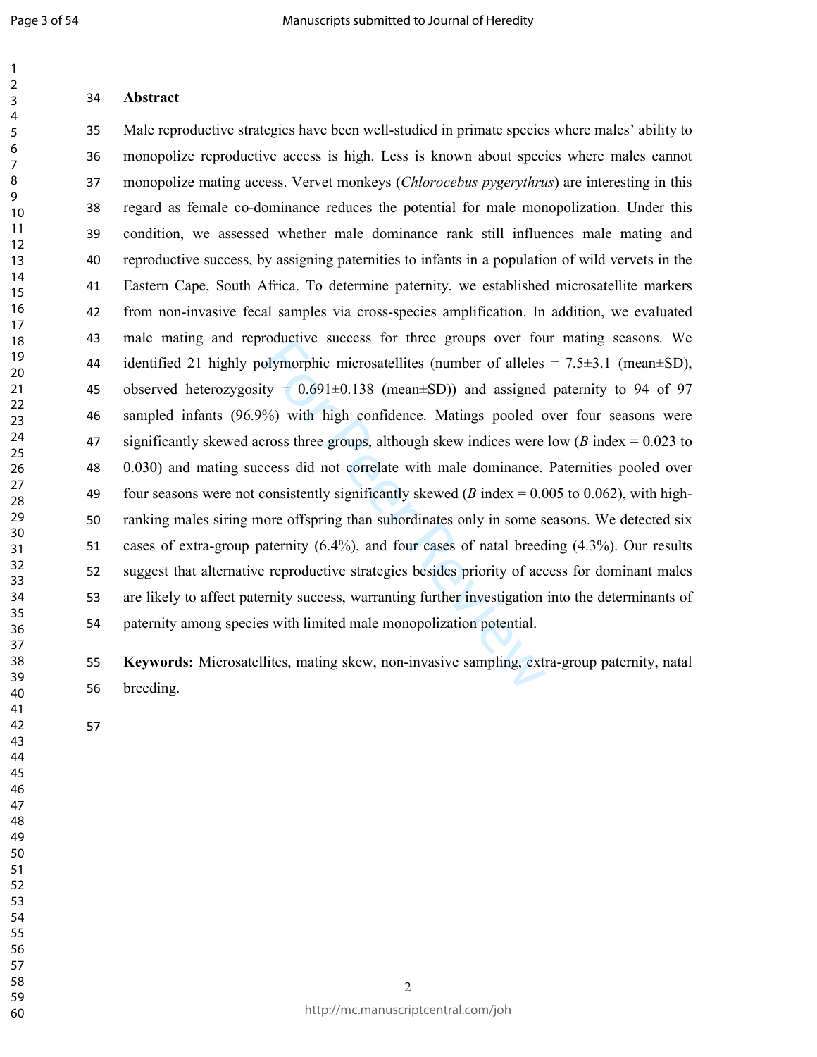# **Abstract**

olymorphic microsatellites (number of alleles<br>ty =  $0.691\pm0.138$  (mean $\pm$ SD)) and assigned<br>%) with high confidence. Matings pooled of<br>cross three groups, although skew indices were<br>ccess did not correlate with male domi Male reproductive strategies have been well-studied in primate species where males' ability to monopolize reproductive access is high. Less is known about species where males cannot monopolize mating access. Vervet monkeys (*Chlorocebus pygerythrus*) are interesting in this regard as female co-dominance reduces the potential for male monopolization. Under this condition, we assessed whether male dominance rank still influences male mating and reproductive success, by assigning paternities to infants in a population of wild vervets in the Eastern Cape, South Africa. To determine paternity, we established microsatellite markers from non-invasive fecal samples via cross-species amplification. In addition, we evaluated male mating and reproductive success for three groups over four mating seasons. We 44 identified 21 highly polymorphic microsatellites (number of alleles  $= 7.5 \pm 3.1$  (mean $\pm$ SD), 45 observed heterozygosity =  $0.691 \pm 0.138$  (mean $\pm$ SD)) and assigned paternity to 94 of 97 sampled infants (96.9%) with high confidence. Matings pooled over four seasons were significantly skewed across three groups, although skew indices were low (*B* index = 0.023 to 0.030) and mating success did not correlate with male dominance. Paternities pooled over 49 four seasons were not consistently significantly skewed ( $B$  index = 0.005 to 0.062), with high-ranking males siring more offspring than subordinates only in some seasons. We detected six cases of extra-group paternity (6.4%), and four cases of natal breeding (4.3%). Our results suggest that alternative reproductive strategies besides priority of access for dominant males are likely to affect paternity success, warranting further investigation into the determinants of paternity among species with limited male monopolization potential.

**Keywords:** Microsatellites, mating skew, non-invasive sampling, extra-group paternity, natal breeding.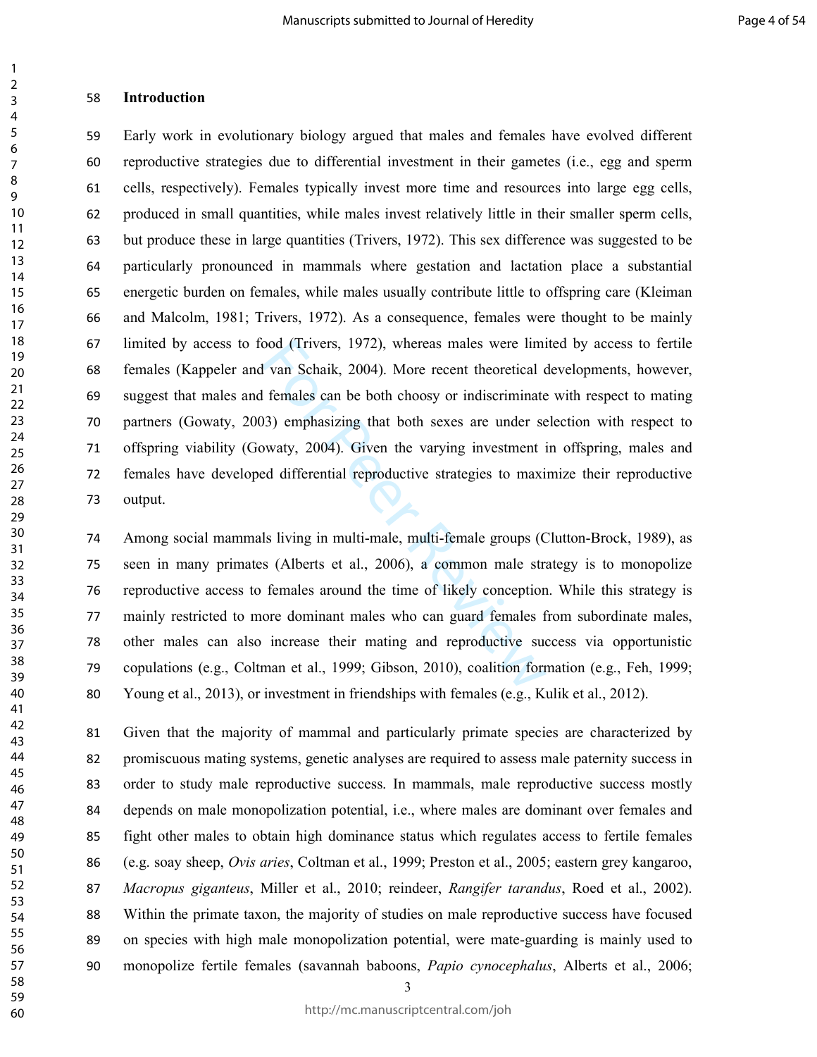food (Trivers, 1972), whereas males were limited van Schaik, 2004). More recent theoretical of females can be both choosy or indiscriminate 103) emphasizing that both sexes are under sextly, 2004). Given the varying inves Early work in evolutionary biology argued that males and females have evolved different reproductive strategies due to differential investment in their gametes (i.e., egg and sperm cells, respectively). Females typically invest more time and resources into large egg cells, produced in small quantities, while males invest relatively little in their smaller sperm cells, but produce these in large quantities (Trivers, 1972). This sex difference was suggested to be particularly pronounced in mammals where gestation and lactation place a substantial energetic burden on females, while males usually contribute little to offspring care (Kleiman and Malcolm, 1981; Trivers, 1972). As a consequence, females were thought to be mainly limited by access to food (Trivers, 1972), whereas males were limited by access to fertile females (Kappeler and van Schaik, 2004). More recent theoretical developments, however, suggest that males and females can be both choosy or indiscriminate with respect to mating partners (Gowaty, 2003) emphasizing that both sexes are under selection with respect to offspring viability (Gowaty, 2004). Given the varying investment in offspring, males and females have developed differential reproductive strategies to maximize their reproductive output.

Among social mammals living in multi-male, multi-female groups (Clutton-Brock, 1989), as seen in many primates (Alberts et al., 2006), a common male strategy is to monopolize reproductive access to females around the time of likely conception. While this strategy is mainly restricted to more dominant males who can guard females from subordinate males, other males can also increase their mating and reproductive success via opportunistic copulations (e.g., Coltman et al., 1999; Gibson, 2010), coalition formation (e.g., Feh, 1999; Young et al., 2013), or investment in friendships with females (e.g., Kulik et al., 2012).

Given that the majority of mammal and particularly primate species are characterized by promiscuous mating systems, genetic analyses are required to assess male paternity success in order to study male reproductive success. In mammals, male reproductive success mostly depends on male monopolization potential, i.e., where males are dominant over females and fight other males to obtain high dominance status which regulates access to fertile females (e.g. soay sheep, *Ovis aries*, Coltman et al., 1999; Preston et al., 2005; eastern grey kangaroo, *Macropus giganteus*, Miller et al., 2010; reindeer, *Rangifer tarandus*, Roed et al., 2002). Within the primate taxon, the majority of studies on male reproductive success have focused on species with high male monopolization potential, were mate-guarding is mainly used to monopolize fertile females (savannah baboons, *Papio cynocephalus*, Alberts et al., 2006;

http://mc.manuscriptcentral.com/joh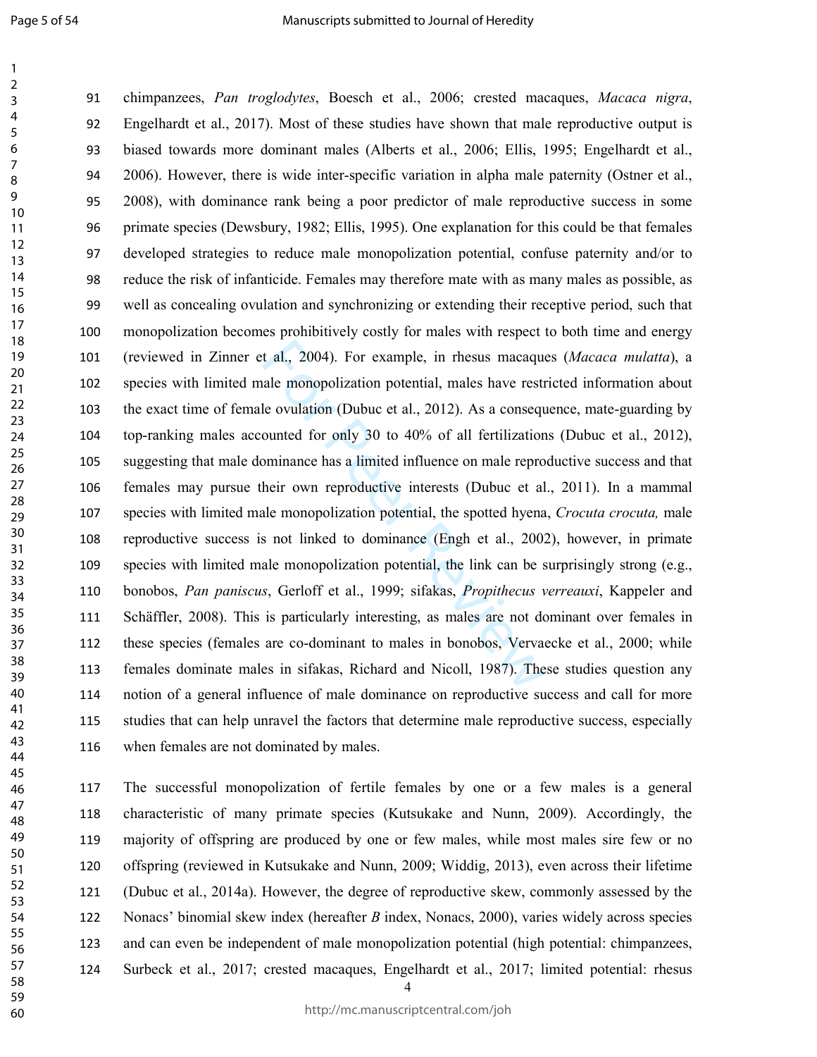$\mathbf{1}$ 

t al., 2004). For example, in rhesus macaque<br>ale monopolization potential, males have restrie ovulation (Dubuc et al., 2012). As a conseque<br>ounted for only 30 to 40% of all fertilization<br>ominance has a limited influence o chimpanzees, *Pan troglodytes*, Boesch et al., 2006; crested macaques, *Macaca nigra*, Engelhardt et al., 2017). Most of these studies have shown that male reproductive output is biased towards more dominant males (Alberts et al., 2006; Ellis, 1995; Engelhardt et al., 2006). However, there is wide inter-specific variation in alpha male paternity (Ostner et al., 2008), with dominance rank being a poor predictor of male reproductive success in some primate species (Dewsbury, 1982; Ellis, 1995). One explanation for this could be that females developed strategies to reduce male monopolization potential, confuse paternity and/or to reduce the risk of infanticide. Females may therefore mate with as many males as possible, as well as concealing ovulation and synchronizing or extending their receptive period, such that monopolization becomes prohibitively costly for males with respect to both time and energy (reviewed in Zinner et al., 2004). For example, in rhesus macaques (*Macaca mulatta*), a species with limited male monopolization potential, males have restricted information about the exact time of female ovulation (Dubuc et al., 2012). As a consequence, mate-guarding by top-ranking males accounted for only 30 to 40% of all fertilizations (Dubuc et al., 2012), suggesting that male dominance has a limited influence on male reproductive success and that females may pursue their own reproductive interests (Dubuc et al., 2011). In a mammal species with limited male monopolization potential, the spotted hyena, *Crocuta crocuta,* male reproductive success is not linked to dominance (Engh et al., 2002), however, in primate species with limited male monopolization potential, the link can be surprisingly strong (e.g., bonobos, *Pan paniscus*, Gerloff et al., 1999; sifakas, *Propithecus verreauxi*, Kappeler and Schäffler, 2008). This is particularly interesting, as males are not dominant over females in these species (females are co-dominant to males in bonobos, Vervaecke et al., 2000; while females dominate males in sifakas, Richard and Nicoll, 1987). These studies question any notion of a general influence of male dominance on reproductive success and call for more studies that can help unravel the factors that determine male reproductive success, especially when females are not dominated by males.

The successful monopolization of fertile females by one or a few males is a general characteristic of many primate species (Kutsukake and Nunn, 2009). Accordingly, the majority of offspring are produced by one or few males, while most males sire few or no offspring (reviewed in Kutsukake and Nunn, 2009; Widdig, 2013), even across their lifetime (Dubuc et al., 2014a). However, the degree of reproductive skew, commonly assessed by the 122 Nonacs' binomial skew index (hereafter *B* index, Nonacs, 2000), varies widely across species and can even be independent of male monopolization potential (high potential: chimpanzees, Surbeck et al., 2017; crested macaques, Engelhardt et al., 2017; limited potential: rhesus

http://mc.manuscriptcentral.com/joh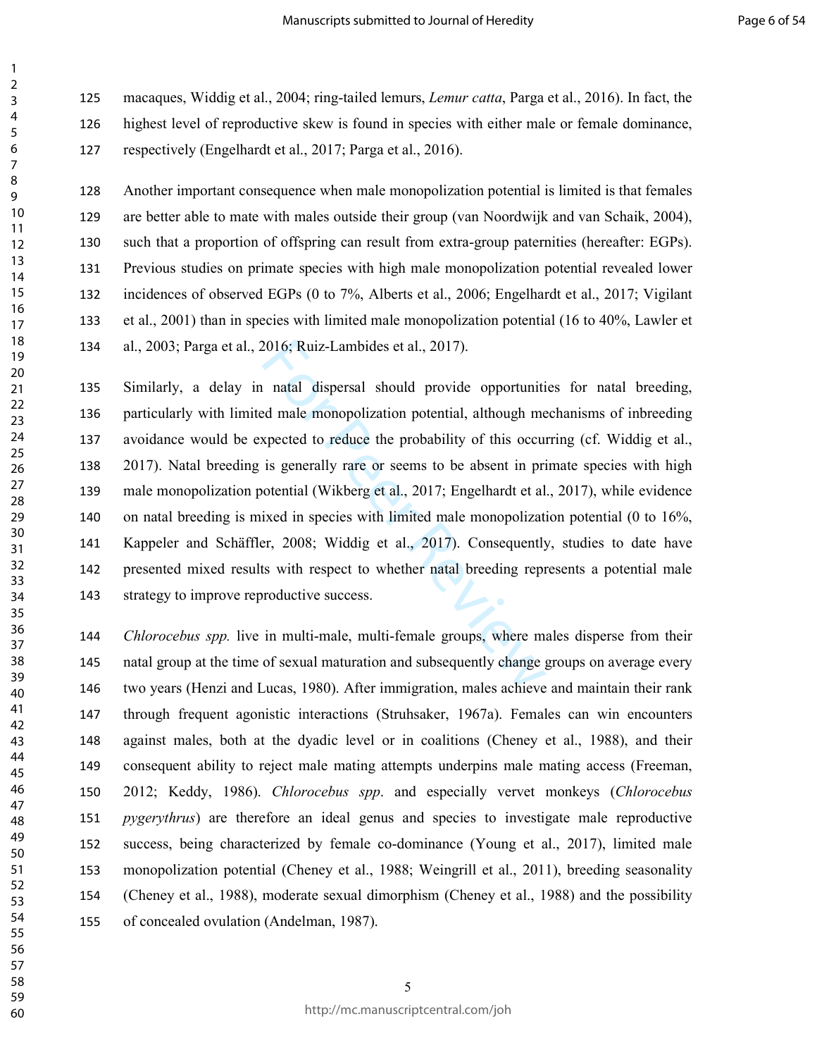macaques, Widdig et al., 2004; ring-tailed lemurs, *Lemur catta*, Parga et al., 2016). In fact, the highest level of reproductive skew is found in species with either male or female dominance, respectively (Engelhardt et al., 2017; Parga et al., 2016).

Another important consequence when male monopolization potential is limited is that females are better able to mate with males outside their group (van Noordwijk and van Schaik, 2004), such that a proportion of offspring can result from extra-group paternities (hereafter: EGPs). Previous studies on primate species with high male monopolization potential revealed lower incidences of observed EGPs (0 to 7%, Alberts et al., 2006; Engelhardt et al., 2017; Vigilant et al., 2001) than in species with limited male monopolization potential (16 to 40%, Lawler et al., 2003; Parga et al., 2016; Ruiz-Lambides et al., 2017).

2016; Ruiz-Lambides et al., 2017).<br>
1 natal dispersal should provide opportuniti<br>
2 natal dispersal should provide opportuniti<br>
2 mate monopolization potential, although me<br>
1 spected to reduce the probability of this occ Similarly, a delay in natal dispersal should provide opportunities for natal breeding, particularly with limited male monopolization potential, although mechanisms of inbreeding avoidance would be expected to reduce the probability of this occurring (cf. Widdig et al., 2017). Natal breeding is generally rare or seems to be absent in primate species with high male monopolization potential (Wikberg et al., 2017; Engelhardt et al., 2017), while evidence on natal breeding is mixed in species with limited male monopolization potential (0 to 16%, Kappeler and Schäffler, 2008; Widdig et al., 2017). Consequently, studies to date have presented mixed results with respect to whether natal breeding represents a potential male strategy to improve reproductive success.

*Chlorocebus spp.* live in multi-male, multi-female groups, where males disperse from their natal group at the time of sexual maturation and subsequently change groups on average every two years (Henzi and Lucas, 1980). After immigration, males achieve and maintain their rank through frequent agonistic interactions (Struhsaker, 1967a). Females can win encounters against males, both at the dyadic level or in coalitions (Cheney et al., 1988), and their consequent ability to reject male mating attempts underpins male mating access (Freeman, 2012; Keddy, 1986). *Chlorocebus spp*. and especially vervet monkeys (*Chlorocebus pygerythrus*) are therefore an ideal genus and species to investigate male reproductive success, being characterized by female co-dominance (Young et al., 2017), limited male monopolization potential (Cheney et al., 1988; Weingrill et al., 2011), breeding seasonality (Cheney et al., 1988), moderate sexual dimorphism (Cheney et al., 1988) and the possibility of concealed ovulation (Andelman, 1987).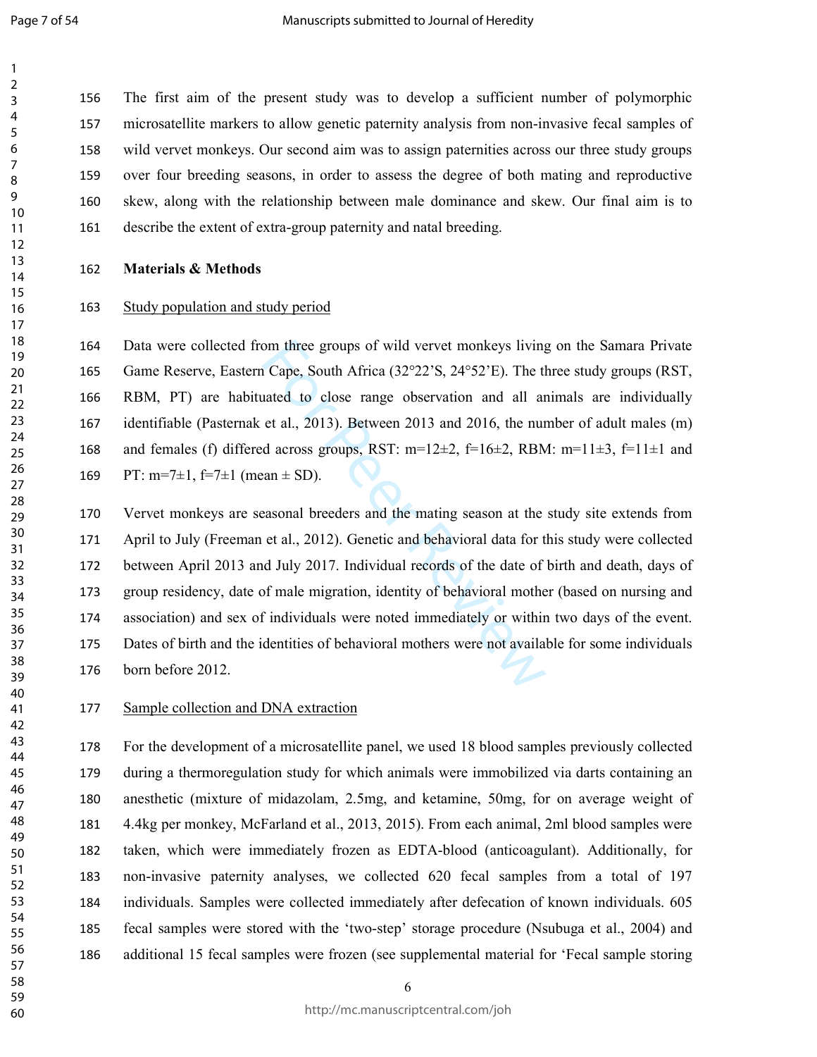The first aim of the present study was to develop a sufficient number of polymorphic microsatellite markers to allow genetic paternity analysis from non-invasive fecal samples of wild vervet monkeys. Our second aim was to assign paternities across our three study groups over four breeding seasons, in order to assess the degree of both mating and reproductive skew, along with the relationship between male dominance and skew. Our final aim is to describe the extent of extra-group paternity and natal breeding.

## **Materials & Methods**

# Study population and study period

Data were collected from three groups of wild vervet monkeys living on the Samara Private Game Reserve, Eastern Cape, South Africa (32°22'S, 24°52'E). The three study groups (RST, RBM, PT) are habituated to close range observation and all animals are individually identifiable (Pasternak et al., 2013). Between 2013 and 2016, the number of adult males (m) 168 and females (f) differed across groups, RST:  $m=12\pm 2$ ,  $f=16\pm 2$ , RBM:  $m=11\pm 3$ ,  $f=11\pm 1$  and 169 PT: m=7 $\pm 1$ , f=7 $\pm 1$  (mean  $\pm$  SD).

om three groups of wild vervet monkeys living<br>
1 Cape, South Africa (32°22'S, 24°52'E). The tl<br>
1 ated to close range observation and all ar<br>
et al., 2013). Between 2013 and 2016, the nur<br>
d across groups, RST: m=12±2, f= Vervet monkeys are seasonal breeders and the mating season at the study site extends from April to July (Freeman et al., 2012). Genetic and behavioral data for this study were collected between April 2013 and July 2017. Individual records of the date of birth and death, days of group residency, date of male migration, identity of behavioral mother (based on nursing and association) and sex of individuals were noted immediately or within two days of the event. Dates of birth and the identities of behavioral mothers were not available for some individuals born before 2012.

#### Sample collection and DNA extraction

For the development of a microsatellite panel, we used 18 blood samples previously collected during a thermoregulation study for which animals were immobilized via darts containing an anesthetic (mixture of midazolam, 2.5mg, and ketamine, 50mg, for on average weight of 4.4kg per monkey, McFarland et al., 2013, 2015). From each animal, 2ml blood samples were taken, which were immediately frozen as EDTA-blood (anticoagulant). Additionally, for non-invasive paternity analyses, we collected 620 fecal samples from a total of 197 individuals. Samples were collected immediately after defecation of known individuals. 605 fecal samples were stored with the 'two-step' storage procedure (Nsubuga et al., 2004) and additional 15 fecal samples were frozen (see supplemental material for 'Fecal sample storing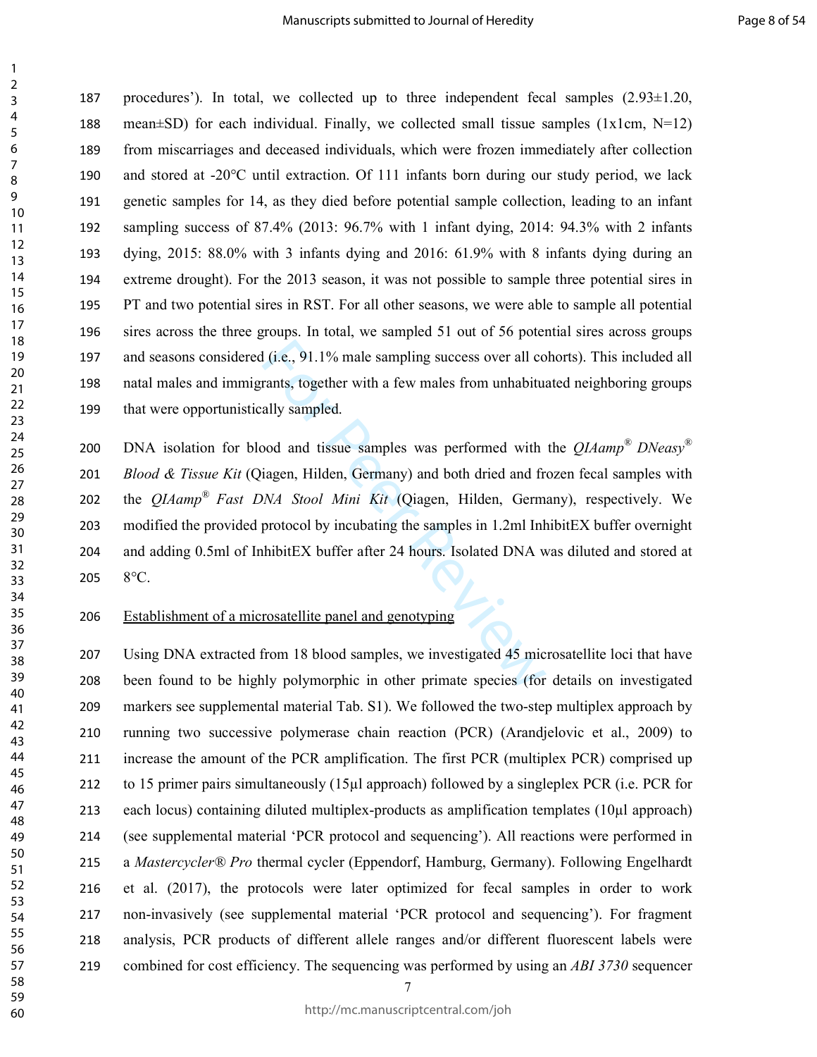procedures'). In total, we collected up to three independent fecal samples (2.93±1.20, 188 mean $\pm$ SD) for each individual. Finally, we collected small tissue samples (1x1cm, N=12) from miscarriages and deceased individuals, which were frozen immediately after collection and stored at -20°C until extraction. Of 111 infants born during our study period, we lack genetic samples for 14, as they died before potential sample collection, leading to an infant sampling success of 87.4% (2013: 96.7% with 1 infant dying, 2014: 94.3% with 2 infants dying, 2015: 88.0% with 3 infants dying and 2016: 61.9% with 8 infants dying during an extreme drought). For the 2013 season, it was not possible to sample three potential sires in PT and two potential sires in RST. For all other seasons, we were able to sample all potential sires across the three groups. In total, we sampled 51 out of 56 potential sires across groups and seasons considered (i.e., 91.1% male sampling success over all cohorts). This included all natal males and immigrants, together with a few males from unhabituated neighboring groups that were opportunistically sampled.

I (i.e., 91.1% male sampling success over all co<br>rants, together with a few males from unhabitually sampled.<br>bod and tissue samples was performed with<br>iagen, Hilden, Germany) and both dried and from<br>NA *Stool Mini Kit* (Qi 200 DNA isolation for blood and tissue samples was performed with the *OLAamp<sup>®</sup> DNeasy*<sup>®</sup> *Blood & Tissue Kit* (Qiagen, Hilden, Germany) and both dried and frozen fecal samples with the *QIAamp® Fast DNA Stool Mini Kit* (Qiagen, Hilden, Germany), respectively. We modified the provided protocol by incubating the samples in 1.2ml InhibitEX buffer overnight and adding 0.5ml of InhibitEX buffer after 24 hours. Isolated DNA was diluted and stored at 8°C.

## Establishment of a microsatellite panel and genotyping

Using DNA extracted from 18 blood samples, we investigated 45 microsatellite loci that have been found to be highly polymorphic in other primate species (for details on investigated markers see supplemental material Tab. S1). We followed the two-step multiplex approach by running two successive polymerase chain reaction (PCR) (Arandjelovic et al., 2009) to increase the amount of the PCR amplification. The first PCR (multiplex PCR) comprised up to 15 primer pairs simultaneously (15µl approach) followed by a singleplex PCR (i.e. PCR for each locus) containing diluted multiplex-products as amplification templates (10µl approach) (see supplemental material 'PCR protocol and sequencing'). All reactions were performed in a *Mastercycler® Pro* thermal cycler (Eppendorf, Hamburg, Germany). Following Engelhardt et al. (2017), the protocols were later optimized for fecal samples in order to work non-invasively (see supplemental material 'PCR protocol and sequencing'). For fragment analysis, PCR products of different allele ranges and/or different fluorescent labels were combined for cost efficiency. The sequencing was performed by using an *ABI 3730* sequencer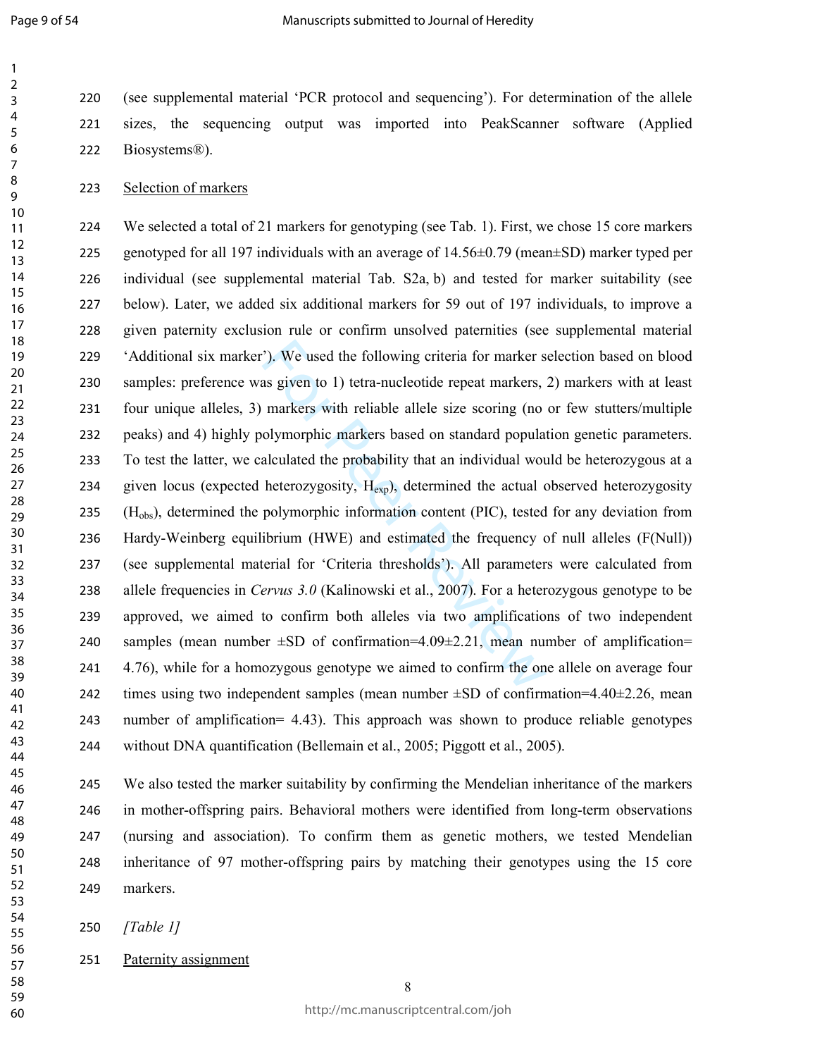#### Selection of markers

<sup>2</sup>). We used the following criteria for marker s<br>as given to 1) tetra-nucleotide repeat markers,<br>markers with reliable allele size scoring (no<br>olymorphic markers based on standard popular<br>alculated the probability that a We selected a total of 21 markers for genotyping (see Tab. 1). First, we chose 15 core markers genotyped for all 197 individuals with an average of 14.56±0.79 (mean±SD) marker typed per individual (see supplemental material Tab. S2a, b) and tested for marker suitability (see below). Later, we added six additional markers for 59 out of 197 individuals, to improve a given paternity exclusion rule or confirm unsolved paternities (see supplemental material 'Additional six marker'). We used the following criteria for marker selection based on blood samples: preference was given to 1) tetra-nucleotide repeat markers, 2) markers with at least four unique alleles, 3) markers with reliable allele size scoring (no or few stutters/multiple peaks) and 4) highly polymorphic markers based on standard population genetic parameters. To test the latter, we calculated the probability that an individual would be heterozygous at a 234 given locus (expected heterozygosity,  $H_{\text{exp}}$ ), determined the actual observed heterozygosity 235 (H<sub>obs</sub>), determined the polymorphic information content (PIC), tested for any deviation from Hardy-Weinberg equilibrium (HWE) and estimated the frequency of null alleles (F(Null)) (see supplemental material for 'Criteria thresholds'). All parameters were calculated from allele frequencies in *Cervus 3.0* (Kalinowski et al., 2007). For a heterozygous genotype to be approved, we aimed to confirm both alleles via two amplifications of two independent 240 samples (mean number  $\pm SD$  of confirmation=4.09 $\pm 2.21$ , mean number of amplification= 4.76), while for a homozygous genotype we aimed to confirm the one allele on average four 242 times using two independent samples (mean number  $\pm SD$  of confirmation=4.40 $\pm$ 2.26, mean number of amplification= 4.43). This approach was shown to produce reliable genotypes without DNA quantification (Bellemain et al., 2005; Piggott et al., 2005).

We also tested the marker suitability by confirming the Mendelian inheritance of the markers in mother-offspring pairs. Behavioral mothers were identified from long-term observations (nursing and association). To confirm them as genetic mothers, we tested Mendelian inheritance of 97 mother-offspring pairs by matching their genotypes using the 15 core markers.

- *[Table 1]*
- 251 Paternity assignment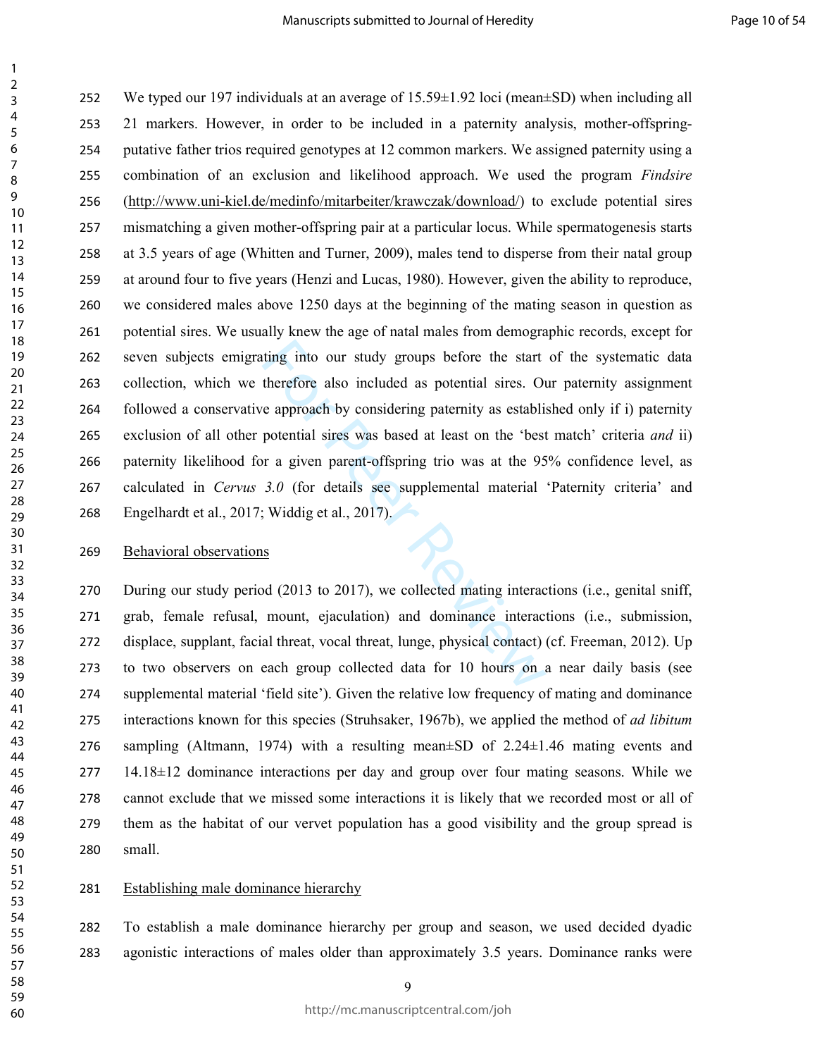ting into our study groups before the start<br>therefore also included as potential sires. On<br>re approach by considering paternity as establis<br>potential sires was based at least on the 'best<br>or a given parent-offspring trio We typed our 197 individuals at an average of 15.59±1.92 loci (mean±SD) when including all 21 markers. However, in order to be included in a paternity analysis, mother-offspring-putative father trios required genotypes at 12 common markers. We assigned paternity using a combination of an exclusion and likelihood approach. We used the program *Findsire*  (http://www.uni-kiel.de/medinfo/mitarbeiter/krawczak/download/) to exclude potential sires mismatching a given mother-offspring pair at a particular locus. While spermatogenesis starts at 3.5 years of age (Whitten and Turner, 2009), males tend to disperse from their natal group at around four to five years (Henzi and Lucas, 1980). However, given the ability to reproduce, we considered males above 1250 days at the beginning of the mating season in question as potential sires. We usually knew the age of natal males from demographic records, except for seven subjects emigrating into our study groups before the start of the systematic data collection, which we therefore also included as potential sires. Our paternity assignment followed a conservative approach by considering paternity as established only if i) paternity exclusion of all other potential sires was based at least on the 'best match' criteria *and* ii) paternity likelihood for a given parent-offspring trio was at the 95% confidence level, as calculated in *Cervus 3.0* (for details see supplemental material 'Paternity criteria' and Engelhardt et al., 2017; Widdig et al., 2017).

# Behavioral observations

During our study period (2013 to 2017), we collected mating interactions (i.e., genital sniff, grab, female refusal, mount, ejaculation) and dominance interactions (i.e., submission, displace, supplant, facial threat, vocal threat, lunge, physical contact) (cf. Freeman, 2012). Up to two observers on each group collected data for 10 hours on a near daily basis (see supplemental material 'field site'). Given the relative low frequency of mating and dominance interactions known for this species (Struhsaker, 1967b), we applied the method of *ad libitum* sampling (Altmann, 1974) with a resulting mean±SD of 2.24±1.46 mating events and 14.18±12 dominance interactions per day and group over four mating seasons. While we cannot exclude that we missed some interactions it is likely that we recorded most or all of them as the habitat of our vervet population has a good visibility and the group spread is small.

# Establishing male dominance hierarchy

To establish a male dominance hierarchy per group and season, we used decided dyadic agonistic interactions of males older than approximately 3.5 years. Dominance ranks were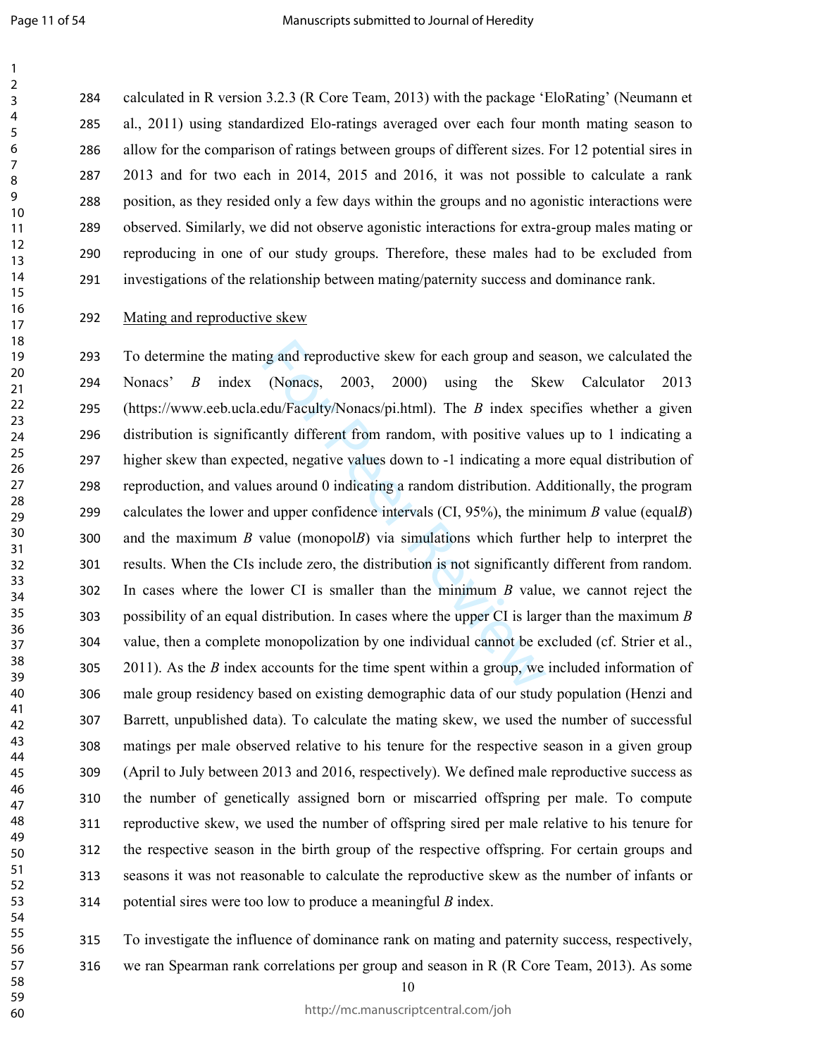calculated in R version 3.2.3 (R Core Team, 2013) with the package 'EloRating' (Neumann et al., 2011) using standardized Elo-ratings averaged over each four month mating season to allow for the comparison of ratings between groups of different sizes. For 12 potential sires in 2013 and for two each in 2014, 2015 and 2016, it was not possible to calculate a rank position, as they resided only a few days within the groups and no agonistic interactions were observed. Similarly, we did not observe agonistic interactions for extra-group males mating or reproducing in one of our study groups. Therefore, these males had to be excluded from investigations of the relationship between mating/paternity success and dominance rank.

## Mating and reproductive skew

and reproductive skew for each group and se<br>
(Nonacs, 2003, 2000) using the Sk<br>
edu/Faculty/Nonacs/pi.html). The *B* index spe<br>
antly different from random, with positive value<br>
ted, negative values down to -1 indicating To determine the mating and reproductive skew for each group and season, we calculated the Nonacs' *B* index (Nonacs, 2003, 2000) using the Skew Calculator 2013 (https://www.eeb.ucla.edu/Faculty/Nonacs/pi.html). The *B* index specifies whether a given distribution is significantly different from random, with positive values up to 1 indicating a higher skew than expected, negative values down to -1 indicating a more equal distribution of reproduction, and values around 0 indicating a random distribution. Additionally, the program calculates the lower and upper confidence intervals (CI, 95%), the minimum *B* value (equal*B*) and the maximum *B* value (monopol*B*) via simulations which further help to interpret the results. When the CIs include zero, the distribution is not significantly different from random. In cases where the lower CI is smaller than the minimum *B* value, we cannot reject the possibility of an equal distribution. In cases where the upper CI is larger than the maximum *B* value, then a complete monopolization by one individual cannot be excluded (cf. Strier et al., 2011). As the *B* index accounts for the time spent within a group, we included information of male group residency based on existing demographic data of our study population (Henzi and Barrett, unpublished data). To calculate the mating skew, we used the number of successful matings per male observed relative to his tenure for the respective season in a given group (April to July between 2013 and 2016, respectively). We defined male reproductive success as the number of genetically assigned born or miscarried offspring per male. To compute reproductive skew, we used the number of offspring sired per male relative to his tenure for the respective season in the birth group of the respective offspring. For certain groups and seasons it was not reasonable to calculate the reproductive skew as the number of infants or potential sires were too low to produce a meaningful *B* index.

To investigate the influence of dominance rank on mating and paternity success, respectively, we ran Spearman rank correlations per group and season in R (R Core Team, 2013). As some

http://mc.manuscriptcentral.com/joh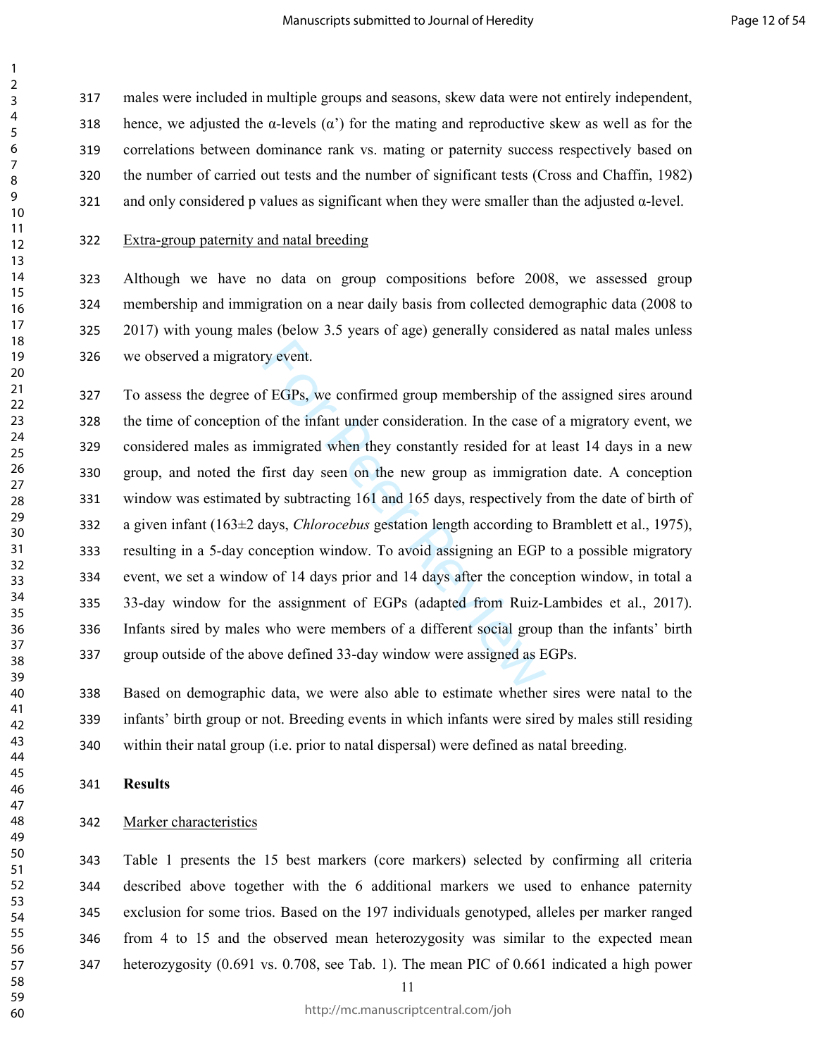males were included in multiple groups and seasons, skew data were not entirely independent, 318 hence, we adjusted the  $\alpha$ -levels  $(\alpha')$  for the mating and reproductive skew as well as for the correlations between dominance rank vs. mating or paternity success respectively based on the number of carried out tests and the number of significant tests (Cross and Chaffin, 1982) 321 and only considered p values as significant when they were smaller than the adjusted  $\alpha$ -level.

# Extra-group paternity and natal breeding

Although we have no data on group compositions before 2008, we assessed group membership and immigration on a near daily basis from collected demographic data (2008 to 2017) with young males (below 3.5 years of age) generally considered as natal males unless we observed a migratory event.

ry event.<br>
f EGPs, we confirmed group membership of the<br>
of the infant under consideration. In the case conmigrated when they constantly resided for at<br>
first day seen on the new group as immigrat<br>
by subtracting 161 and 1 To assess the degree of EGPs, we confirmed group membership of the assigned sires around the time of conception of the infant under consideration. In the case of a migratory event, we considered males as immigrated when they constantly resided for at least 14 days in a new group, and noted the first day seen on the new group as immigration date. A conception window was estimated by subtracting 161 and 165 days, respectively from the date of birth of a given infant (163±2 days, *Chlorocebus* gestation length according to Bramblett et al., 1975), resulting in a 5-day conception window. To avoid assigning an EGP to a possible migratory event, we set a window of 14 days prior and 14 days after the conception window, in total a 33-day window for the assignment of EGPs (adapted from Ruiz-Lambides et al., 2017). Infants sired by males who were members of a different social group than the infants' birth group outside of the above defined 33-day window were assigned as EGPs.

Based on demographic data, we were also able to estimate whether sires were natal to the infants' birth group or not. Breeding events in which infants were sired by males still residing within their natal group (i.e. prior to natal dispersal) were defined as natal breeding.

**Results** 

# Marker characteristics

Table 1 presents the 15 best markers (core markers) selected by confirming all criteria described above together with the 6 additional markers we used to enhance paternity exclusion for some trios. Based on the 197 individuals genotyped, alleles per marker ranged from 4 to 15 and the observed mean heterozygosity was similar to the expected mean heterozygosity (0.691 vs. 0.708, see Tab. 1). The mean PIC of 0.661 indicated a high power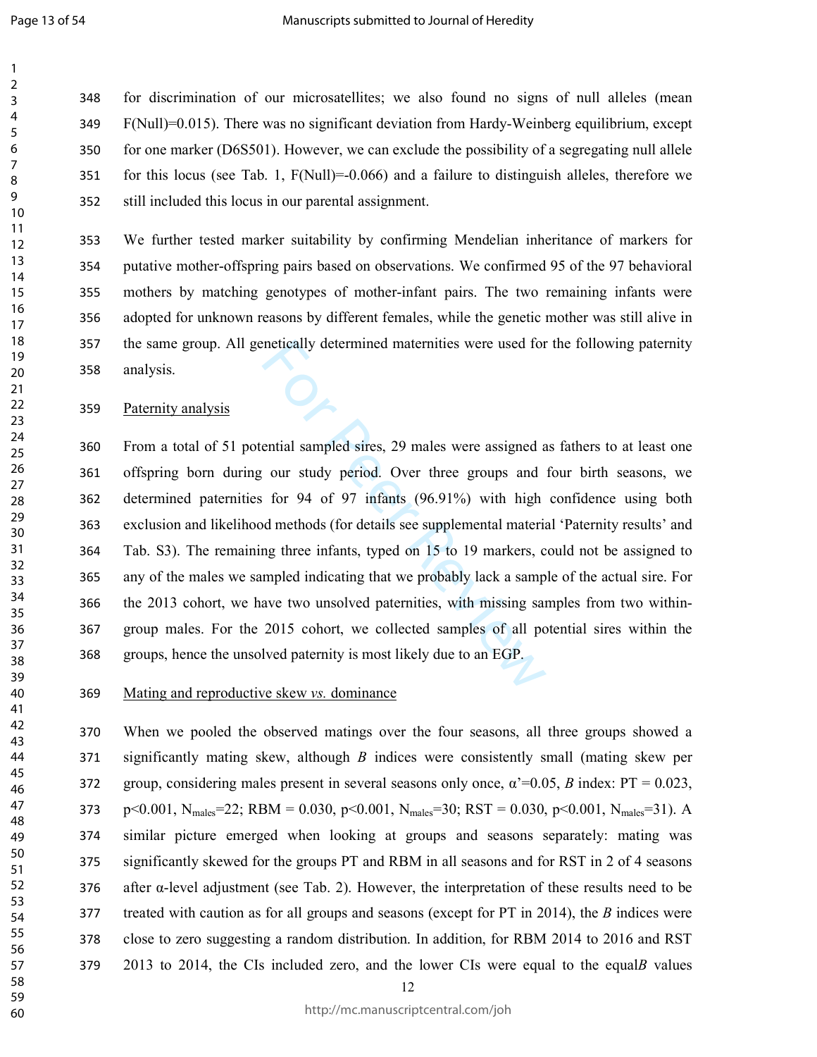$\overline{2}$ 

for discrimination of our microsatellites; we also found no signs of null alleles (mean F(Null)=0.015). There was no significant deviation from Hardy-Weinberg equilibrium, except for one marker (D6S501). However, we can exclude the possibility of a segregating null allele for this locus (see Tab. 1, F(Null)=-0.066) and a failure to distinguish alleles, therefore we still included this locus in our parental assignment.

We further tested marker suitability by confirming Mendelian inheritance of markers for putative mother-offspring pairs based on observations. We confirmed 95 of the 97 behavioral mothers by matching genotypes of mother-infant pairs. The two remaining infants were adopted for unknown reasons by different females, while the genetic mother was still alive in the same group. All genetically determined maternities were used for the following paternity analysis.

#### Paternity analysis

entially determined maternities were used for<br>ential sampled sires, 29 males were assigned a<br>our study period. Over three groups and<br>for 94 of 97 infants (96.91%) with high<br>d methods (for details see supplemental materia<br>n From a total of 51 potential sampled sires, 29 males were assigned as fathers to at least one offspring born during our study period. Over three groups and four birth seasons, we determined paternities for 94 of 97 infants (96.91%) with high confidence using both exclusion and likelihood methods (for details see supplemental material 'Paternity results' and Tab. S3). The remaining three infants, typed on 15 to 19 markers, could not be assigned to any of the males we sampled indicating that we probably lack a sample of the actual sire. For the 2013 cohort, we have two unsolved paternities, with missing samples from two within-group males. For the 2015 cohort, we collected samples of all potential sires within the groups, hence the unsolved paternity is most likely due to an EGP.

# Mating and reproductive skew *vs.* dominance

When we pooled the observed matings over the four seasons, all three groups showed a significantly mating skew, although *B* indices were consistently small (mating skew per 372 group, considering males present in several seasons only once,  $\alpha' = 0.05$ , *B* index:  $PT = 0.023$ , 373 p<0.001, N<sub>males</sub>=22; RBM = 0.030, p<0.001, N<sub>males</sub>=30; RST = 0.030, p<0.001, N<sub>males</sub>=31). A similar picture emerged when looking at groups and seasons separately: mating was significantly skewed for the groups PT and RBM in all seasons and for RST in 2 of 4 seasons after α-level adjustment (see Tab. 2). However, the interpretation of these results need to be treated with caution as for all groups and seasons (except for PT in 2014), the *B* indices were close to zero suggesting a random distribution. In addition, for RBM 2014 to 2016 and RST 2013 to 2014, the CIs included zero, and the lower CIs were equal to the equal*B* values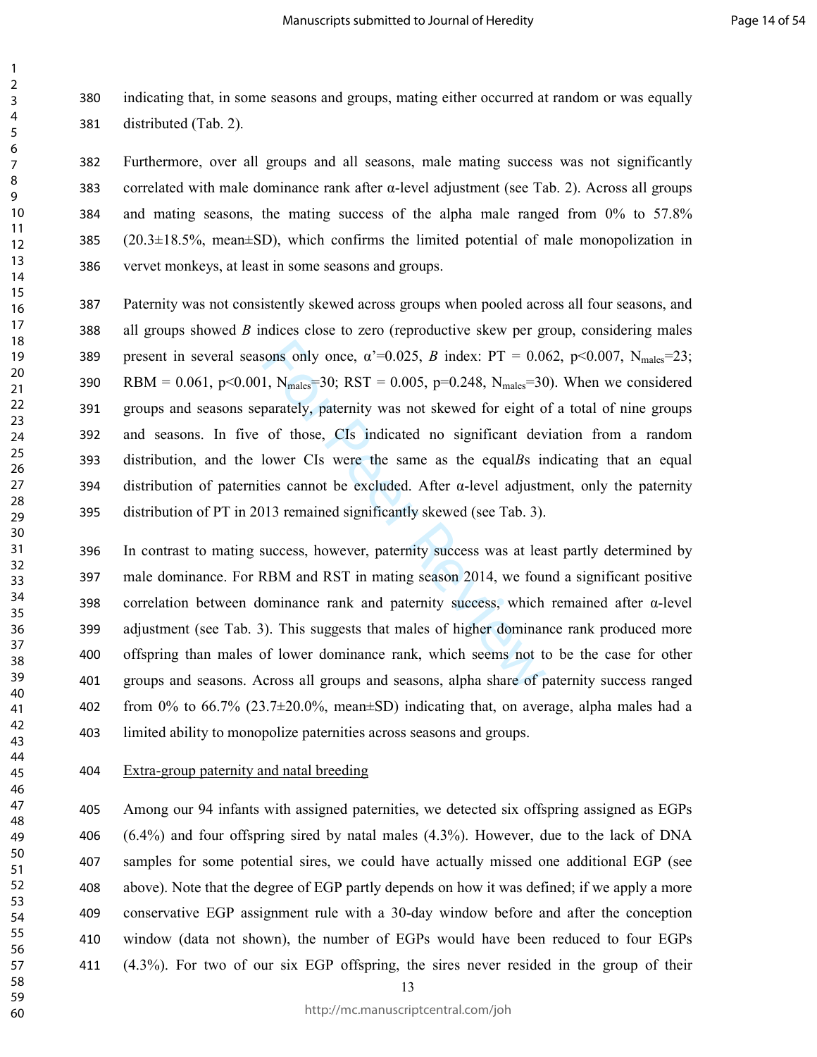indicating that, in some seasons and groups, mating either occurred at random or was equally distributed (Tab. 2).

Furthermore, over all groups and all seasons, male mating success was not significantly 383 correlated with male dominance rank after  $\alpha$ -level adjustment (see Tab. 2). Across all groups and mating seasons, the mating success of the alpha male ranged from 0% to 57.8%  $(20.3\pm18.5\%)$ , mean $\pm$ SD), which confirms the limited potential of male monopolization in vervet monkeys, at least in some seasons and groups.

sons only once,  $\alpha'$ =0.025, *B* index:  $PT = 0.00$ <br>1, N<sub>males</sub>=30; RST = 0.005, p=0.248, N<sub>males</sub>=30<br>parately, paternity was not skewed for eight o<br>of those, CIs indicated no significant dev<br>lower CIs were the same as the Paternity was not consistently skewed across groups when pooled across all four seasons, and all groups showed *B* indices close to zero (reproductive skew per group, considering males 389 present in several seasons only once,  $\alpha^2 = 0.025$ , *B* index: PT = 0.062, p<0.007, N<sub>males</sub>=23; 390 RBM =  $0.061$ , p<0.001, N<sub>males</sub>=30; RST = 0.005, p=0.248, N<sub>males</sub>=30). When we considered groups and seasons separately, paternity was not skewed for eight of a total of nine groups and seasons. In five of those, CIs indicated no significant deviation from a random distribution, and the lower CIs were the same as the equal*B*s indicating that an equal 394 distribution of paternities cannot be excluded. After  $\alpha$ -level adjustment, only the paternity distribution of PT in 2013 remained significantly skewed (see Tab. 3).

In contrast to mating success, however, paternity success was at least partly determined by male dominance. For RBM and RST in mating season 2014, we found a significant positive correlation between dominance rank and paternity success, which remained after α-level adjustment (see Tab. 3). This suggests that males of higher dominance rank produced more offspring than males of lower dominance rank, which seems not to be the case for other groups and seasons. Across all groups and seasons, alpha share of paternity success ranged 402 from 0% to 66.7% (23.7 $\pm$ 20.0%, mean $\pm$ SD) indicating that, on average, alpha males had a limited ability to monopolize paternities across seasons and groups.

# Extra-group paternity and natal breeding

Among our 94 infants with assigned paternities, we detected six offspring assigned as EGPs (6.4%) and four offspring sired by natal males (4.3%). However, due to the lack of DNA samples for some potential sires, we could have actually missed one additional EGP (see above). Note that the degree of EGP partly depends on how it was defined; if we apply a more conservative EGP assignment rule with a 30-day window before and after the conception window (data not shown), the number of EGPs would have been reduced to four EGPs (4.3%). For two of our six EGP offspring, the sires never resided in the group of their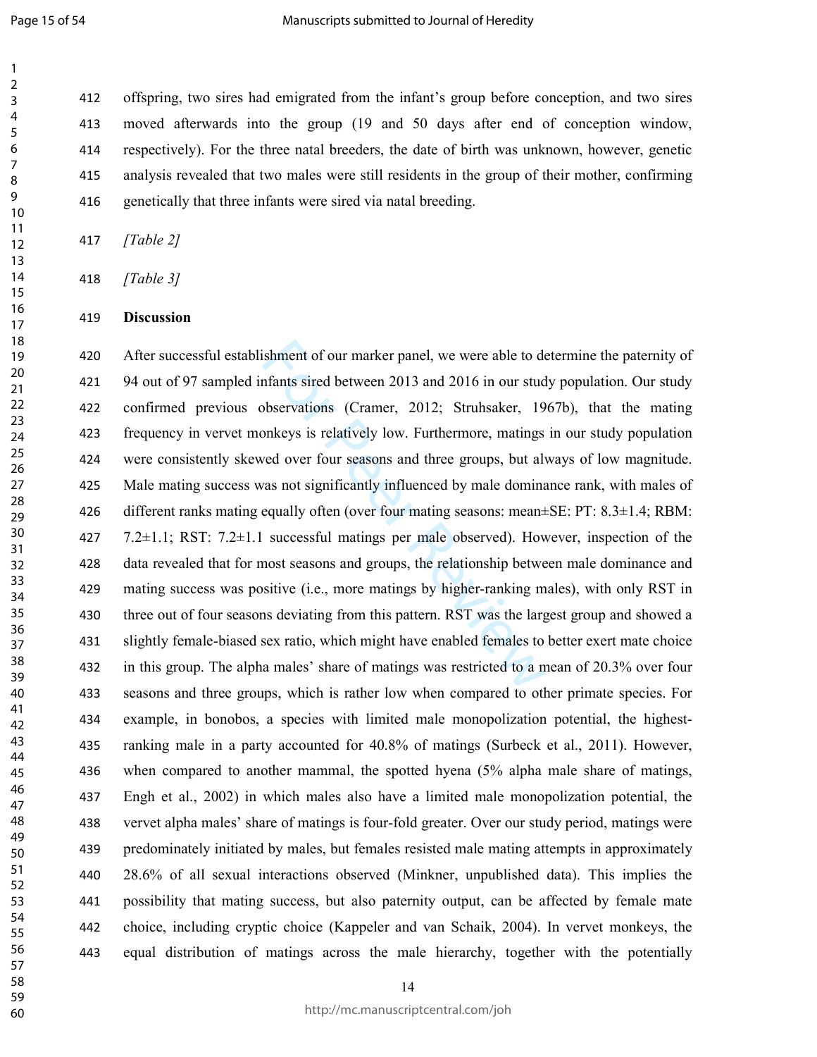offspring, two sires had emigrated from the infant's group before conception, and two sires moved afterwards into the group (19 and 50 days after end of conception window, respectively). For the three natal breeders, the date of birth was unknown, however, genetic analysis revealed that two males were still residents in the group of their mother, confirming genetically that three infants were sired via natal breeding.

*[Table 2]* 

*[Table 3]* 

#### **Discussion**

ishment of our marker panel, we were able to de<br>nfants sired between 2013 and 2016 in our stud<br>observations (Cramer, 2012; Struhsaker, 19<br>onkeys is relatively low. Furthermore, matings<br>ved over four seasons and three group After successful establishment of our marker panel, we were able to determine the paternity of 94 out of 97 sampled infants sired between 2013 and 2016 in our study population. Our study confirmed previous observations (Cramer, 2012; Struhsaker, 1967b), that the mating frequency in vervet monkeys is relatively low. Furthermore, matings in our study population were consistently skewed over four seasons and three groups, but always of low magnitude. Male mating success was not significantly influenced by male dominance rank, with males of different ranks mating equally often (over four mating seasons: mean±SE: PT: 8.3±1.4; RBM: 7.2±1.1; RST: 7.2±1.1 successful matings per male observed). However, inspection of the data revealed that for most seasons and groups, the relationship between male dominance and mating success was positive (i.e., more matings by higher-ranking males), with only RST in three out of four seasons deviating from this pattern. RST was the largest group and showed a slightly female-biased sex ratio, which might have enabled females to better exert mate choice in this group. The alpha males' share of matings was restricted to a mean of 20.3% over four seasons and three groups, which is rather low when compared to other primate species. For example, in bonobos, a species with limited male monopolization potential, the highest-ranking male in a party accounted for 40.8% of matings (Surbeck et al., 2011). However, when compared to another mammal, the spotted hyena (5% alpha male share of matings, Engh et al., 2002) in which males also have a limited male monopolization potential, the vervet alpha males' share of matings is four-fold greater. Over our study period, matings were predominately initiated by males, but females resisted male mating attempts in approximately 28.6% of all sexual interactions observed (Minkner, unpublished data). This implies the possibility that mating success, but also paternity output, can be affected by female mate choice, including cryptic choice (Kappeler and van Schaik, 2004). In vervet monkeys, the equal distribution of matings across the male hierarchy, together with the potentially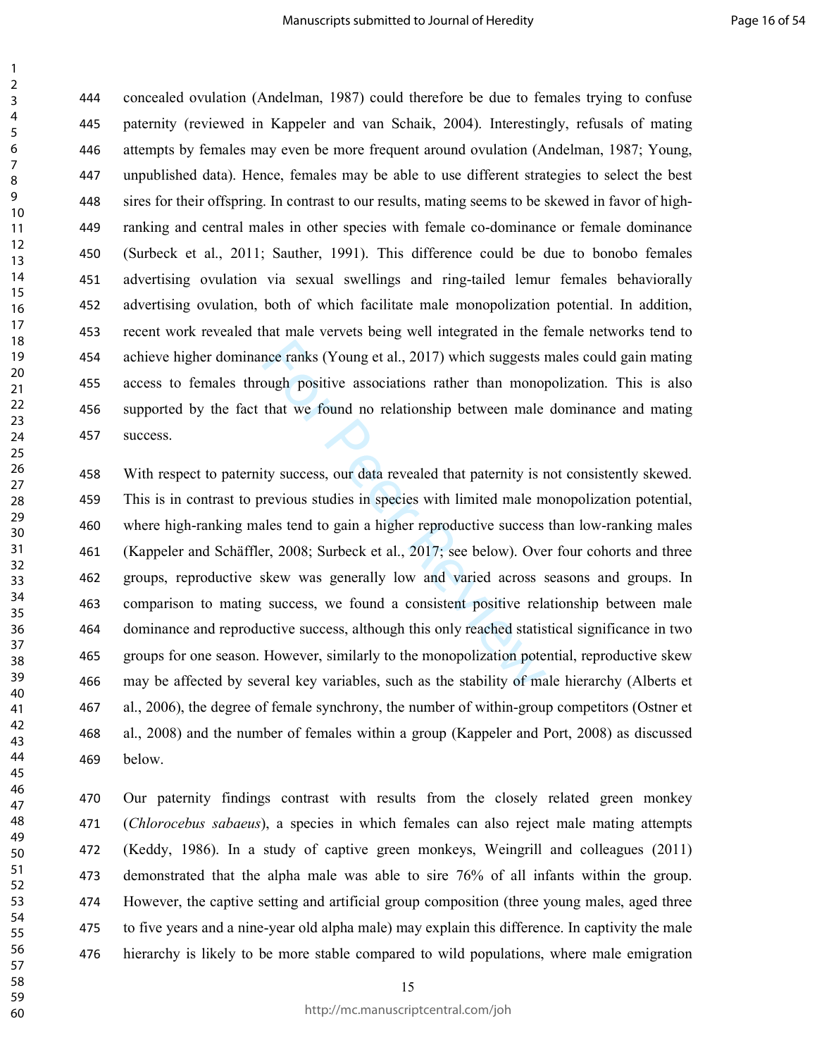concealed ovulation (Andelman, 1987) could therefore be due to females trying to confuse paternity (reviewed in Kappeler and van Schaik, 2004). Interestingly, refusals of mating attempts by females may even be more frequent around ovulation (Andelman, 1987; Young, unpublished data). Hence, females may be able to use different strategies to select the best sires for their offspring. In contrast to our results, mating seems to be skewed in favor of high-ranking and central males in other species with female co-dominance or female dominance (Surbeck et al., 2011; Sauther, 1991). This difference could be due to bonobo females advertising ovulation via sexual swellings and ring-tailed lemur females behaviorally advertising ovulation, both of which facilitate male monopolization potential. In addition, recent work revealed that male vervets being well integrated in the female networks tend to achieve higher dominance ranks (Young et al., 2017) which suggests males could gain mating access to females through positive associations rather than monopolization. This is also supported by the fact that we found no relationship between male dominance and mating success.

nce ranks (Young et al., 2017) which suggests a<br>ough positive associations rather than monot<br>that we found no relationship between male<br>that we found no relationship between male<br>ity success, our data revealed that paterni With respect to paternity success, our data revealed that paternity is not consistently skewed. This is in contrast to previous studies in species with limited male monopolization potential, where high-ranking males tend to gain a higher reproductive success than low-ranking males (Kappeler and Schäffler, 2008; Surbeck et al., 2017; see below). Over four cohorts and three groups, reproductive skew was generally low and varied across seasons and groups. In comparison to mating success, we found a consistent positive relationship between male dominance and reproductive success, although this only reached statistical significance in two groups for one season. However, similarly to the monopolization potential, reproductive skew may be affected by several key variables, such as the stability of male hierarchy (Alberts et al., 2006), the degree of female synchrony, the number of within-group competitors (Ostner et al., 2008) and the number of females within a group (Kappeler and Port, 2008) as discussed below.

Our paternity findings contrast with results from the closely related green monkey (*Chlorocebus sabaeus*), a species in which females can also reject male mating attempts (Keddy, 1986). In a study of captive green monkeys, Weingrill and colleagues (2011) demonstrated that the alpha male was able to sire 76% of all infants within the group. However, the captive setting and artificial group composition (three young males, aged three to five years and a nine-year old alpha male) may explain this difference. In captivity the male hierarchy is likely to be more stable compared to wild populations, where male emigration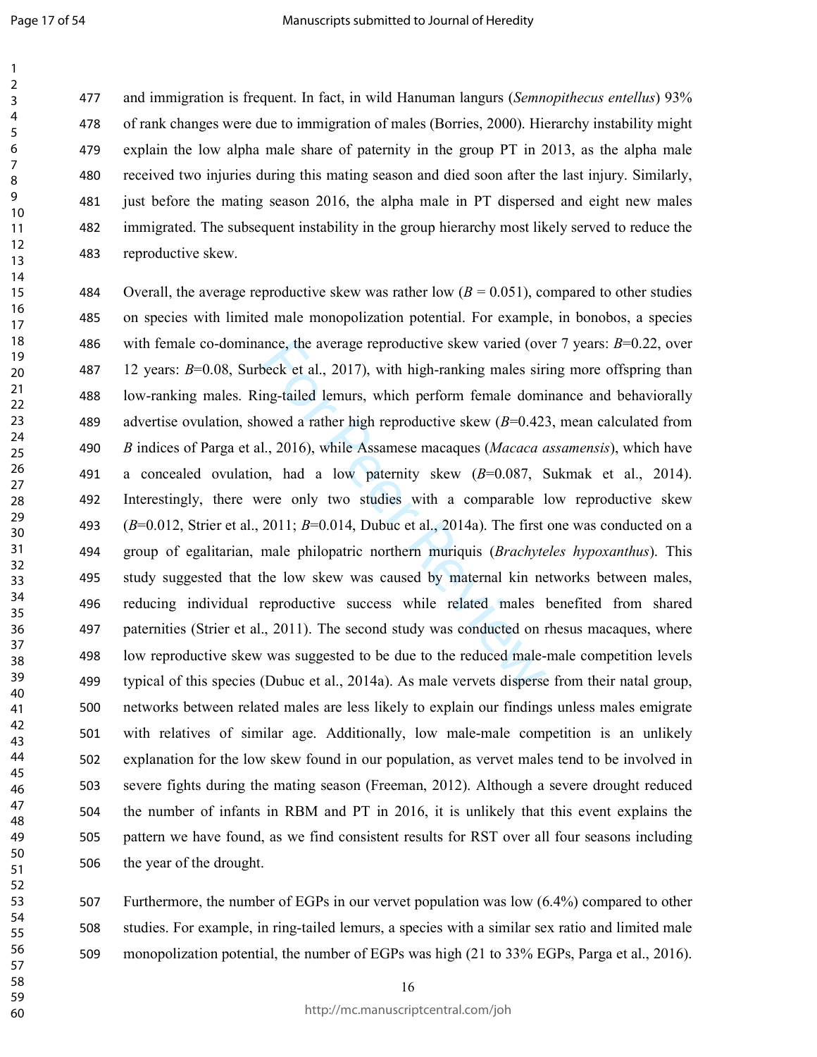and immigration is frequent. In fact, in wild Hanuman langurs (*Semnopithecus entellus*) 93% of rank changes were due to immigration of males (Borries, 2000). Hierarchy instability might explain the low alpha male share of paternity in the group PT in 2013, as the alpha male received two injuries during this mating season and died soon after the last injury. Similarly, just before the mating season 2016, the alpha male in PT dispersed and eight new males immigrated. The subsequent instability in the group hierarchy most likely served to reduce the reproductive skew.

ince, the average reproductive skew varied (over<br>beek et al., 2017), with high-ranking males siring-tailed lemurs, which perform female dominowed a rather high reproductive skew  $(B=0.42)$ .<br>I., 2016), while Assamese macaqu 484 Overall, the average reproductive skew was rather low  $(B = 0.051)$ , compared to other studies on species with limited male monopolization potential. For example, in bonobos, a species with female co-dominance, the average reproductive skew varied (over 7 years: *B*=0.22, over 487 12 years: B=0.08, Surbeck et al., 2017), with high-ranking males siring more offspring than low-ranking males. Ring-tailed lemurs, which perform female dominance and behaviorally advertise ovulation, showed a rather high reproductive skew ( *B*=0.423, mean calculated from *B* indices of Parga et al., 2016), while Assamese macaques (*Macaca assamensis*), which have a concealed ovulation, had a low paternity skew (*B*=0.087, Sukmak et al., 2014). Interestingly, there were only two studies with a comparable low reproductive skew  $(B=0.012$ , Strier et al., 2011;  $B=0.014$ , Dubuc et al., 2014a). The first one was conducted on a group of egalitarian, male philopatric northern muriquis (*Brachyteles hypoxanthus*). This study suggested that the low skew was caused by maternal kin networks between males, reducing individual reproductive success while related males benefited from shared paternities (Strier et al., 2011). The second study was conducted on rhesus macaques, where low reproductive skew was suggested to be due to the reduced male-male competition levels typical of this species (Dubuc et al., 2014a). As male vervets disperse from their natal group, networks between related males are less likely to explain our findings unless males emigrate with relatives of similar age. Additionally, low male-male competition is an unlikely explanation for the low skew found in our population, as vervet males tend to be involved in severe fights during the mating season (Freeman, 2012). Although a severe drought reduced the number of infants in RBM and PT in 2016, it is unlikely that this event explains the pattern we have found, as we find consistent results for RST over all four seasons including the year of the drought.

Furthermore, the number of EGPs in our vervet population was low (6.4%) compared to other studies. For example, in ring-tailed lemurs, a species with a similar sex ratio and limited male monopolization potential, the number of EGPs was high (21 to 33% EGPs, Parga et al., 2016).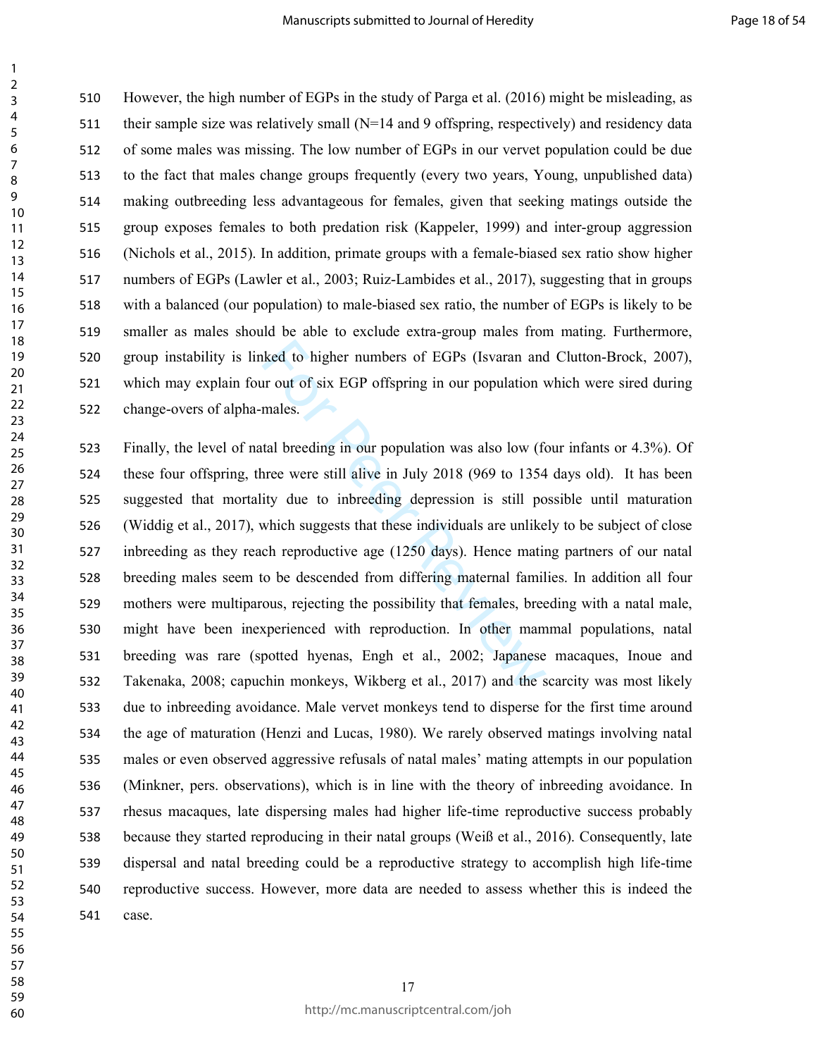However, the high number of EGPs in the study of Parga et al. (2016) might be misleading, as their sample size was relatively small (N=14 and 9 offspring, respectively) and residency data of some males was missing. The low number of EGPs in our vervet population could be due to the fact that males change groups frequently (every two years, Young, unpublished data) making outbreeding less advantageous for females, given that seeking matings outside the group exposes females to both predation risk (Kappeler, 1999) and inter-group aggression (Nichols et al., 2015). In addition, primate groups with a female-biased sex ratio show higher numbers of EGPs (Lawler et al., 2003; Ruiz-Lambides et al., 2017), suggesting that in groups with a balanced (our population) to male-biased sex ratio, the number of EGPs is likely to be smaller as males should be able to exclude extra-group males from mating. Furthermore, group instability is linked to higher numbers of EGPs (Isvaran and Clutton-Brock, 2007), which may explain four out of six EGP offspring in our population which were sired during change-overs of alpha-males.

ked to higher numbers of EGPs (Isvaran and<br>the curve of six EGP offspring in our population v<br>males.<br>tal breeding in our population was also low (for<br>the were still alive in July 2018 (969 to 1354<br>tiy due to inbreeding dep Finally, the level of natal breeding in our population was also low (four infants or 4.3%). Of these four offspring, three were still alive in July 2018 (969 to 1354 days old). It has been suggested that mortality due to inbreeding depression is still possible until maturation (Widdig et al., 2017), which suggests that these individuals are unlikely to be subject of close inbreeding as they reach reproductive age (1250 days). Hence mating partners of our natal breeding males seem to be descended from differing maternal families. In addition all four mothers were multiparous, rejecting the possibility that females, breeding with a natal male, might have been inexperienced with reproduction. In other mammal populations, natal breeding was rare (spotted hyenas, Engh et al., 2002; Japanese macaques, Inoue and Takenaka, 2008; capuchin monkeys, Wikberg et al., 2017) and the scarcity was most likely due to inbreeding avoidance. Male vervet monkeys tend to disperse for the first time around the age of maturation (Henzi and Lucas, 1980). We rarely observed matings involving natal males or even observed aggressive refusals of natal males' mating attempts in our population (Minkner, pers. observations), which is in line with the theory of inbreeding avoidance. In rhesus macaques, late dispersing males had higher life-time reproductive success probably because they started reproducing in their natal groups (Weiß et al., 2016). Consequently, late dispersal and natal breeding could be a reproductive strategy to accomplish high life-time reproductive success. However, more data are needed to assess whether this is indeed the case.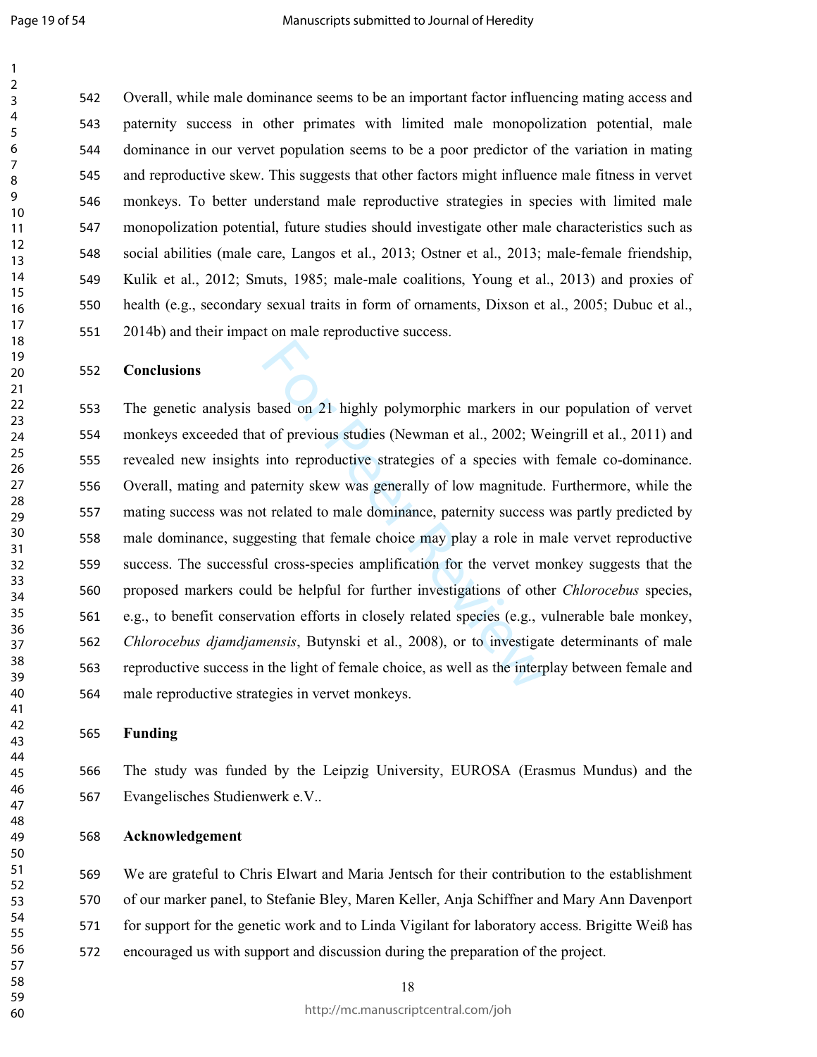Overall, while male dominance seems to be an important factor influencing mating access and paternity success in other primates with limited male monopolization potential, male dominance in our vervet population seems to be a poor predictor of the variation in mating and reproductive skew. This suggests that other factors might influence male fitness in vervet monkeys. To better understand male reproductive strategies in species with limited male monopolization potential, future studies should investigate other male characteristics such as social abilities (male care, Langos et al., 2013; Ostner et al., 2013; male-female friendship, Kulik et al., 2012; Smuts, 1985; male-male coalitions, Young et al., 2013) and proxies of health (e.g., secondary sexual traits in form of ornaments, Dixson et al., 2005; Dubuc et al., 2014b) and their impact on male reproductive success.

#### **Conclusions**

assed on 21 highly polymorphic markers in o<br>t of previous studies (Newman et al., 2002; We<br>into reproductive strategies of a species with<br>termity skew was generally of low magnitude.<br>t related to male dominance, paternity The genetic analysis based on 21 highly polymorphic markers in our population of vervet monkeys exceeded that of previous studies (Newman et al., 2002; Weingrill et al., 2011) and revealed new insights into reproductive strategies of a species with female co-dominance. Overall, mating and paternity skew was generally of low magnitude. Furthermore, while the mating success was not related to male dominance, paternity success was partly predicted by male dominance, suggesting that female choice may play a role in male vervet reproductive success. The successful cross-species amplification for the vervet monkey suggests that the proposed markers could be helpful for further investigations of other *Chlorocebus* species, e.g., to benefit conservation efforts in closely related species (e.g., vulnerable bale monkey, *Chlorocebus djamdjamensis*, Butynski et al., 2008), or to investigate determinants of male reproductive success in the light of female choice, as well as the interplay between female and male reproductive strategies in vervet monkeys.

## **Funding**

The study was funded by the Leipzig University, EUROSA (Erasmus Mundus) and the Evangelisches Studienwerk e.V..

# **Acknowledgement**

We are grateful to Chris Elwart and Maria Jentsch for their contribution to the establishment of our marker panel, to Stefanie Bley, Maren Keller, Anja Schiffner and Mary Ann Davenport for support for the genetic work and to Linda Vigilant for laboratory access. Brigitte Weiß has encouraged us with support and discussion during the preparation of the project.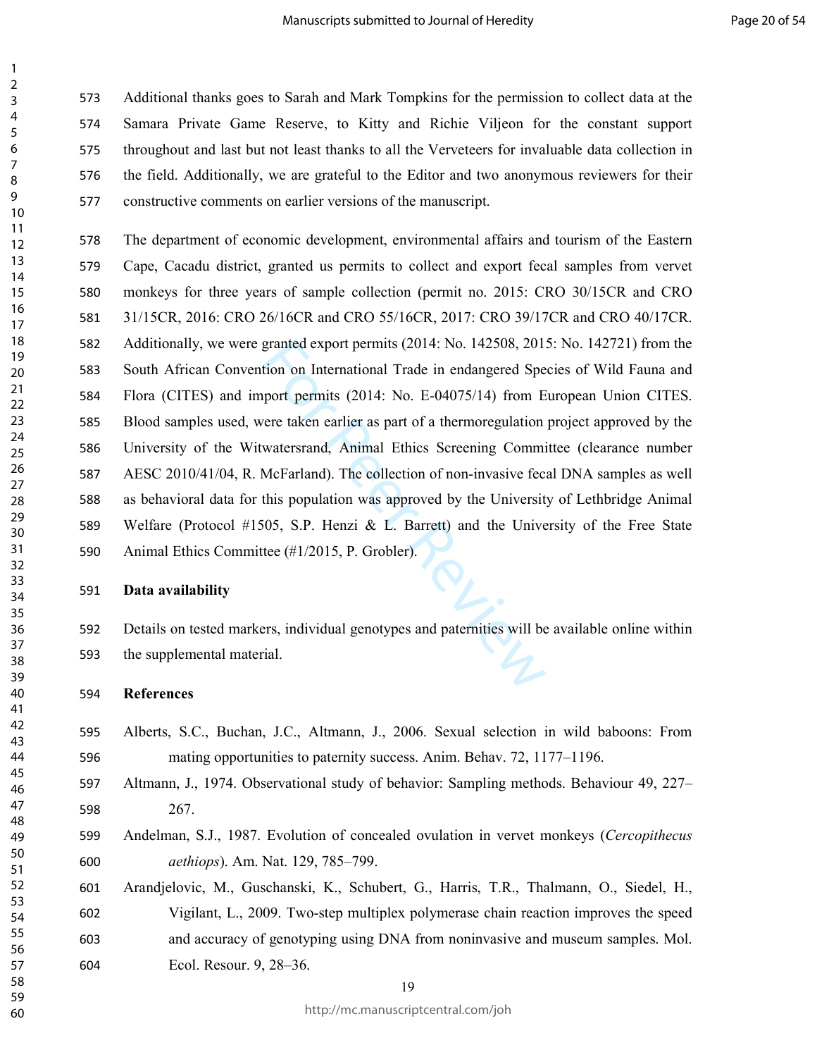Additional thanks goes to Sarah and Mark Tompkins for the permission to collect data at the Samara Private Game Reserve, to Kitty and Richie Viljeon for the constant support throughout and last but not least thanks to all the Verveteers for invaluable data collection in the field. Additionally, we are grateful to the Editor and two anonymous reviewers for their constructive comments on earlier versions of the manuscript.

granted export permits (2014: No. 142508, 201:<br>tion on International Trade in endangered Spe<br>pport permits (2014: No. E-04075/14) from E<br>vere taken earlier as part of a thermoregulation<br>watersrand, Animal Ethics Screening The department of economic development, environmental affairs and tourism of the Eastern Cape, Cacadu district, granted us permits to collect and export fecal samples from vervet monkeys for three years of sample collection (permit no. 2015: CRO 30/15CR and CRO 31/15CR, 2016: CRO 26/16CR and CRO 55/16CR, 2017: CRO 39/17CR and CRO 40/17CR. Additionally, we were granted export permits (2014: No. 142508, 2015: No. 142721) from the South African Convention on International Trade in endangered Species of Wild Fauna and Flora (CITES) and import permits (2014: No. E-04075/14) from European Union CITES. Blood samples used, were taken earlier as part of a thermoregulation project approved by the University of the Witwatersrand, Animal Ethics Screening Committee (clearance number AESC 2010/41/04, R. McFarland). The collection of non-invasive fecal DNA samples as well as behavioral data for this population was approved by the University of Lethbridge Animal Welfare (Protocol #1505, S.P. Henzi & L. Barrett) and the University of the Free State Animal Ethics Committee (#1/2015, P. Grobler).

#### **Data availability**

Details on tested markers, individual genotypes and paternities will be available online within the supplemental material.

### **References**

- Alberts, S.C., Buchan, J.C., Altmann, J., 2006. Sexual selection in wild baboons: From mating opportunities to paternity success. Anim. Behav. 72, 1177–1196.
- Altmann, J., 1974. Observational study of behavior: Sampling methods. Behaviour 49, 227– 267.
- Andelman, S.J., 1987. Evolution of concealed ovulation in vervet monkeys (*Cercopithecus aethiops*). Am. Nat. 129, 785–799.
- Arandjelovic, M., Guschanski, K., Schubert, G., Harris, T.R., Thalmann, O., Siedel, H., Vigilant, L., 2009. Two-step multiplex polymerase chain reaction improves the speed and accuracy of genotyping using DNA from noninvasive and museum samples. Mol. Ecol. Resour. 9, 28–36.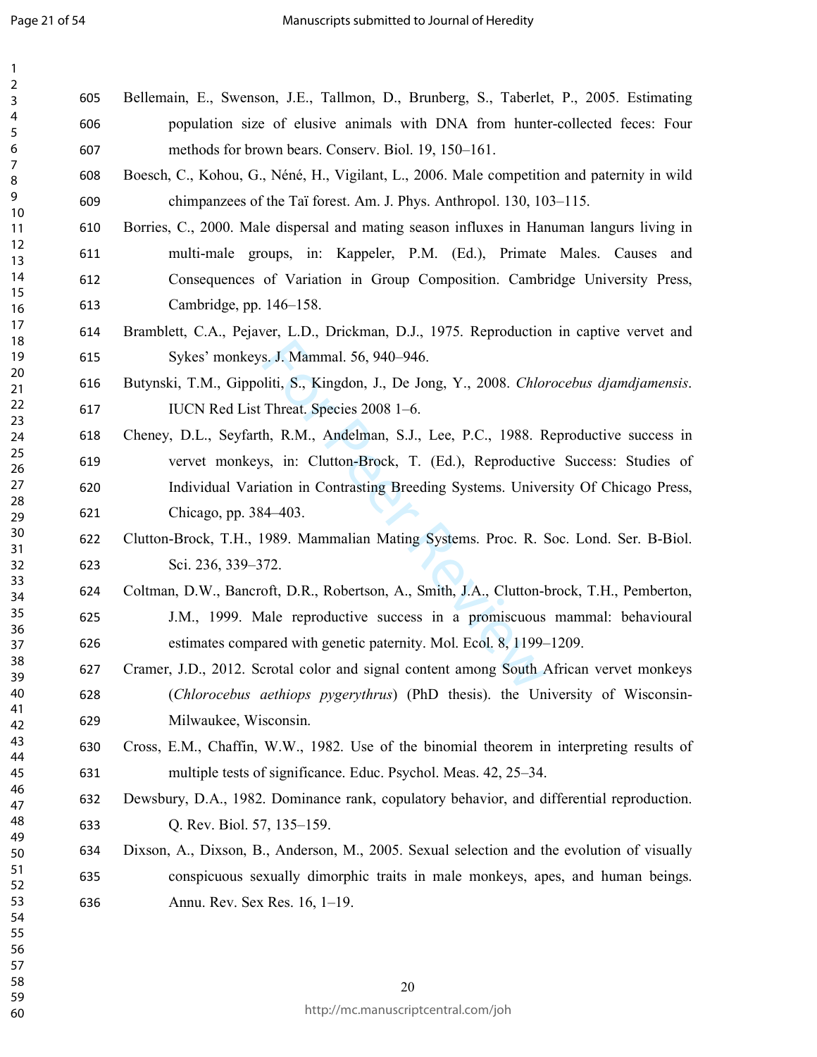$\overline{2}$ 

- Bellemain, E., Swenson, J.E., Tallmon, D., Brunberg, S., Taberlet, P., 2005. Estimating population size of elusive animals with DNA from hunter-collected feces: Four methods for brown bears. Conserv. Biol. 19, 150–161.
- Boesch, C., Kohou, G., Néné, H., Vigilant, L., 2006. Male competition and paternity in wild chimpanzees of the Taï forest. Am. J. Phys. Anthropol. 130, 103–115.
- Borries, C., 2000. Male dispersal and mating season influxes in Hanuman langurs living in multi-male groups, in: Kappeler, P.M. (Ed.), Primate Males. Causes and Consequences of Variation in Group Composition. Cambridge University Press, Cambridge, pp. 146–158.
- Bramblett, C.A., Pejaver, L.D., Drickman, D.J., 1975. Reproduction in captive vervet and Sykes' monkeys. J. Mammal. 56, 940–946.
- Butynski, T.M., Gippoliti, S., Kingdon, J., De Jong, Y., 2008. *Chlorocebus djamdjamensis*. IUCN Red List Threat. Species 2008 1–6.
- s. J. Mammal. 56, 940–946.<br>
liti, S., Kingdon, J., De Jong, Y., 2008. Chloi<br>
Threat. Species 2008 1–6.<br>
h, R.M., Andelman, S.J., Lee, P.C., 1988. R<br>
s, in: Clutton-Brock, T. (Ed.), Reproductiv<br>
ation in Contrasting Breedin Cheney, D.L., Seyfarth, R.M., Andelman, S.J., Lee, P.C., 1988. Reproductive success in vervet monkeys, in: Clutton-Brock, T. (Ed.), Reproductive Success: Studies of Individual Variation in Contrasting Breeding Systems. University Of Chicago Press, Chicago, pp. 384–403.
	- Clutton-Brock, T.H., 1989. Mammalian Mating Systems. Proc. R. Soc. Lond. Ser. B-Biol. Sci. 236, 339–372.
- Coltman, D.W., Bancroft, D.R., Robertson, A., Smith, J.A., Clutton-brock, T.H., Pemberton, J.M., 1999. Male reproductive success in a promiscuous mammal: behavioural estimates compared with genetic paternity. Mol. Ecol. 8, 1199–1209.
	- Cramer, J.D., 2012. Scrotal color and signal content among South African vervet monkeys (*Chlorocebus aethiops pygerythrus*) (PhD thesis). the University of Wisconsin-Milwaukee, Wisconsin.
	- Cross, E.M., Chaffin, W.W., 1982. Use of the binomial theorem in interpreting results of multiple tests of significance. Educ. Psychol. Meas. 42, 25–34.
- Dewsbury, D.A., 1982. Dominance rank, copulatory behavior, and differential reproduction. Q. Rev. Biol. 57, 135–159.
- Dixson, A., Dixson, B., Anderson, M., 2005. Sexual selection and the evolution of visually conspicuous sexually dimorphic traits in male monkeys, apes, and human beings. Annu. Rev. Sex Res. 16, 1–19.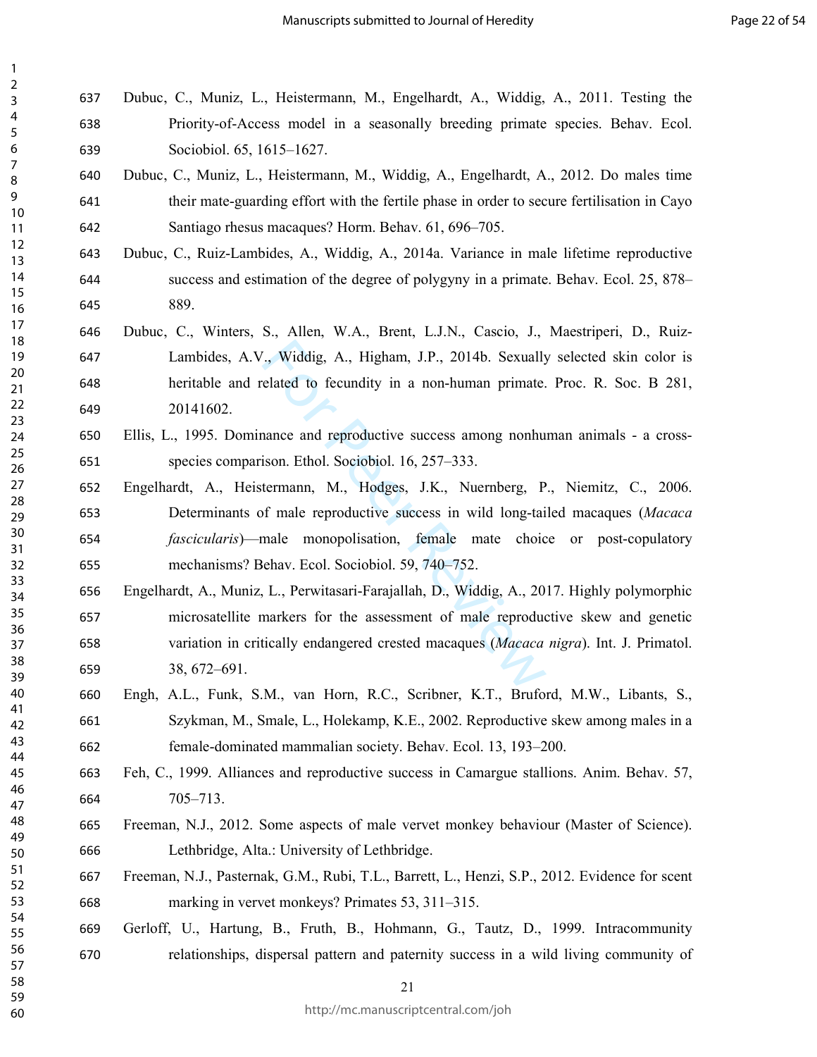- Dubuc, C., Muniz, L., Heistermann, M., Engelhardt, A., Widdig, A., 2011. Testing the Priority-of-Access model in a seasonally breeding primate species. Behav. Ecol. Sociobiol. 65, 1615–1627.
- Dubuc, C., Muniz, L., Heistermann, M., Widdig, A., Engelhardt, A., 2012. Do males time their mate-guarding effort with the fertile phase in order to secure fertilisation in Cayo Santiago rhesus macaques? Horm. Behav. 61, 696–705.
- Dubuc, C., Ruiz-Lambides, A., Widdig, A., 2014a. Variance in male lifetime reproductive success and estimation of the degree of polygyny in a primate. Behav. Ecol. 25, 878– 889.
- Dubuc, C., Winters, S., Allen, W.A., Brent, L.J.N., Cascio, J., Maestriperi, D., Ruiz-Lambides, A.V., Widdig, A., Higham, J.P., 2014b. Sexually selected skin color is heritable and related to fecundity in a non-human primate. Proc. R. Soc. B 281, 20141602.
- Ellis, L., 1995. Dominance and reproductive success among nonhuman animals a cross-species comparison. Ethol. Sociobiol. 16, 257–333.
- Engelhardt, A., Heistermann, M., Hodges, J.K., Nuernberg, P., Niemitz, C., 2006. Determinants of male reproductive success in wild long-tailed macaques (*Macaca fascicularis*)—male monopolisation, female mate choice or post-copulatory mechanisms? Behav. Ecol. Sociobiol. 59, 740–752.
- ", Widdig, A., Higham, J.P., 2014b. Sexually<br>
elated to fecundity in a non-human primate.<br>
nance and reproductive success among nonhu<br>
ison. Ethol. Sociobiol. 16, 257–333.<br>
termann, M., Hodges, J.K., Nuernberg, P<br>
of male Engelhardt, A., Muniz, L., Perwitasari-Farajallah, D., Widdig, A., 2017. Highly polymorphic microsatellite markers for the assessment of male reproductive skew and genetic variation in critically endangered crested macaques (*Macaca nigra*). Int. J. Primatol. 38, 672–691.
	- Engh, A.L., Funk, S.M., van Horn, R.C., Scribner, K.T., Bruford, M.W., Libants, S., Szykman, M., Smale, L., Holekamp, K.E., 2002. Reproductive skew among males in a female-dominated mammalian society. Behav. Ecol. 13, 193–200.
	- Feh, C., 1999. Alliances and reproductive success in Camargue stallions. Anim. Behav. 57, 705–713.
- Freeman, N.J., 2012. Some aspects of male vervet monkey behaviour (Master of Science). Lethbridge, Alta.: University of Lethbridge.
- Freeman, N.J., Pasternak, G.M., Rubi, T.L., Barrett, L., Henzi, S.P., 2012. Evidence for scent marking in vervet monkeys? Primates 53, 311–315.
- Gerloff, U., Hartung, B., Fruth, B., Hohmann, G., Tautz, D., 1999. Intracommunity relationships, dispersal pattern and paternity success in a wild living community of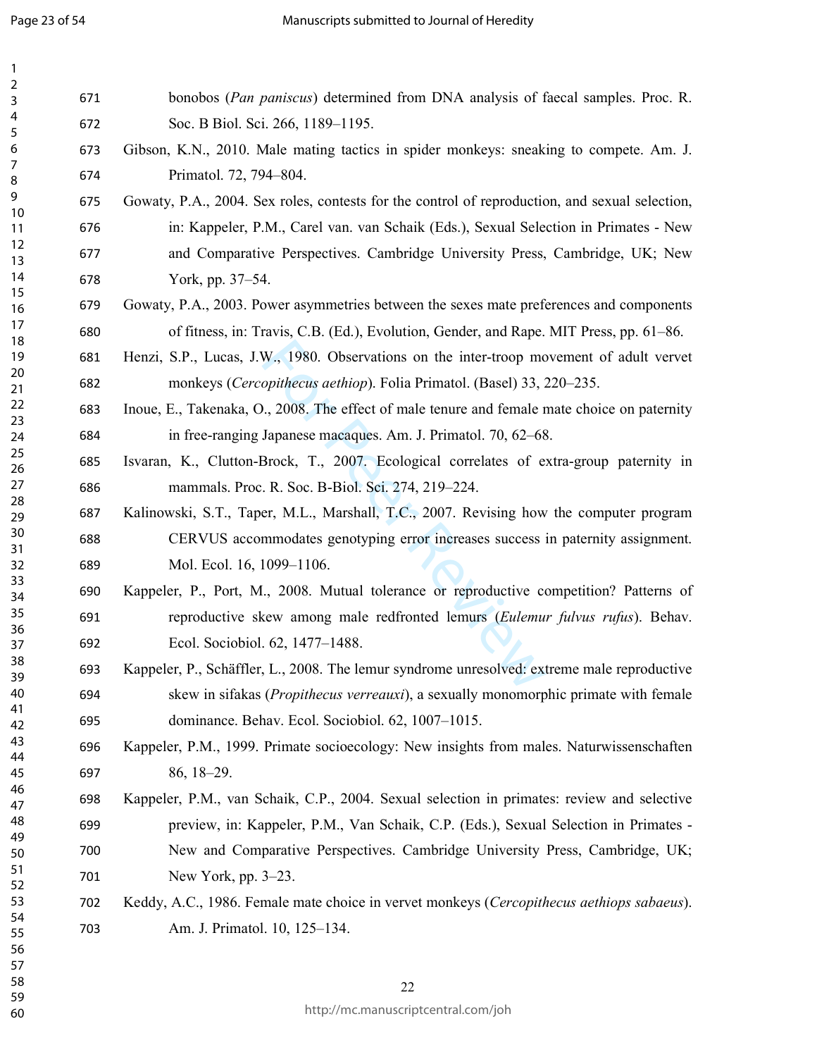| $\mathbf{1}$        |     |                                                                                                |
|---------------------|-----|------------------------------------------------------------------------------------------------|
| $\overline{2}$<br>3 | 671 | bonobos (Pan paniscus) determined from DNA analysis of faecal samples. Proc. R.                |
| 4<br>5              | 672 | Soc. B Biol. Sci. 266, 1189-1195.                                                              |
| 6                   | 673 | Gibson, K.N., 2010. Male mating tactics in spider monkeys: sneaking to compete. Am. J.         |
| $\overline{7}$<br>8 | 674 | Primatol. 72, 794-804.                                                                         |
| 9<br>10             | 675 | Gowaty, P.A., 2004. Sex roles, contests for the control of reproduction, and sexual selection, |
| 11                  | 676 | in: Kappeler, P.M., Carel van. van Schaik (Eds.), Sexual Selection in Primates - New           |
| 12<br>13            | 677 | and Comparative Perspectives. Cambridge University Press, Cambridge, UK; New                   |
| 14                  | 678 | York, pp. 37-54.                                                                               |
| 15<br>16            | 679 | Gowaty, P.A., 2003. Power asymmetries between the sexes mate preferences and components        |
| 17<br>18            | 680 | of fitness, in: Travis, C.B. (Ed.), Evolution, Gender, and Rape. MIT Press, pp. 61–86.         |
| 19                  | 681 | Henzi, S.P., Lucas, J.W., 1980. Observations on the inter-troop movement of adult vervet       |
| 20<br>21            | 682 | monkeys (Cercopithecus aethiop). Folia Primatol. (Basel) 33, 220–235.                          |
| 22<br>23            | 683 | Inoue, E., Takenaka, O., 2008. The effect of male tenure and female mate choice on paternity   |
| 24                  | 684 | in free-ranging Japanese macaques. Am. J. Primatol. 70, 62–68.                                 |
| 25<br>26            | 685 | Isvaran, K., Clutton-Brock, T., 2007. Ecological correlates of extra-group paternity in        |
| 27                  | 686 | mammals. Proc. R. Soc. B-Biol. Sci. 274, 219-224.                                              |
| 28<br>29            | 687 | Kalinowski, S.T., Taper, M.L., Marshall, T.C., 2007. Revising how the computer program         |
| 30<br>31            | 688 | CERVUS accommodates genotyping error increases success in paternity assignment.                |
| 32                  | 689 | Mol. Ecol. 16, 1099-1106.                                                                      |
| 33<br>34            | 690 | Kappeler, P., Port, M., 2008. Mutual tolerance or reproductive competition? Patterns of        |
| 35<br>36            | 691 | reproductive skew among male redfronted lemurs (Eulemur fulvus rufus). Behav.                  |
| 37                  | 692 | Ecol. Sociobiol. 62, 1477-1488.                                                                |
| 38<br>39            | 693 | Kappeler, P., Schäffler, L., 2008. The lemur syndrome unresolved: extreme male reproductive    |
| 40                  | 694 | skew in sifakas (Propithecus verreauxi), a sexually monomorphic primate with female            |
| 41<br>42            | 695 | dominance. Behav. Ecol. Sociobiol. 62, 1007-1015.                                              |
| 43<br>44            | 696 | Kappeler, P.M., 1999. Primate socioecology: New insights from males. Naturwissenschaften       |
| 45                  | 697 | 86, 18–29.                                                                                     |
| 46<br>47            | 698 | Kappeler, P.M., van Schaik, C.P., 2004. Sexual selection in primates: review and selective     |
| 48<br>49            | 699 | preview, in: Kappeler, P.M., Van Schaik, C.P. (Eds.), Sexual Selection in Primates -           |
| 50                  | 700 | New and Comparative Perspectives. Cambridge University Press, Cambridge, UK;                   |
| 51<br>52            | 701 | New York, pp. $3-23$ .                                                                         |
| 53<br>54            | 702 | Keddy, A.C., 1986. Female mate choice in vervet monkeys (Cercopithecus aethiops sabaeus).      |
| 55                  | 703 | Am. J. Primatol. 10, 125-134.                                                                  |
| 56<br>57            |     |                                                                                                |
| 58                  |     | 22                                                                                             |
| 59<br>60            |     | http://mc.manuscriptcentral.com/joh                                                            |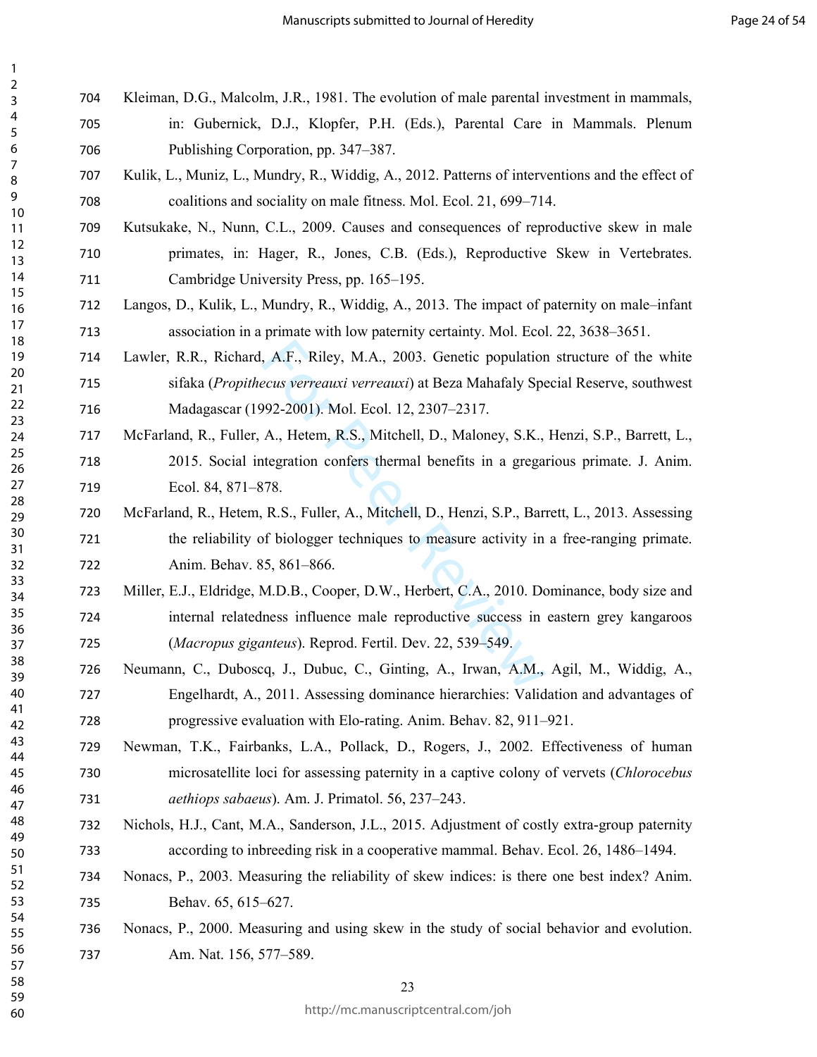| 704 | Kleiman, D.G., Malcolm, J.R., 1981. The evolution of male parental investment in mammals,       |
|-----|-------------------------------------------------------------------------------------------------|
| 705 | in: Gubernick, D.J., Klopfer, P.H. (Eds.), Parental Care in Mammals. Plenum                     |
| 706 | Publishing Corporation, pp. 347–387.                                                            |
| 707 | Kulik, L., Muniz, L., Mundry, R., Widdig, A., 2012. Patterns of interventions and the effect of |
| 708 | coalitions and sociality on male fitness. Mol. Ecol. 21, 699–714.                               |
| 709 | Kutsukake, N., Nunn, C.L., 2009. Causes and consequences of reproductive skew in male           |
| 710 | primates, in: Hager, R., Jones, C.B. (Eds.), Reproductive Skew in Vertebrates.                  |
| 711 | Cambridge University Press, pp. 165-195.                                                        |
| 712 | Langos, D., Kulik, L., Mundry, R., Widdig, A., 2013. The impact of paternity on male–infant     |
| 713 | association in a primate with low paternity certainty. Mol. Ecol. 22, 3638–3651.                |
| 714 | Lawler, R.R., Richard, A.F., Riley, M.A., 2003. Genetic population structure of the white       |
| 715 | sifaka (Propithecus verreauxi verreauxi) at Beza Mahafaly Special Reserve, southwest            |
| 716 | Madagascar (1992-2001). Mol. Ecol. 12, 2307-2317.                                               |
| 717 | McFarland, R., Fuller, A., Hetem, R.S., Mitchell, D., Maloney, S.K., Henzi, S.P., Barrett, L.,  |
| 718 | 2015. Social integration confers thermal benefits in a gregarious primate. J. Anim.             |
| 719 | Ecol. 84, 871-878.                                                                              |
| 720 | McFarland, R., Hetem, R.S., Fuller, A., Mitchell, D., Henzi, S.P., Barrett, L., 2013. Assessing |
| 721 | the reliability of biologger techniques to measure activity in a free-ranging primate.          |
| 722 | Anim. Behav. 85, 861-866.                                                                       |
| 723 | Miller, E.J., Eldridge, M.D.B., Cooper, D.W., Herbert, C.A., 2010. Dominance, body size and     |
| 724 | internal relatedness influence male reproductive success in eastern grey kangaroos              |
| 725 | (Macropus giganteus). Reprod. Fertil. Dev. 22, 539–549.                                         |
| 726 | Neumann, C., Duboscq, J., Dubuc, C., Ginting, A., Irwan, A.M., Agil, M., Widdig, A.,            |
| 727 | Engelhardt, A., 2011. Assessing dominance hierarchies: Validation and advantages of             |
| 728 | progressive evaluation with Elo-rating. Anim. Behav. 82, 911–921.                               |
| 729 | Newman, T.K., Fairbanks, L.A., Pollack, D., Rogers, J., 2002. Effectiveness of human            |
| 730 | microsatellite loci for assessing paternity in a captive colony of vervets (Chlorocebus         |
| 731 | aethiops sabaeus). Am. J. Primatol. 56, 237-243.                                                |
| 732 | Nichols, H.J., Cant, M.A., Sanderson, J.L., 2015. Adjustment of costly extra-group paternity    |
| 733 | according to inbreeding risk in a cooperative mammal. Behav. Ecol. 26, 1486–1494.               |
| 734 | Nonacs, P., 2003. Measuring the reliability of skew indices: is there one best index? Anim.     |
| 735 | Behav. 65, 615–627.                                                                             |
| 736 | Nonacs, P., 2000. Measuring and using skew in the study of social behavior and evolution.       |
| 737 | Am. Nat. 156, 577–589.                                                                          |
|     | 23                                                                                              |
|     | http://mc.manuscriptcentral.com/joh                                                             |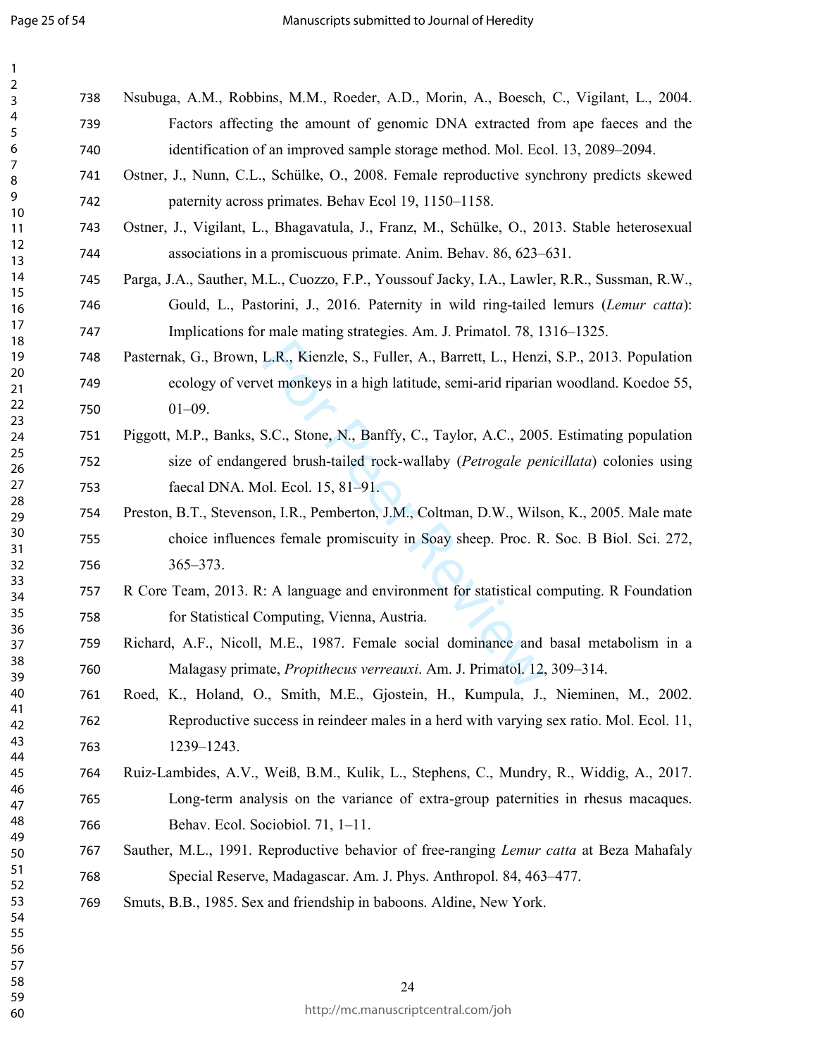$\mathbf{1}$ 

| $\mathbf{1}$ |     |                                                                                                 |
|--------------|-----|-------------------------------------------------------------------------------------------------|
| 2<br>3       | 738 | Nsubuga, A.M., Robbins, M.M., Roeder, A.D., Morin, A., Boesch, C., Vigilant, L., 2004.          |
| 4<br>5       | 739 | Factors affecting the amount of genomic DNA extracted from ape faeces and the                   |
| 6            | 740 | identification of an improved sample storage method. Mol. Ecol. 13, 2089–2094.                  |
| 7<br>8       | 741 | Ostner, J., Nunn, C.L., Schülke, O., 2008. Female reproductive synchrony predicts skewed        |
| 9<br>10      | 742 | paternity across primates. Behav Ecol 19, 1150–1158.                                            |
| 11           | 743 | Ostner, J., Vigilant, L., Bhagavatula, J., Franz, M., Schülke, O., 2013. Stable heterosexual    |
| 12<br>13     | 744 | associations in a promiscuous primate. Anim. Behav. 86, 623–631.                                |
| 14           | 745 | Parga, J.A., Sauther, M.L., Cuozzo, F.P., Youssouf Jacky, I.A., Lawler, R.R., Sussman, R.W.,    |
| 15<br>16     | 746 | Gould, L., Pastorini, J., 2016. Paternity in wild ring-tailed lemurs (Lemur catta):             |
| 17<br>18     | 747 | Implications for male mating strategies. Am. J. Primatol. 78, 1316–1325.                        |
| 19           | 748 | Pasternak, G., Brown, L.R., Kienzle, S., Fuller, A., Barrett, L., Henzi, S.P., 2013. Population |
| 20<br>21     | 749 | ecology of vervet monkeys in a high latitude, semi-arid riparian woodland. Koedoe 55,           |
| 22<br>23     | 750 | $01 - 09$ .                                                                                     |
| 24           | 751 | Piggott, M.P., Banks, S.C., Stone, N., Banffy, C., Taylor, A.C., 2005. Estimating population    |
| 25<br>26     | 752 | size of endangered brush-tailed rock-wallaby (Petrogale penicillata) colonies using             |
| 27<br>28     | 753 | faecal DNA. Mol. Ecol. 15, 81-91.                                                               |
| 29           | 754 | Preston, B.T., Stevenson, I.R., Pemberton, J.M., Coltman, D.W., Wilson, K., 2005. Male mate     |
| 30<br>31     | 755 | choice influences female promiscuity in Soay sheep. Proc. R. Soc. B Biol. Sci. 272,             |
| 32           | 756 | $365 - 373$ .                                                                                   |
| 33<br>34     | 757 | R Core Team, 2013. R: A language and environment for statistical computing. R Foundation        |
| 35<br>36     | 758 | for Statistical Computing, Vienna, Austria.                                                     |
| 37           | 759 | Richard, A.F., Nicoll, M.E., 1987. Female social dominance and basal metabolism in a            |
| 38<br>39     | 760 | Malagasy primate, Propithecus verreauxi. Am. J. Primatol. 12, 309-314.                          |
| 40           | 761 | Roed, K., Holand, O., Smith, M.E., Gjostein, H., Kumpula, J., Nieminen, M., 2002.               |
| 41<br>42     | 762 | Reproductive success in reindeer males in a herd with varying sex ratio. Mol. Ecol. 11,         |
| 43<br>44     | 763 | 1239-1243.                                                                                      |
| 45           | 764 | Ruiz-Lambides, A.V., Weiß, B.M., Kulik, L., Stephens, C., Mundry, R., Widdig, A., 2017.         |
| 46<br>47     | 765 | Long-term analysis on the variance of extra-group paternities in rhesus macaques.               |
| 48<br>49     | 766 | Behav. Ecol. Sociobiol. 71, 1-11.                                                               |
| 50           | 767 | Sauther, M.L., 1991. Reproductive behavior of free-ranging <i>Lemur catta</i> at Beza Mahafaly  |
| 51<br>52     | 768 | Special Reserve, Madagascar. Am. J. Phys. Anthropol. 84, 463–477.                               |
| 53           | 769 | Smuts, B.B., 1985. Sex and friendship in baboons. Aldine, New York.                             |
| 54<br>55     |     |                                                                                                 |
| 56<br>57     |     |                                                                                                 |
| 58           |     | 2 <sub>1</sub>                                                                                  |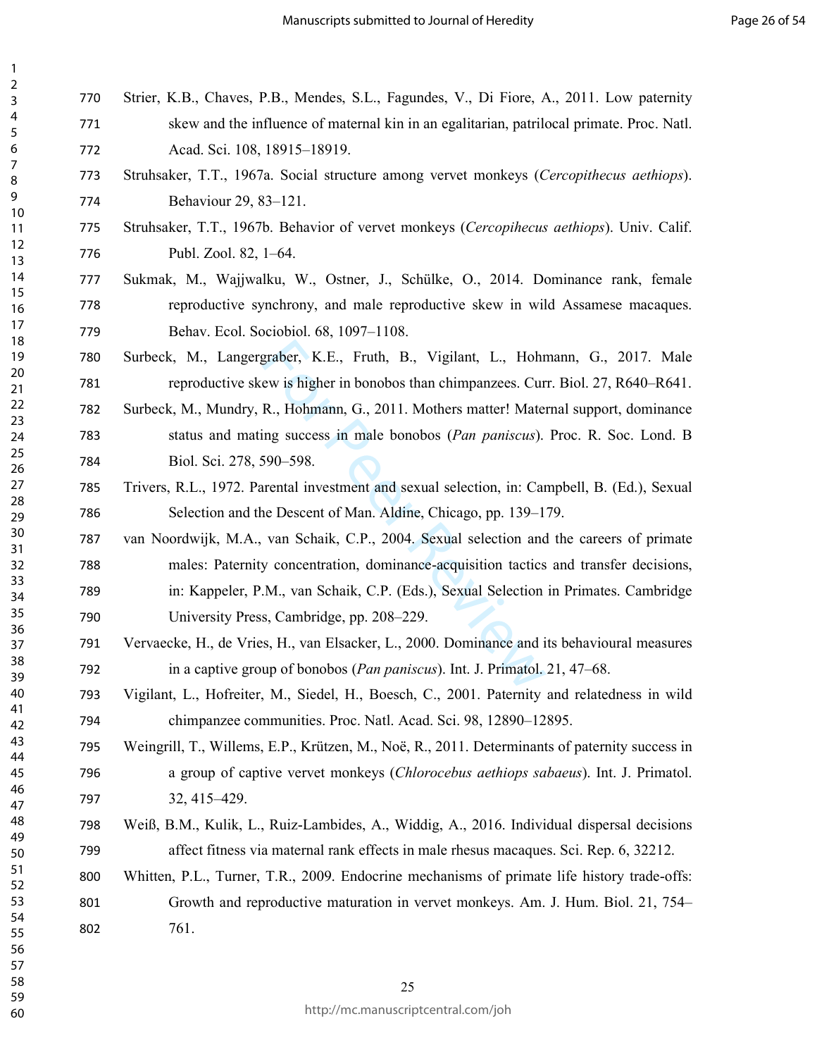- graber, K.E., Fruth, B., Vigilant, L., Hohr<br>ew is higher in bonobos than chimpanzees. Cur<br>R., Hohmann, G., 2011. Mothers matter! Mater<br>ing success in male bonobos (*Pan paniscus*).<br>590–598.<br>arental investment and sexual se Strier, K.B., Chaves, P.B., Mendes, S.L., Fagundes, V., Di Fiore, A., 2011. Low paternity skew and the influence of maternal kin in an egalitarian, patrilocal primate. Proc. Natl. Acad. Sci. 108, 18915–18919. Struhsaker, T.T., 1967a. Social structure among vervet monkeys (*Cercopithecus aethiops*). Behaviour 29, 83–121. Struhsaker, T.T., 1967b. Behavior of vervet monkeys (*Cercopihecus aethiops*). Univ. Calif. Publ. Zool. 82, 1–64. Sukmak, M., Wajjwalku, W., Ostner, J., Schülke, O., 2014. Dominance rank, female reproductive synchrony, and male reproductive skew in wild Assamese macaques. Behav. Ecol. Sociobiol. 68, 1097–1108. Surbeck, M., Langergraber, K.E., Fruth, B., Vigilant, L., Hohmann, G., 2017. Male reproductive skew is higher in bonobos than chimpanzees. Curr. Biol. 27, R640–R641. Surbeck, M., Mundry, R., Hohmann, G., 2011. Mothers matter! Maternal support, dominance status and mating success in male bonobos (*Pan paniscus*). Proc. R. Soc. Lond. B Biol. Sci. 278, 590–598. Trivers, R.L., 1972. Parental investment and sexual selection, in: Campbell, B. (Ed.), Sexual Selection and the Descent of Man. Aldine, Chicago, pp. 139–179. van Noordwijk, M.A., van Schaik, C.P., 2004. Sexual selection and the careers of primate males: Paternity concentration, dominance-acquisition tactics and transfer decisions, in: Kappeler, P.M., van Schaik, C.P. (Eds.), Sexual Selection in Primates. Cambridge University Press, Cambridge, pp. 208–229. Vervaecke, H., de Vries, H., van Elsacker, L., 2000. Dominance and its behavioural measures in a captive group of bonobos (*Pan paniscus*). Int. J. Primatol. 21, 47–68. Vigilant, L., Hofreiter, M., Siedel, H., Boesch, C., 2001. Paternity and relatedness in wild chimpanzee communities. Proc. Natl. Acad. Sci. 98, 12890–12895. Weingrill, T., Willems, E.P., Krützen, M., Noë, R., 2011. Determinants of paternity success in a group of captive vervet monkeys (*Chlorocebus aethiops sabaeus*). Int. J. Primatol. 32, 415–429. Weiß, B.M., Kulik, L., Ruiz-Lambides, A., Widdig, A., 2016. Individual dispersal decisions affect fitness via maternal rank effects in male rhesus macaques. Sci. Rep. 6, 32212. Whitten, P.L., Turner, T.R., 2009. Endocrine mechanisms of primate life history trade-offs: Growth and reproductive maturation in vervet monkeys. Am. J. Hum. Biol. 21, 754– 761.
	- http://mc.manuscriptcentral.com/joh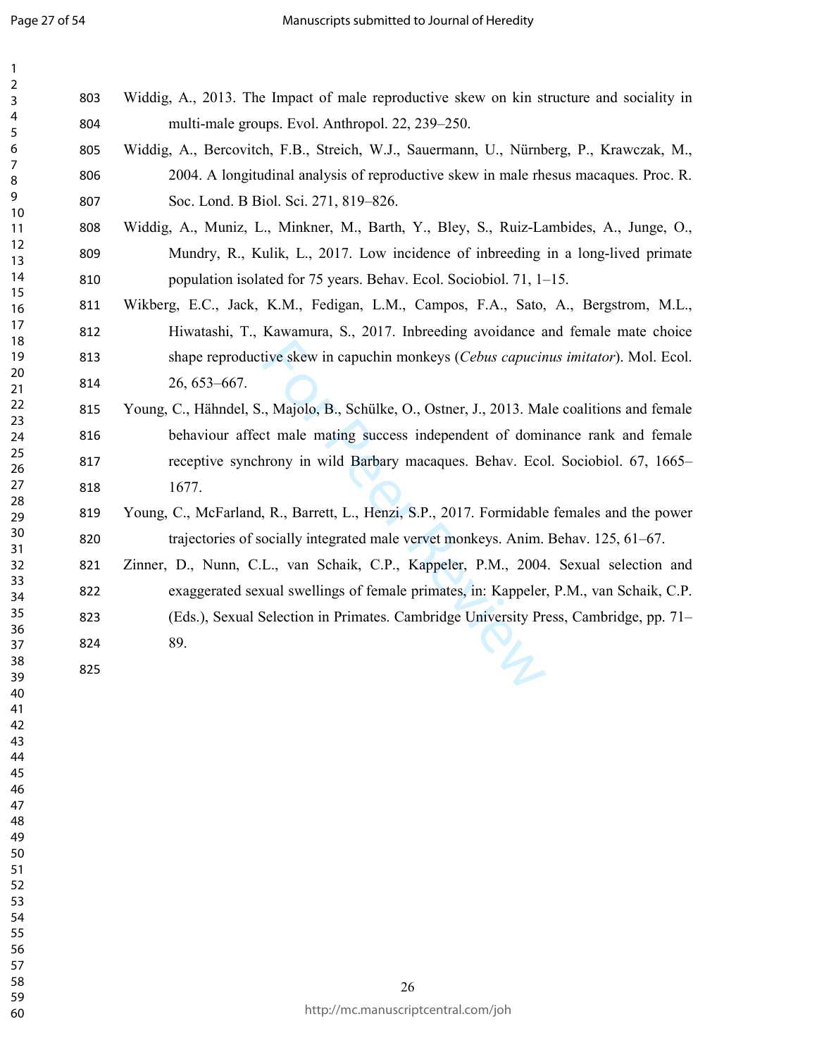$\mathbf{1}$ 

| 1                            |     |                                                                                               |
|------------------------------|-----|-----------------------------------------------------------------------------------------------|
| $\overline{\mathbf{c}}$<br>3 | 803 | Widdig, A., 2013. The Impact of male reproductive skew on kin structure and sociality in      |
| 4<br>5                       | 804 | multi-male groups. Evol. Anthropol. 22, 239-250.                                              |
| 6                            | 805 | Widdig, A., Bercovitch, F.B., Streich, W.J., Sauermann, U., Nürnberg, P., Krawczak, M.,       |
| 7<br>8                       | 806 | 2004. A longitudinal analysis of reproductive skew in male rhesus macaques. Proc. R.          |
| 9<br>10                      | 807 | Soc. Lond. B Biol. Sci. 271, 819-826.                                                         |
| 11                           | 808 | Widdig, A., Muniz, L., Minkner, M., Barth, Y., Bley, S., Ruiz-Lambides, A., Junge, O.,        |
| 12<br>13                     | 809 | Mundry, R., Kulik, L., 2017. Low incidence of inbreeding in a long-lived primate              |
| 14                           | 810 | population isolated for 75 years. Behav. Ecol. Sociobiol. 71, 1–15.                           |
| 15<br>16                     | 811 | Wikberg, E.C., Jack, K.M., Fedigan, L.M., Campos, F.A., Sato, A., Bergstrom, M.L.,            |
| 17<br>18                     | 812 | Hiwatashi, T., Kawamura, S., 2017. Inbreeding avoidance and female mate choice                |
| 19                           | 813 | shape reproductive skew in capuchin monkeys ( <i>Cebus capucinus imitator</i> ). Mol. Ecol.   |
| 20<br>21                     | 814 | 26, 653-667.                                                                                  |
| 22                           | 815 | Young, C., Hähndel, S., Majolo, B., Schülke, O., Ostner, J., 2013. Male coalitions and female |
| 23<br>24                     | 816 | behaviour affect male mating success independent of dominance rank and female                 |
| 25<br>26                     | 817 | receptive synchrony in wild Barbary macaques. Behav. Ecol. Sociobiol. 67, 1665–               |
| 27                           | 818 | 1677.                                                                                         |
| 28<br>29                     | 819 | Young, C., McFarland, R., Barrett, L., Henzi, S.P., 2017. Formidable females and the power    |
| 30<br>31                     | 820 | trajectories of socially integrated male vervet monkeys. Anim. Behav. 125, 61–67.             |
| 32                           | 821 | Zinner, D., Nunn, C.L., van Schaik, C.P., Kappeler, P.M., 2004. Sexual selection and          |
| 33<br>34                     | 822 | exaggerated sexual swellings of female primates, in: Kappeler, P.M., van Schaik, C.P.         |
| 35                           | 823 | (Eds.), Sexual Selection in Primates. Cambridge University Press, Cambridge, pp. 71–          |
| 36<br>37                     | 824 | 89.                                                                                           |
| 38<br>39                     | 825 |                                                                                               |
| 40                           |     |                                                                                               |
| 41<br>42                     |     |                                                                                               |
| 43<br>44                     |     |                                                                                               |
| 45                           |     |                                                                                               |
| 46<br>47                     |     |                                                                                               |
| 48                           |     |                                                                                               |
| 49<br>50                     |     |                                                                                               |
| 51<br>52                     |     |                                                                                               |
| 53                           |     |                                                                                               |
| 54<br>55                     |     |                                                                                               |
| 56                           |     |                                                                                               |
| 57<br>58                     |     | 26                                                                                            |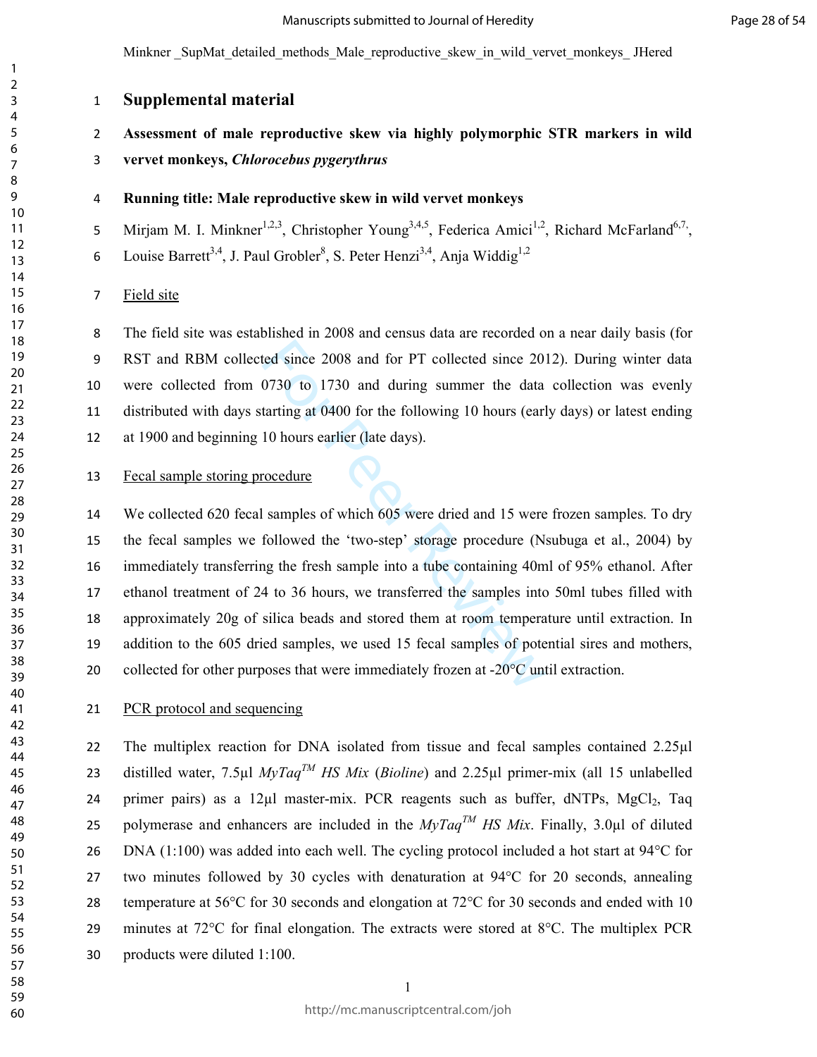#### Manuscripts submitted to Journal of Heredity

 

# **Supplemental material**

# **Assessment of male reproductive skew via highly polymorphic STR markers in wild vervet monkeys,** *Chlorocebus pygerythrus*

# **Running title: Male reproductive skew in wild vervet monkeys**

5 Mirjam M. I. Minkner<sup>1,2,3</sup>, Christopher Young<sup>3,4,5</sup>, Federica Amici<sup>1,2</sup>, Richard McFarland<sup>6,7</sup>,

6 Louise Barrett<sup>3,4</sup>, J. Paul Grobler<sup>8</sup>, S. Peter Henzi<sup>3,4</sup>, Anja Widdig<sup>1,2</sup>

# Field site

The field site was established in 2008 and census data are recorded on a near daily basis (for RST and RBM collected since 2008 and for PT collected since 2012). During winter data were collected from 0730 to 1730 and during summer the data collection was evenly distributed with days starting at 0400 for the following 10 hours (early days) or latest ending at 1900 and beginning 10 hours earlier (late days).

## Fecal sample storing procedure

ted since 2008 and for PT collected since 20<br>0730 to 1730 and during summer the data<br>tarting at 0400 for the following 10 hours (earl<br>10 hours earlier (late days).<br>cocedure<br>samples of which 605 were dried and 15 were<br>foll We collected 620 fecal samples of which 605 were dried and 15 were frozen samples. To dry the fecal samples we followed the 'two-step' storage procedure (Nsubuga et al., 2004) by immediately transferring the fresh sample into a tube containing 40ml of 95% ethanol. After ethanol treatment of 24 to 36 hours, we transferred the samples into 50ml tubes filled with approximately 20g of silica beads and stored them at room temperature until extraction. In addition to the 605 dried samples, we used 15 fecal samples of potential sires and mothers, 20 collected for other purposes that were immediately frozen at  $-20^{\circ}$ C until extraction.

# PCR protocol and sequencing

The multiplex reaction for DNA isolated from tissue and fecal samples contained 2.25µl 23 distilled water, 7.5µl  $MyTag^{TM}$  HS Mix (Bioline) and 2.25µl primer-mix (all 15 unlabelled 24 primer pairs) as a 12 $\mu$ l master-mix. PCR reagents such as buffer, dNTPs, MgCl<sub>2</sub>, Taq 25 polymerase and enhancers are included in the  $MyTag^{TM}$  HS Mix. Finally, 3.0µl of diluted 26 DNA (1:100) was added into each well. The cycling protocol included a hot start at  $94^{\circ}$ C for two minutes followed by 30 cycles with denaturation at 94°C for 20 seconds, annealing temperature at 56°C for 30 seconds and elongation at 72°C for 30 seconds and ended with 10 29 minutes at  $72^{\circ}$ C for final elongation. The extracts were stored at  $8^{\circ}$ C. The multiplex PCR products were diluted 1:100.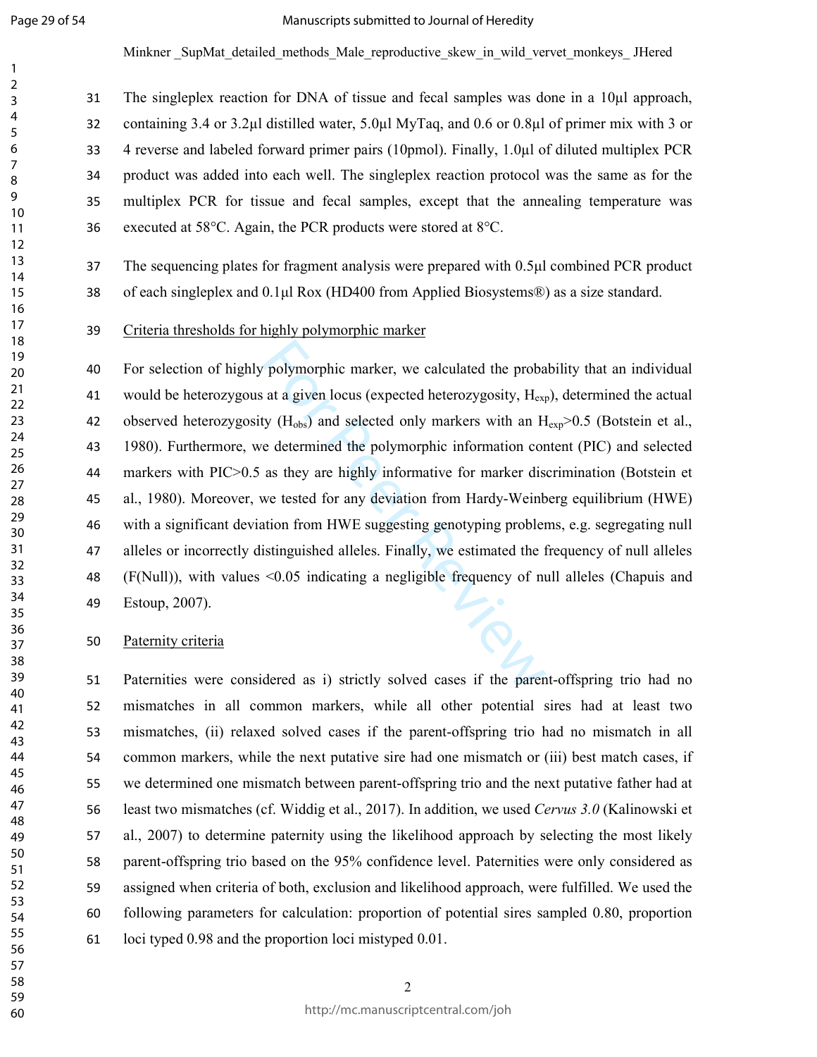$\overline{2}$ 

#### Manuscripts submitted to Journal of Heredity

Minkner SupMat detailed methods Male reproductive skew in wild vervet monkeys JHered

The singleplex reaction for DNA of tissue and fecal samples was done in a 10µl approach, containing 3.4 or 3.2µl distilled water, 5.0µl MyTaq, and 0.6 or 0.8µl of primer mix with 3 or 4 reverse and labeled forward primer pairs (10pmol). Finally, 1.0µl of diluted multiplex PCR product was added into each well. The singleplex reaction protocol was the same as for the multiplex PCR for tissue and fecal samples, except that the annealing temperature was executed at 58°C. Again, the PCR products were stored at 8°C.

The sequencing plates for fragment analysis were prepared with 0.5µl combined PCR product 38 of each singleplex and 0.1 $\mu$ l Rox (HD400 from Applied Biosystems®) as a size standard.

# Criteria thresholds for highly polymorphic marker

polymorphic marker, we calculated the proba<br>at a given locus (expected heterozygosity,  $H_{\text{ex}}$ <br>ty ( $H_{\text{obs}}$ ) and selected only markers with an H<br>e determined the polymorphic information cor<br>as they are highly informati For selection of highly polymorphic marker, we calculated the probability that an individual 41 would be heterozygous at a given locus (expected heterozygosity,  $H_{\text{exp}}$ ), determined the actual 42 observed heterozygosity  $(H_{obs})$  and selected only markers with an  $H_{exp} > 0.5$  (Botstein et al., 1980). Furthermore, we determined the polymorphic information content (PIC) and selected markers with PIC>0.5 as they are highly informative for marker discrimination (Botstein et al., 1980). Moreover, we tested for any deviation from Hardy-Weinberg equilibrium (HWE) with a significant deviation from HWE suggesting genotyping problems, e.g. segregating null alleles or incorrectly distinguished alleles. Finally, we estimated the frequency of null alleles (F(Null)), with values <0.05 indicating a negligible frequency of null alleles (Chapuis and Estoup, 2007).

# Paternity criteria

Paternities were considered as i) strictly solved cases if the parent-offspring trio had no mismatches in all common markers, while all other potential sires had at least two mismatches, (ii) relaxed solved cases if the parent-offspring trio had no mismatch in all common markers, while the next putative sire had one mismatch or (iii) best match cases, if we determined one mismatch between parent-offspring trio and the next putative father had at least two mismatches (cf. Widdig et al., 2017). In addition, we used *Cervus 3.0* (Kalinowski et al., 2007) to determine paternity using the likelihood approach by selecting the most likely parent-offspring trio based on the 95% confidence level. Paternities were only considered as assigned when criteria of both, exclusion and likelihood approach, were fulfilled. We used the following parameters for calculation: proportion of potential sires sampled 0.80, proportion loci typed 0.98 and the proportion loci mistyped 0.01.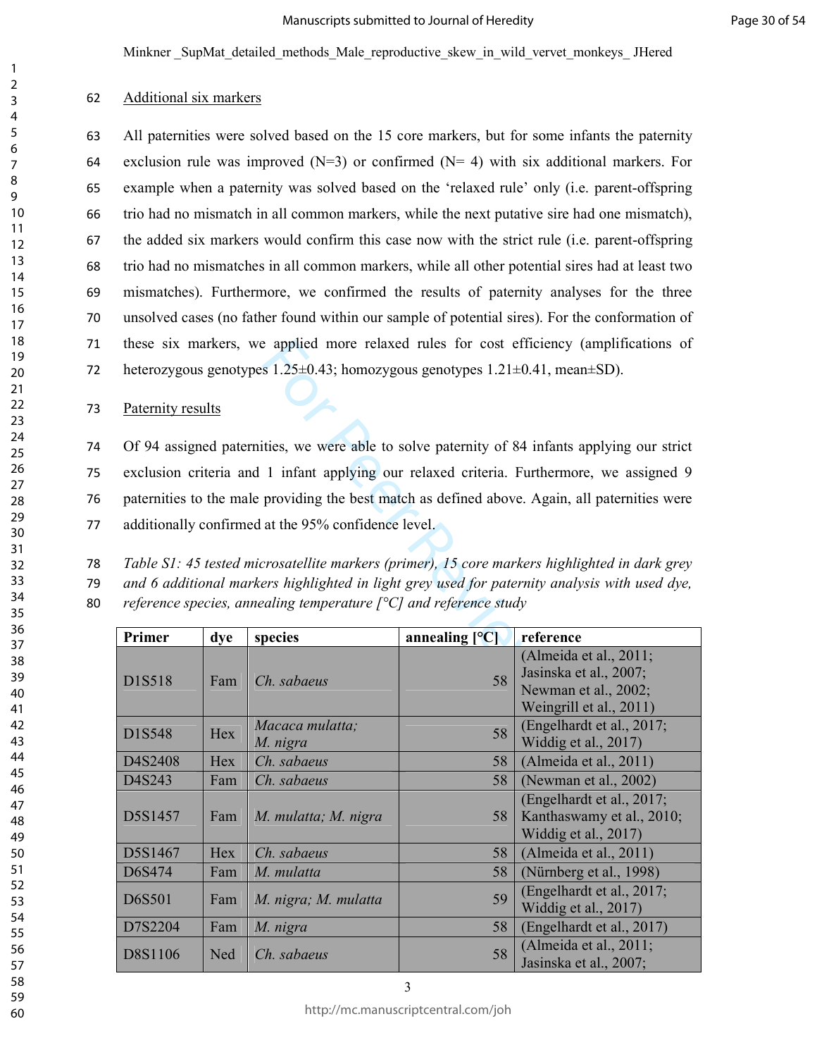Minkner SupMat detailed methods Male reproductive skew in wild vervet monkeys JHered

# Additional six markers

All paternities were solved based on the 15 core markers, but for some infants the paternity 64 exclusion rule was improved  $(N=3)$  or confirmed  $(N=4)$  with six additional markers. For example when a paternity was solved based on the 'relaxed rule' only (i.e. parent-offspring trio had no mismatch in all common markers, while the next putative sire had one mismatch), the added six markers would confirm this case now with the strict rule (i.e. parent-offspring trio had no mismatches in all common markers, while all other potential sires had at least two mismatches). Furthermore, we confirmed the results of paternity analyses for the three unsolved cases (no father found within our sample of potential sires). For the conformation of these six markers, we applied more relaxed rules for cost efficiency (amplifications of 72 heterozygous genotypes  $1.25 \pm 0.43$ ; homozygous genotypes  $1.21 \pm 0.41$ , mean $\pm$ SD).

# Paternity results

Examplied more relaxed rules for cost efficies<br>
s 1.25±0.43; homozygous genotypes 1.21±0.41<br>
ities, we were able to solve paternity of 84 in<br>
1 infant applying our relaxed criteria. Furth<br>
providing the best match as defi Of 94 assigned paternities, we were able to solve paternity of 84 infants applying our strict exclusion criteria and 1 infant applying our relaxed criteria. Furthermore, we assigned 9 paternities to the male providing the best match as defined above. Again, all paternities were additionally confirmed at the 95% confidence level.

*Table S1: 45 tested microsatellite markers (primer), 15 core markers highlighted in dark grey and 6 additional markers highlighted in light grey used for paternity analysis with used dye, reference species, annealing temperature [°C] and reference study* 

| Primer  | dye        | species                     | annealing $[°C]$ | reference                                                                                           |
|---------|------------|-----------------------------|------------------|-----------------------------------------------------------------------------------------------------|
| D1S518  | Fam        | Ch. sabaeus                 | 58               | (Almeida et al., 2011;<br>Jasinska et al., 2007;<br>Newman et al., 2002;<br>Weingrill et al., 2011) |
| D1S548  | <b>Hex</b> | Macaca mulatta;<br>M. nigra | 58               | (Engelhardt et al., 2017;<br>Widdig et al., 2017)                                                   |
| D4S2408 | Hex        | Ch. sabaeus                 | 58               | (Almeida et al., 2011)                                                                              |
| D4S243  | Fam        | Ch. sabaeus                 | 58               | (Newman et al., 2002)                                                                               |
| D5S1457 | Fam        | M. mulatta; M. nigra        | 58               | (Engelhardt et al., 2017;<br>Kanthaswamy et al., 2010;<br>Widdig et al., 2017)                      |
| D5S1467 | Hex        | Ch. sabaeus                 | 58               | (Almeida et al., 2011)                                                                              |
| D6S474  | Fam        | M. mulatta                  | 58               | (Nürnberg et al., 1998)                                                                             |
| D6S501  | Fam        | M. nigra; M. mulatta        | 59               | (Engelhardt et al., 2017;<br>Widdig et al., 2017)                                                   |
| D7S2204 | Fam        | M. nigra                    | 58               | (Engelhardt et al., 2017)                                                                           |
| D8S1106 | Ned        | Ch. sabaeus                 | 58               | (Almeida et al., 2011;<br>Jasinska et al., 2007;                                                    |

|                         | 14                        |
|-------------------------|---------------------------|
| $\mathbf{l}$            |                           |
|                         | 5                         |
|                         |                           |
| 16<br>17<br>18          | $\overline{\mathbf{3}}$   |
| 1                       | $\ddot{\phantom{0}}$<br>∢ |
| $\overline{2}$          | $\mathbf{C}$              |
|                         | $\overline{21}$           |
| $\overline{2}$          | $\overline{2}$            |
| $\overline{2}$          | $\overline{\mathbf{3}}$   |
|                         | $\frac{24}{5}$            |
|                         | 25                        |
|                         |                           |
| $\overline{26}$         | 5                         |
| $\overline{2}$          |                           |
|                         | 28                        |
| $\overline{2}$          | 9                         |
|                         | 30                        |
|                         | $\overline{\textbf{3}}$   |
| 3                       | $\overline{2}$            |
| $\overline{\mathbf{3}}$ | $\overline{\mathbf{3}}$   |
|                         | 34                        |
|                         | .<br>35                   |
| $\frac{1}{2}$           | 5                         |
|                         |                           |
|                         |                           |
| $\overline{\mathbf{3}}$ | 7                         |
|                         | .<br>38                   |
| 3s                      | 9                         |
|                         | $^{40}$                   |
|                         | 41                        |
| 4                       | $\overline{2}$            |
| $\overline{4}$          | $\overline{\mathbf{3}}$   |
|                         | 44                        |
|                         | 45                        |
| 46                      | 5                         |
|                         |                           |
|                         | →∽<br>47<br>48            |
|                         | 49                        |
|                         | -<br>50                   |
|                         | -<br>51                   |
|                         | )                         |
|                         | i                         |
|                         | 1                         |
|                         |                           |
|                         | ١F                        |
|                         |                           |
|                         | ر<br>֧֛֛֓֜֜               |
| ï                       | ĺ<br>ر                    |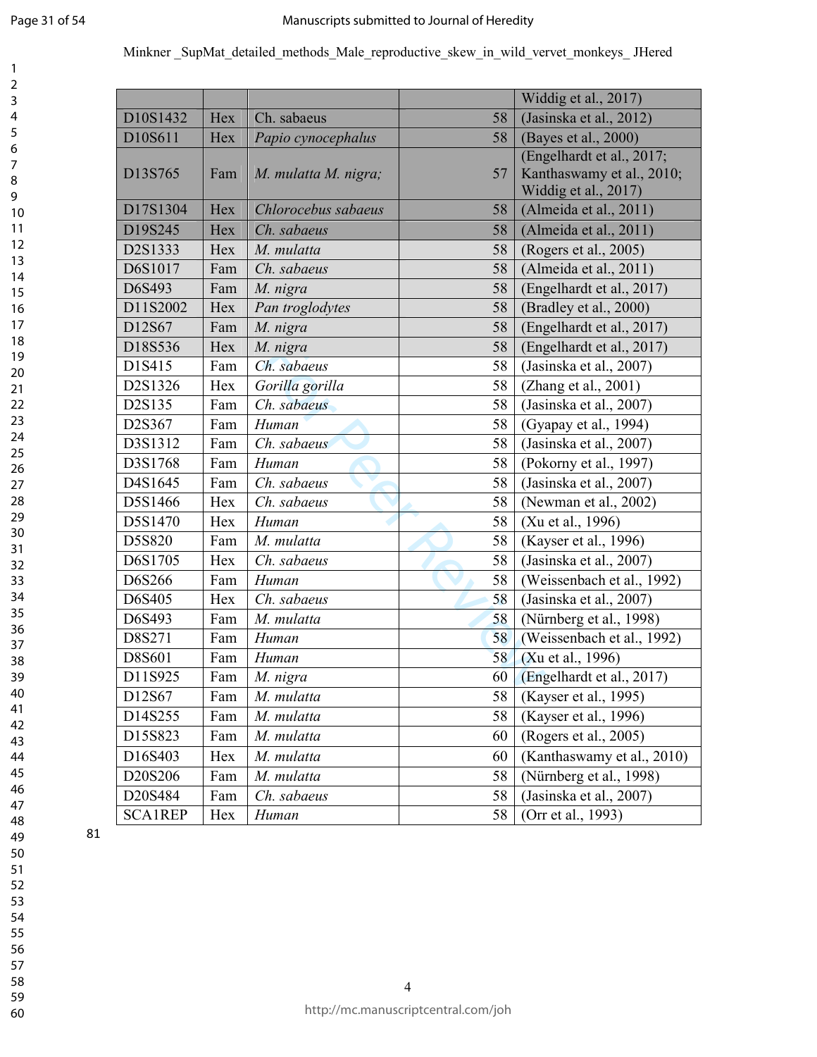|  |  | Minkner SupMat detailed methods Male reproductive skew in wild vervet monkeys JHered |  |  |  |
|--|--|--------------------------------------------------------------------------------------|--|--|--|
|  |  |                                                                                      |  |  |  |

|                |     |                      |    | Widdig et al., 2017)                                                           |
|----------------|-----|----------------------|----|--------------------------------------------------------------------------------|
| D10S1432       | Hex | Ch. sabaeus          | 58 | (Jasinska et al., 2012)                                                        |
| D10S611        | Hex | Papio cynocephalus   | 58 | (Bayes et al., 2000)                                                           |
| D13S765        | Fam | M. mulatta M. nigra; | 57 | (Engelhardt et al., 2017;<br>Kanthaswamy et al., 2010;<br>Widdig et al., 2017) |
| D17S1304       | Hex | Chlorocebus sabaeus  | 58 | (Almeida et al., 2011)                                                         |
| D19S245        | Hex | Ch. sabaeus          | 58 | (Almeida et al., 2011)                                                         |
| D2S1333        | Hex | M. mulatta           | 58 | (Rogers et al., 2005)                                                          |
| D6S1017        | Fam | Ch. sabaeus          | 58 | (Almeida et al., 2011)                                                         |
| D6S493         | Fam | M. nigra             | 58 | (Engelhardt et al., 2017)                                                      |
| D11S2002       | Hex | Pan troglodytes      | 58 | (Bradley et al., 2000)                                                         |
| D12S67         | Fam | M. nigra             | 58 | (Engelhardt et al., 2017)                                                      |
| D18S536        | Hex | M. nigra             | 58 | (Engelhardt et al., 2017)                                                      |
| D1S415         | Fam | Ch. sabaeus          | 58 | (Jasinska et al., 2007)                                                        |
| D2S1326        | Hex | Gorilla gorilla      | 58 | (Zhang et al., 2001)                                                           |
| D2S135         | Fam | Ch. sabaeus          | 58 | (Jasinska et al., 2007)                                                        |
| D2S367         | Fam | Human                | 58 | (Gyapay et al., 1994)                                                          |
| D3S1312        | Fam | Ch. sabaeus          | 58 | (Jasinska et al., 2007)                                                        |
| D3S1768        | Fam | Human                | 58 | (Pokorny et al., 1997)                                                         |
| D4S1645        | Fam | Ch. sabaeus          | 58 | (Jasinska et al., 2007)                                                        |
| D5S1466        | Hex | Ch. sabaeus          | 58 | (Newman et al., 2002)                                                          |
| D5S1470        | Hex | Human                | 58 | (Xu et al., 1996)                                                              |
| D5S820         | Fam | M. mulatta           | 58 | (Kayser et al., 1996)                                                          |
| D6S1705        | Hex | Ch. sabaeus          | 58 | (Jasinska et al., 2007)                                                        |
| D6S266         | Fam | Human                | 58 | (Weissenbach et al., 1992)                                                     |
| D6S405         | Hex | Ch. sabaeus          | 58 | (Jasinska et al., 2007)                                                        |
| D6S493         | Fam | M. mulatta           | 58 | (Nürnberg et al., 1998)                                                        |
| D8S271         | Fam | Human                | 58 | (Weissenbach et al., 1992)                                                     |
| D8S601         | Fam | Human                | 58 | (Xu et al., 1996)                                                              |
| D11S925        | Fam | M. nigra             | 60 | (Engelhardt et al., 2017)                                                      |
| D12S67         | Fam | M. mulatta           | 58 | (Kayser et al., 1995)                                                          |
| D14S255        | Fam | M. mulatta           | 58 | (Kayser et al., 1996)                                                          |
| D15S823        | Fam | M. mulatta           | 60 | (Rogers et al., 2005)                                                          |
| D16S403        | Hex | M. mulatta           | 60 | (Kanthaswamy et al., 2010)                                                     |
| D20S206        | Fam | M. mulatta           | 58 | (Nürnberg et al., 1998)                                                        |
| D20S484        | Fam | Ch. sabaeus          | 58 | (Jasinska et al., 2007)                                                        |
| <b>SCA1REP</b> | Hex | Human                | 58 | (Orr et al., 1993)                                                             |

81

4 http://mc.manuscriptcentral.com/joh

53 54 55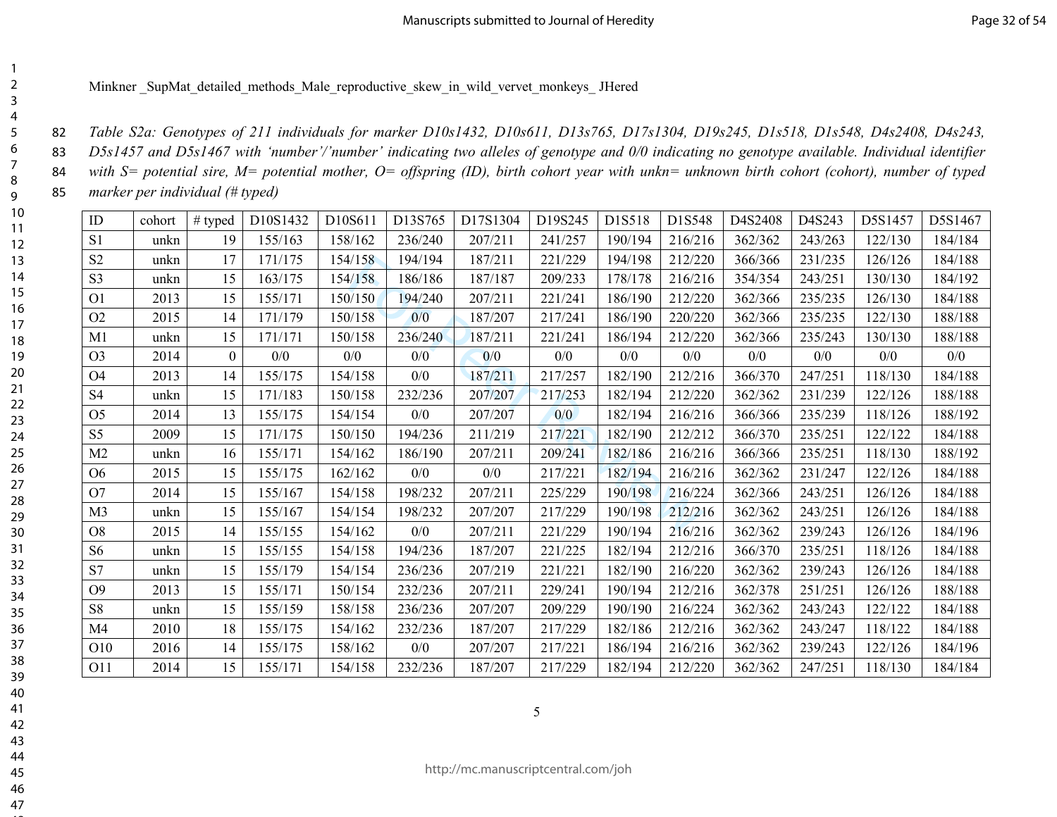Minkner SupMat detailed methods Male reproductive skew in wild vervet monkeys JHered

*Table S2a: Genotypes of 211 individuals for marker D10s1432, D10s611, D13s765, D17s1304, D19s245, D1s518, D1s548, D4s2408, D4s243, D5s1457 and D5s1467 with 'number'/'number' indicating two alleles of genotype and 0/0 indicating no genotype available. Individual identifier*  84 with S= potential sire, M= potential mother, O= offspring (ID), birth cohort year with unkn= unknown birth cohort (cohort), number of typed *marker per individual (# typed)* 

| ID             | cohort | # typed        | D <sub>10</sub> S <sub>1432</sub> | D <sub>10</sub> S611 | D13S765 | D17S1304 | D19S245 | D1S518  | D1S548  | D4S2408 | D4S243  | D5S1457 | D5S1467 |
|----------------|--------|----------------|-----------------------------------|----------------------|---------|----------|---------|---------|---------|---------|---------|---------|---------|
| S1             | unkn   | 19             | 155/163                           | 158/162              | 236/240 | 207/211  | 241/257 | 190/194 | 216/216 | 362/362 | 243/263 | 122/130 | 184/184 |
| S <sub>2</sub> | unkn   | 17             | 171/175                           | 154/158              | 194/194 | 187/211  | 221/229 | 194/198 | 212/220 | 366/366 | 231/235 | 126/126 | 184/188 |
| S <sub>3</sub> | unkn   | 15             | 163/175                           | 154/158              | 186/186 | 187/187  | 209/233 | 178/178 | 216/216 | 354/354 | 243/251 | 130/130 | 184/192 |
| O <sub>1</sub> | 2013   | 15             | 155/171                           | 150/150              | 194/240 | 207/211  | 221/241 | 186/190 | 212/220 | 362/366 | 235/235 | 126/130 | 184/188 |
| O2             | 2015   | 14             | 171/179                           | 150/158              | 0/0     | 187/207  | 217/241 | 186/190 | 220/220 | 362/366 | 235/235 | 122/130 | 188/188 |
| M1             | unkn   | 15             | 171/171                           | 150/158              | 236/240 | 187/211  | 221/241 | 186/194 | 212/220 | 362/366 | 235/243 | 130/130 | 188/188 |
| O <sub>3</sub> | 2014   | $\overline{0}$ | 0/0                               | 0/0                  | 0/0     | 0/0      | 0/0     | 0/0     | 0/0     | 0/0     | 0/0     | 0/0     | 0/0     |
| <b>O4</b>      | 2013   | 14             | 155/175                           | 154/158              | 0/0     | 187/211  | 217/257 | 182/190 | 212/216 | 366/370 | 247/251 | 118/130 | 184/188 |
| S <sub>4</sub> | unkn   | 15             | 171/183                           | 150/158              | 232/236 | 207/207  | 217/253 | 182/194 | 212/220 | 362/362 | 231/239 | 122/126 | 188/188 |
| O <sub>5</sub> | 2014   | 13             | 155/175                           | 154/154              | 0/0     | 207/207  | 0/0     | 182/194 | 216/216 | 366/366 | 235/239 | 118/126 | 188/192 |
| S <sub>5</sub> | 2009   | 15             | 171/175                           | 150/150              | 194/236 | 211/219  | 217/221 | 182/190 | 212/212 | 366/370 | 235/251 | 122/122 | 184/188 |
| M <sub>2</sub> | unkn   | 16             | 155/171                           | 154/162              | 186/190 | 207/211  | 209/241 | 182/186 | 216/216 | 366/366 | 235/251 | 118/130 | 188/192 |
| O <sub>6</sub> | 2015   | 15             | 155/175                           | 162/162              | 0/0     | 0/0      | 217/221 | 182/194 | 216/216 | 362/362 | 231/247 | 122/126 | 184/188 |
| O <sub>7</sub> | 2014   | 15             | 155/167                           | 154/158              | 198/232 | 207/211  | 225/229 | 190/198 | 216/224 | 362/366 | 243/251 | 126/126 | 184/188 |
| M <sub>3</sub> | unkn   | 15             | 155/167                           | 154/154              | 198/232 | 207/207  | 217/229 | 190/198 | 212/216 | 362/362 | 243/251 | 126/126 | 184/188 |
| O <sub>8</sub> | 2015   | 14             | 155/155                           | 154/162              | 0/0     | 207/211  | 221/229 | 190/194 | 216/216 | 362/362 | 239/243 | 126/126 | 184/196 |
| S <sub>6</sub> | unkn   | 15             | 155/155                           | 154/158              | 194/236 | 187/207  | 221/225 | 182/194 | 212/216 | 366/370 | 235/251 | 118/126 | 184/188 |
| S7             | unkn   | 15             | 155/179                           | 154/154              | 236/236 | 207/219  | 221/221 | 182/190 | 216/220 | 362/362 | 239/243 | 126/126 | 184/188 |
| O <sub>9</sub> | 2013   | 15             | 155/171                           | 150/154              | 232/236 | 207/211  | 229/241 | 190/194 | 212/216 | 362/378 | 251/251 | 126/126 | 188/188 |
| S <sub>8</sub> | unkn   | 15             | 155/159                           | 158/158              | 236/236 | 207/207  | 209/229 | 190/190 | 216/224 | 362/362 | 243/243 | 122/122 | 184/188 |
| M <sub>4</sub> | 2010   | 18             | 155/175                           | 154/162              | 232/236 | 187/207  | 217/229 | 182/186 | 212/216 | 362/362 | 243/247 | 118/122 | 184/188 |
| O10            | 2016   | 14             | 155/175                           | 158/162              | 0/0     | 207/207  | 217/221 | 186/194 | 216/216 | 362/362 | 239/243 | 122/126 | 184/196 |
| <b>O11</b>     | 2014   | 15             | 155/171                           | 154/158              | 232/236 | 187/207  | 217/229 | 182/194 | 212/220 | 362/362 | 247/251 | 118/130 | 184/184 |

47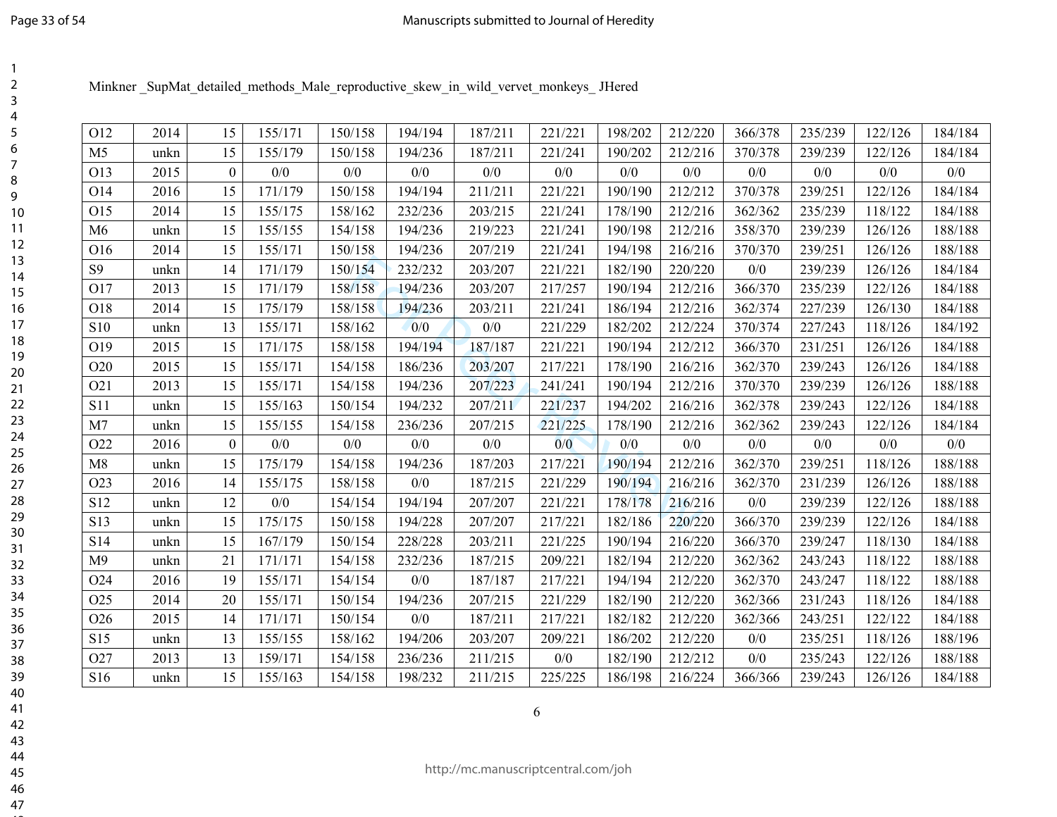|  |  | Minkner SupMat detailed methods Male reproductive skew in wild vervet monkeys JHered |  |  |  |
|--|--|--------------------------------------------------------------------------------------|--|--|--|
|  |  |                                                                                      |  |  |  |

| O12             | 2014 | 15               | 155/171 | 150/158 | 194/194 | 187/211 | 221/221 | 198/202 | 212/220 | 366/378 | 235/239 | 122/126 | 184/184 |
|-----------------|------|------------------|---------|---------|---------|---------|---------|---------|---------|---------|---------|---------|---------|
| M5              | unkn | 15               | 155/179 | 150/158 | 194/236 | 187/211 | 221/241 | 190/202 | 212/216 | 370/378 | 239/239 | 122/126 | 184/184 |
| O13             | 2015 | $\boldsymbol{0}$ | 0/0     | $0/0$   | 0/0     | 0/0     | $0/0$   | 0/0     | 0/0     | 0/0     | 0/0     | $0/0$   | $0/0$   |
| O14             | 2016 | 15               | 171/179 | 150/158 | 194/194 | 211/211 | 221/221 | 190/190 | 212/212 | 370/378 | 239/251 | 122/126 | 184/184 |
| O15             | 2014 | 15               | 155/175 | 158/162 | 232/236 | 203/215 | 221/241 | 178/190 | 212/216 | 362/362 | 235/239 | 118/122 | 184/188 |
| M6              | unkn | 15               | 155/155 | 154/158 | 194/236 | 219/223 | 221/241 | 190/198 | 212/216 | 358/370 | 239/239 | 126/126 | 188/188 |
| O16             | 2014 | 15               | 155/171 | 150/158 | 194/236 | 207/219 | 221/241 | 194/198 | 216/216 | 370/370 | 239/251 | 126/126 | 188/188 |
| <b>S9</b>       | unkn | 14               | 171/179 | 150/154 | 232/232 | 203/207 | 221/221 | 182/190 | 220/220 | 0/0     | 239/239 | 126/126 | 184/184 |
| O17             | 2013 | 15               | 171/179 | 158/158 | 194/236 | 203/207 | 217/257 | 190/194 | 212/216 | 366/370 | 235/239 | 122/126 | 184/188 |
| O18             | 2014 | 15               | 175/179 | 158/158 | 194/236 | 203/211 | 221/241 | 186/194 | 212/216 | 362/374 | 227/239 | 126/130 | 184/188 |
| <b>S10</b>      | unkn | 13               | 155/171 | 158/162 | 0/0     | 0/0     | 221/229 | 182/202 | 212/224 | 370/374 | 227/243 | 118/126 | 184/192 |
| O19             | 2015 | 15               | 171/175 | 158/158 | 194/194 | 187/187 | 221/221 | 190/194 | 212/212 | 366/370 | 231/251 | 126/126 | 184/188 |
| O <sub>20</sub> | 2015 | 15               | 155/171 | 154/158 | 186/236 | 203/207 | 217/221 | 178/190 | 216/216 | 362/370 | 239/243 | 126/126 | 184/188 |
| O21             | 2013 | 15               | 155/171 | 154/158 | 194/236 | 207/223 | 241/241 | 190/194 | 212/216 | 370/370 | 239/239 | 126/126 | 188/188 |
| <b>S11</b>      | unkn | 15               | 155/163 | 150/154 | 194/232 | 207/211 | 221/237 | 194/202 | 216/216 | 362/378 | 239/243 | 122/126 | 184/188 |
| M7              | unkn | 15               | 155/155 | 154/158 | 236/236 | 207/215 | 221/225 | 178/190 | 212/216 | 362/362 | 239/243 | 122/126 | 184/184 |
| O22             | 2016 | $\theta$         | 0/0     | 0/0     | 0/0     | 0/0     | 0/0     | 0/0     | 0/0     | 0/0     | 0/0     | 0/0     | 0/0     |
| $\mathbf{M8}$   | unkn | 15               | 175/179 | 154/158 | 194/236 | 187/203 | 217/221 | 190/194 | 212/216 | 362/370 | 239/251 | 118/126 | 188/188 |
| O23             | 2016 | 14               | 155/175 | 158/158 | 0/0     | 187/215 | 221/229 | 190/194 | 216/216 | 362/370 | 231/239 | 126/126 | 188/188 |
| S12             | unkn | 12               | 0/0     | 154/154 | 194/194 | 207/207 | 221/221 | 178/178 | 216/216 | 0/0     | 239/239 | 122/126 | 188/188 |
| S13             | unkn | 15               | 175/175 | 150/158 | 194/228 | 207/207 | 217/221 | 182/186 | 220/220 | 366/370 | 239/239 | 122/126 | 184/188 |
| S <sub>14</sub> | unkn | 15               | 167/179 | 150/154 | 228/228 | 203/211 | 221/225 | 190/194 | 216/220 | 366/370 | 239/247 | 118/130 | 184/188 |
| M <sub>9</sub>  | unkn | 21               | 171/171 | 154/158 | 232/236 | 187/215 | 209/221 | 182/194 | 212/220 | 362/362 | 243/243 | 118/122 | 188/188 |
| O24             | 2016 | 19               | 155/171 | 154/154 | 0/0     | 187/187 | 217/221 | 194/194 | 212/220 | 362/370 | 243/247 | 118/122 | 188/188 |
| O25             | 2014 | $20\,$           | 155/171 | 150/154 | 194/236 | 207/215 | 221/229 | 182/190 | 212/220 | 362/366 | 231/243 | 118/126 | 184/188 |
| O <sub>26</sub> | 2015 | 14               | 171/171 | 150/154 | 0/0     | 187/211 | 217/221 | 182/182 | 212/220 | 362/366 | 243/251 | 122/122 | 184/188 |
| S15             | unkn | 13               | 155/155 | 158/162 | 194/206 | 203/207 | 209/221 | 186/202 | 212/220 | 0/0     | 235/251 | 118/126 | 188/196 |
| O27             | 2013 | 13               | 159/171 | 154/158 | 236/236 | 211/215 | 0/0     | 182/190 | 212/212 | 0/0     | 235/243 | 122/126 | 188/188 |
| S16             | unkn | 15               | 155/163 | 154/158 | 198/232 | 211/215 | 225/225 | 186/198 | 216/224 | 366/366 | 239/243 | 126/126 | 184/188 |
|                 |      |                  |         |         |         |         |         |         |         |         |         |         |         |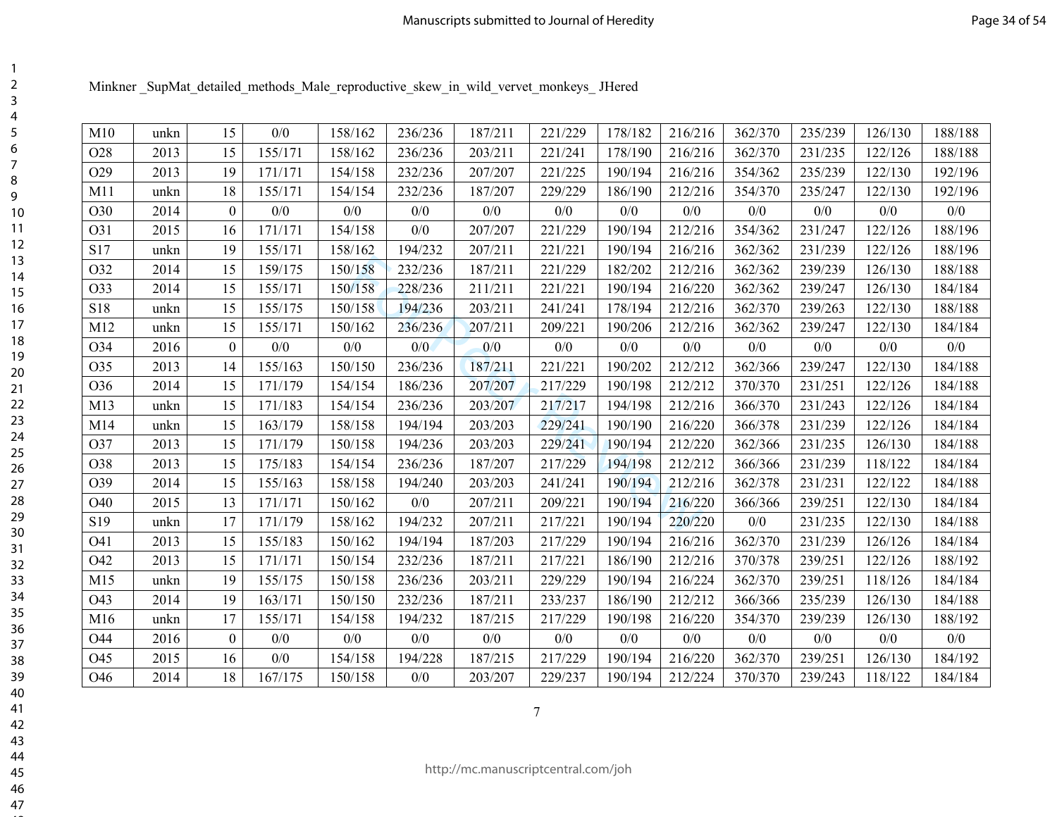|  |  | Minkner SupMat detailed methods Male reproductive skew in wild vervet monkeys JHered |  |  |  |
|--|--|--------------------------------------------------------------------------------------|--|--|--|
|  |  |                                                                                      |  |  |  |

| 15<br>188/188<br>M10<br>0/0<br>158/162<br>236/236<br>187/211<br>221/229<br>178/182<br>216/216<br>362/370<br>235/239<br>126/130<br>unkn<br>O28<br>2013<br>15<br>178/190<br>216/216<br>188/188<br>155/171<br>158/162<br>236/236<br>203/211<br>221/241<br>362/370<br>231/235<br>122/126<br>O29<br>19<br>2013<br>171/171<br>232/236<br>190/194<br>216/216<br>354/362<br>235/239<br>122/130<br>154/158<br>207/207<br>221/225<br>M11<br>18<br>155/171<br>154/154<br>232/236<br>187/207<br>229/229<br>186/190<br>212/216<br>354/370<br>235/247<br>122/130<br>unkn<br>O30<br>2014<br>$\boldsymbol{0}$<br>0/0<br>0/0<br>0/0<br>0/0<br>0/0<br>0/0<br>0/0<br>0/0<br>0/0<br>0/0<br>0/0<br>O31<br>2015<br>171/171<br>154/158<br>0/0<br>207/207<br>221/229<br>190/194<br>212/216<br>354/362<br>231/247<br>122/126<br>188/196<br>16<br>S17<br>19<br>155/171<br>158/162<br>194/232<br>221/221<br>190/194<br>216/216<br>362/362<br>122/126<br>207/211<br>231/239<br>unkn<br>15<br>O32<br>2014<br>159/175<br>232/236<br>187/211<br>221/229<br>182/202<br>212/216<br>362/362<br>239/239<br>126/130<br>188/188<br>150/158<br>O33<br>2014<br>15<br>228/236<br>190/194<br>216/220<br>362/362<br>155/171<br>150/158<br>211/211<br>221/221<br>239/247<br>126/130<br><b>S18</b><br>15<br>155/175<br>194/236<br>203/211<br>241/241<br>178/194<br>212/216<br>362/370<br>122/130<br>188/188<br>150/158<br>239/263<br>unkn<br>M12<br>15<br>155/171<br>236/236<br>207/211<br>209/221<br>190/206<br>212/216<br>362/362<br>150/162<br>239/247<br>122/130<br>unkn<br>O34<br>0/0<br>0/0<br>$0/0$<br>$0/0$<br>2016<br>$\theta$<br>0/0<br>0/0<br>0/0<br>0/0<br>0/0<br>0/0<br>0/0<br>O35<br>2013<br>14<br>155/163<br>150/150<br>236/236<br>187/211<br>190/202<br>212/212<br>362/366<br>239/247<br>122/130<br>184/188<br>221/221<br>O36<br>15<br>186/236<br>190/198<br>212/212<br>370/370<br>231/251<br>184/188<br>2014<br>171/179<br>154/154<br>207/207<br>217/229<br>122/126<br>M13<br>15<br>171/183<br>236/236<br>194/198<br>212/216<br>366/370<br>154/154<br>203/207<br>217/217<br>231/243<br>122/126<br>unkn<br>M14<br>15<br>158/158<br>194/194<br>229/241<br>190/190<br>216/220<br>366/378<br>122/126<br>184/184<br>163/179<br>203/203<br>231/239<br>unkn<br>O37<br>2013<br>15<br>194/236<br>203/203<br>229/241<br>190/194<br>212/220<br>362/366<br>231/235<br>184/188<br>171/179<br>150/158<br>126/130<br>O38<br>2013<br>15<br>175/183<br>154/154<br>236/236<br>217/229<br>194/198<br>212/212<br>118/122<br>187/207<br>366/366<br>231/239<br>O39<br>184/188<br>2014<br>15<br>155/163<br>158/158<br>194/240<br>203/203<br>241/241<br>190/194<br>212/216<br>362/378<br>231/231<br>122/122<br>184/184<br>O40<br>2015<br>13<br>171/171<br>0/0<br>207/211<br>190/194<br>216/220<br>239/251<br>122/130<br>150/162<br>209/221<br>366/366<br>S19<br>17<br>194/232<br>190/194<br>220/220<br>0/0<br>184/188<br>171/179<br>158/162<br>207/211<br>217/221<br>231/235<br>122/130<br>unkn<br>15<br>O41<br>2013<br>155/183<br>194/194<br>187/203<br>217/229<br>190/194<br>216/216<br>362/370<br>231/239<br>126/126<br>150/162<br>O42<br>15<br>212/216<br>188/192<br>2013<br>171/171<br>150/154<br>232/236<br>187/211<br>217/221<br>186/190<br>370/378<br>239/251<br>122/126<br>M15<br>19<br>236/236<br>190/194<br>216/224<br>362/370<br>155/175<br>150/158<br>203/211<br>229/229<br>239/251<br>118/126<br>unkn<br>O43<br>2014<br>19<br>163/171<br>232/236<br>187/211<br>233/237<br>186/190<br>212/212<br>366/366<br>235/239<br>126/130<br>150/150<br>17<br>155/171<br>194/232<br>190/198<br>216/220<br>354/370<br>M16<br>154/158<br>187/215<br>217/229<br>239/239<br>126/130<br>unkn<br>O44<br>0/0<br>0/0<br>0/0<br>0/0<br>0/0<br>0/0<br>0/0<br>0/0<br>2016<br>$\theta$<br>0/0<br>0/0<br>0/0<br>0/0<br>O45<br>154/158<br>194/228<br>187/215<br>190/194<br>216/220<br>362/370<br>239/251<br>2015<br>16<br>217/229<br>126/130<br>18<br>0/0<br>O46<br>2014<br>167/175<br>150/158<br>203/207<br>229/237<br>190/194<br>212/224<br>370/370<br>239/243<br>118/122 |  |  |  |  |  |  |         |
|--------------------------------------------------------------------------------------------------------------------------------------------------------------------------------------------------------------------------------------------------------------------------------------------------------------------------------------------------------------------------------------------------------------------------------------------------------------------------------------------------------------------------------------------------------------------------------------------------------------------------------------------------------------------------------------------------------------------------------------------------------------------------------------------------------------------------------------------------------------------------------------------------------------------------------------------------------------------------------------------------------------------------------------------------------------------------------------------------------------------------------------------------------------------------------------------------------------------------------------------------------------------------------------------------------------------------------------------------------------------------------------------------------------------------------------------------------------------------------------------------------------------------------------------------------------------------------------------------------------------------------------------------------------------------------------------------------------------------------------------------------------------------------------------------------------------------------------------------------------------------------------------------------------------------------------------------------------------------------------------------------------------------------------------------------------------------------------------------------------------------------------------------------------------------------------------------------------------------------------------------------------------------------------------------------------------------------------------------------------------------------------------------------------------------------------------------------------------------------------------------------------------------------------------------------------------------------------------------------------------------------------------------------------------------------------------------------------------------------------------------------------------------------------------------------------------------------------------------------------------------------------------------------------------------------------------------------------------------------------------------------------------------------------------------------------------------------------------------------------------------------------------------------------------------------------------------------------------------------------------------------------------------------------------------------------------------------------------------------------------------------------------------------------------------------------------------------------------------------------------------------------------------------------------------------------------------------------------------------------------------------------------------------------------------------------------------------------------------------------------------------------------------------------------------------------------------------------------------------------------------------------------------------------------------------------------------------------------------------------------------------------|--|--|--|--|--|--|---------|
|                                                                                                                                                                                                                                                                                                                                                                                                                                                                                                                                                                                                                                                                                                                                                                                                                                                                                                                                                                                                                                                                                                                                                                                                                                                                                                                                                                                                                                                                                                                                                                                                                                                                                                                                                                                                                                                                                                                                                                                                                                                                                                                                                                                                                                                                                                                                                                                                                                                                                                                                                                                                                                                                                                                                                                                                                                                                                                                                                                                                                                                                                                                                                                                                                                                                                                                                                                                                                                                                                                                                                                                                                                                                                                                                                                                                                                                                                                                                                                                                              |  |  |  |  |  |  |         |
|                                                                                                                                                                                                                                                                                                                                                                                                                                                                                                                                                                                                                                                                                                                                                                                                                                                                                                                                                                                                                                                                                                                                                                                                                                                                                                                                                                                                                                                                                                                                                                                                                                                                                                                                                                                                                                                                                                                                                                                                                                                                                                                                                                                                                                                                                                                                                                                                                                                                                                                                                                                                                                                                                                                                                                                                                                                                                                                                                                                                                                                                                                                                                                                                                                                                                                                                                                                                                                                                                                                                                                                                                                                                                                                                                                                                                                                                                                                                                                                                              |  |  |  |  |  |  |         |
|                                                                                                                                                                                                                                                                                                                                                                                                                                                                                                                                                                                                                                                                                                                                                                                                                                                                                                                                                                                                                                                                                                                                                                                                                                                                                                                                                                                                                                                                                                                                                                                                                                                                                                                                                                                                                                                                                                                                                                                                                                                                                                                                                                                                                                                                                                                                                                                                                                                                                                                                                                                                                                                                                                                                                                                                                                                                                                                                                                                                                                                                                                                                                                                                                                                                                                                                                                                                                                                                                                                                                                                                                                                                                                                                                                                                                                                                                                                                                                                                              |  |  |  |  |  |  | 192/196 |
|                                                                                                                                                                                                                                                                                                                                                                                                                                                                                                                                                                                                                                                                                                                                                                                                                                                                                                                                                                                                                                                                                                                                                                                                                                                                                                                                                                                                                                                                                                                                                                                                                                                                                                                                                                                                                                                                                                                                                                                                                                                                                                                                                                                                                                                                                                                                                                                                                                                                                                                                                                                                                                                                                                                                                                                                                                                                                                                                                                                                                                                                                                                                                                                                                                                                                                                                                                                                                                                                                                                                                                                                                                                                                                                                                                                                                                                                                                                                                                                                              |  |  |  |  |  |  | 192/196 |
|                                                                                                                                                                                                                                                                                                                                                                                                                                                                                                                                                                                                                                                                                                                                                                                                                                                                                                                                                                                                                                                                                                                                                                                                                                                                                                                                                                                                                                                                                                                                                                                                                                                                                                                                                                                                                                                                                                                                                                                                                                                                                                                                                                                                                                                                                                                                                                                                                                                                                                                                                                                                                                                                                                                                                                                                                                                                                                                                                                                                                                                                                                                                                                                                                                                                                                                                                                                                                                                                                                                                                                                                                                                                                                                                                                                                                                                                                                                                                                                                              |  |  |  |  |  |  |         |
|                                                                                                                                                                                                                                                                                                                                                                                                                                                                                                                                                                                                                                                                                                                                                                                                                                                                                                                                                                                                                                                                                                                                                                                                                                                                                                                                                                                                                                                                                                                                                                                                                                                                                                                                                                                                                                                                                                                                                                                                                                                                                                                                                                                                                                                                                                                                                                                                                                                                                                                                                                                                                                                                                                                                                                                                                                                                                                                                                                                                                                                                                                                                                                                                                                                                                                                                                                                                                                                                                                                                                                                                                                                                                                                                                                                                                                                                                                                                                                                                              |  |  |  |  |  |  |         |
|                                                                                                                                                                                                                                                                                                                                                                                                                                                                                                                                                                                                                                                                                                                                                                                                                                                                                                                                                                                                                                                                                                                                                                                                                                                                                                                                                                                                                                                                                                                                                                                                                                                                                                                                                                                                                                                                                                                                                                                                                                                                                                                                                                                                                                                                                                                                                                                                                                                                                                                                                                                                                                                                                                                                                                                                                                                                                                                                                                                                                                                                                                                                                                                                                                                                                                                                                                                                                                                                                                                                                                                                                                                                                                                                                                                                                                                                                                                                                                                                              |  |  |  |  |  |  | 188/196 |
|                                                                                                                                                                                                                                                                                                                                                                                                                                                                                                                                                                                                                                                                                                                                                                                                                                                                                                                                                                                                                                                                                                                                                                                                                                                                                                                                                                                                                                                                                                                                                                                                                                                                                                                                                                                                                                                                                                                                                                                                                                                                                                                                                                                                                                                                                                                                                                                                                                                                                                                                                                                                                                                                                                                                                                                                                                                                                                                                                                                                                                                                                                                                                                                                                                                                                                                                                                                                                                                                                                                                                                                                                                                                                                                                                                                                                                                                                                                                                                                                              |  |  |  |  |  |  |         |
|                                                                                                                                                                                                                                                                                                                                                                                                                                                                                                                                                                                                                                                                                                                                                                                                                                                                                                                                                                                                                                                                                                                                                                                                                                                                                                                                                                                                                                                                                                                                                                                                                                                                                                                                                                                                                                                                                                                                                                                                                                                                                                                                                                                                                                                                                                                                                                                                                                                                                                                                                                                                                                                                                                                                                                                                                                                                                                                                                                                                                                                                                                                                                                                                                                                                                                                                                                                                                                                                                                                                                                                                                                                                                                                                                                                                                                                                                                                                                                                                              |  |  |  |  |  |  | 184/184 |
|                                                                                                                                                                                                                                                                                                                                                                                                                                                                                                                                                                                                                                                                                                                                                                                                                                                                                                                                                                                                                                                                                                                                                                                                                                                                                                                                                                                                                                                                                                                                                                                                                                                                                                                                                                                                                                                                                                                                                                                                                                                                                                                                                                                                                                                                                                                                                                                                                                                                                                                                                                                                                                                                                                                                                                                                                                                                                                                                                                                                                                                                                                                                                                                                                                                                                                                                                                                                                                                                                                                                                                                                                                                                                                                                                                                                                                                                                                                                                                                                              |  |  |  |  |  |  |         |
|                                                                                                                                                                                                                                                                                                                                                                                                                                                                                                                                                                                                                                                                                                                                                                                                                                                                                                                                                                                                                                                                                                                                                                                                                                                                                                                                                                                                                                                                                                                                                                                                                                                                                                                                                                                                                                                                                                                                                                                                                                                                                                                                                                                                                                                                                                                                                                                                                                                                                                                                                                                                                                                                                                                                                                                                                                                                                                                                                                                                                                                                                                                                                                                                                                                                                                                                                                                                                                                                                                                                                                                                                                                                                                                                                                                                                                                                                                                                                                                                              |  |  |  |  |  |  | 184/184 |
|                                                                                                                                                                                                                                                                                                                                                                                                                                                                                                                                                                                                                                                                                                                                                                                                                                                                                                                                                                                                                                                                                                                                                                                                                                                                                                                                                                                                                                                                                                                                                                                                                                                                                                                                                                                                                                                                                                                                                                                                                                                                                                                                                                                                                                                                                                                                                                                                                                                                                                                                                                                                                                                                                                                                                                                                                                                                                                                                                                                                                                                                                                                                                                                                                                                                                                                                                                                                                                                                                                                                                                                                                                                                                                                                                                                                                                                                                                                                                                                                              |  |  |  |  |  |  |         |
|                                                                                                                                                                                                                                                                                                                                                                                                                                                                                                                                                                                                                                                                                                                                                                                                                                                                                                                                                                                                                                                                                                                                                                                                                                                                                                                                                                                                                                                                                                                                                                                                                                                                                                                                                                                                                                                                                                                                                                                                                                                                                                                                                                                                                                                                                                                                                                                                                                                                                                                                                                                                                                                                                                                                                                                                                                                                                                                                                                                                                                                                                                                                                                                                                                                                                                                                                                                                                                                                                                                                                                                                                                                                                                                                                                                                                                                                                                                                                                                                              |  |  |  |  |  |  |         |
|                                                                                                                                                                                                                                                                                                                                                                                                                                                                                                                                                                                                                                                                                                                                                                                                                                                                                                                                                                                                                                                                                                                                                                                                                                                                                                                                                                                                                                                                                                                                                                                                                                                                                                                                                                                                                                                                                                                                                                                                                                                                                                                                                                                                                                                                                                                                                                                                                                                                                                                                                                                                                                                                                                                                                                                                                                                                                                                                                                                                                                                                                                                                                                                                                                                                                                                                                                                                                                                                                                                                                                                                                                                                                                                                                                                                                                                                                                                                                                                                              |  |  |  |  |  |  |         |
|                                                                                                                                                                                                                                                                                                                                                                                                                                                                                                                                                                                                                                                                                                                                                                                                                                                                                                                                                                                                                                                                                                                                                                                                                                                                                                                                                                                                                                                                                                                                                                                                                                                                                                                                                                                                                                                                                                                                                                                                                                                                                                                                                                                                                                                                                                                                                                                                                                                                                                                                                                                                                                                                                                                                                                                                                                                                                                                                                                                                                                                                                                                                                                                                                                                                                                                                                                                                                                                                                                                                                                                                                                                                                                                                                                                                                                                                                                                                                                                                              |  |  |  |  |  |  | 184/184 |
|                                                                                                                                                                                                                                                                                                                                                                                                                                                                                                                                                                                                                                                                                                                                                                                                                                                                                                                                                                                                                                                                                                                                                                                                                                                                                                                                                                                                                                                                                                                                                                                                                                                                                                                                                                                                                                                                                                                                                                                                                                                                                                                                                                                                                                                                                                                                                                                                                                                                                                                                                                                                                                                                                                                                                                                                                                                                                                                                                                                                                                                                                                                                                                                                                                                                                                                                                                                                                                                                                                                                                                                                                                                                                                                                                                                                                                                                                                                                                                                                              |  |  |  |  |  |  |         |
|                                                                                                                                                                                                                                                                                                                                                                                                                                                                                                                                                                                                                                                                                                                                                                                                                                                                                                                                                                                                                                                                                                                                                                                                                                                                                                                                                                                                                                                                                                                                                                                                                                                                                                                                                                                                                                                                                                                                                                                                                                                                                                                                                                                                                                                                                                                                                                                                                                                                                                                                                                                                                                                                                                                                                                                                                                                                                                                                                                                                                                                                                                                                                                                                                                                                                                                                                                                                                                                                                                                                                                                                                                                                                                                                                                                                                                                                                                                                                                                                              |  |  |  |  |  |  |         |
|                                                                                                                                                                                                                                                                                                                                                                                                                                                                                                                                                                                                                                                                                                                                                                                                                                                                                                                                                                                                                                                                                                                                                                                                                                                                                                                                                                                                                                                                                                                                                                                                                                                                                                                                                                                                                                                                                                                                                                                                                                                                                                                                                                                                                                                                                                                                                                                                                                                                                                                                                                                                                                                                                                                                                                                                                                                                                                                                                                                                                                                                                                                                                                                                                                                                                                                                                                                                                                                                                                                                                                                                                                                                                                                                                                                                                                                                                                                                                                                                              |  |  |  |  |  |  | 184/184 |
|                                                                                                                                                                                                                                                                                                                                                                                                                                                                                                                                                                                                                                                                                                                                                                                                                                                                                                                                                                                                                                                                                                                                                                                                                                                                                                                                                                                                                                                                                                                                                                                                                                                                                                                                                                                                                                                                                                                                                                                                                                                                                                                                                                                                                                                                                                                                                                                                                                                                                                                                                                                                                                                                                                                                                                                                                                                                                                                                                                                                                                                                                                                                                                                                                                                                                                                                                                                                                                                                                                                                                                                                                                                                                                                                                                                                                                                                                                                                                                                                              |  |  |  |  |  |  |         |
|                                                                                                                                                                                                                                                                                                                                                                                                                                                                                                                                                                                                                                                                                                                                                                                                                                                                                                                                                                                                                                                                                                                                                                                                                                                                                                                                                                                                                                                                                                                                                                                                                                                                                                                                                                                                                                                                                                                                                                                                                                                                                                                                                                                                                                                                                                                                                                                                                                                                                                                                                                                                                                                                                                                                                                                                                                                                                                                                                                                                                                                                                                                                                                                                                                                                                                                                                                                                                                                                                                                                                                                                                                                                                                                                                                                                                                                                                                                                                                                                              |  |  |  |  |  |  |         |
|                                                                                                                                                                                                                                                                                                                                                                                                                                                                                                                                                                                                                                                                                                                                                                                                                                                                                                                                                                                                                                                                                                                                                                                                                                                                                                                                                                                                                                                                                                                                                                                                                                                                                                                                                                                                                                                                                                                                                                                                                                                                                                                                                                                                                                                                                                                                                                                                                                                                                                                                                                                                                                                                                                                                                                                                                                                                                                                                                                                                                                                                                                                                                                                                                                                                                                                                                                                                                                                                                                                                                                                                                                                                                                                                                                                                                                                                                                                                                                                                              |  |  |  |  |  |  |         |
|                                                                                                                                                                                                                                                                                                                                                                                                                                                                                                                                                                                                                                                                                                                                                                                                                                                                                                                                                                                                                                                                                                                                                                                                                                                                                                                                                                                                                                                                                                                                                                                                                                                                                                                                                                                                                                                                                                                                                                                                                                                                                                                                                                                                                                                                                                                                                                                                                                                                                                                                                                                                                                                                                                                                                                                                                                                                                                                                                                                                                                                                                                                                                                                                                                                                                                                                                                                                                                                                                                                                                                                                                                                                                                                                                                                                                                                                                                                                                                                                              |  |  |  |  |  |  | 184/184 |
|                                                                                                                                                                                                                                                                                                                                                                                                                                                                                                                                                                                                                                                                                                                                                                                                                                                                                                                                                                                                                                                                                                                                                                                                                                                                                                                                                                                                                                                                                                                                                                                                                                                                                                                                                                                                                                                                                                                                                                                                                                                                                                                                                                                                                                                                                                                                                                                                                                                                                                                                                                                                                                                                                                                                                                                                                                                                                                                                                                                                                                                                                                                                                                                                                                                                                                                                                                                                                                                                                                                                                                                                                                                                                                                                                                                                                                                                                                                                                                                                              |  |  |  |  |  |  |         |
|                                                                                                                                                                                                                                                                                                                                                                                                                                                                                                                                                                                                                                                                                                                                                                                                                                                                                                                                                                                                                                                                                                                                                                                                                                                                                                                                                                                                                                                                                                                                                                                                                                                                                                                                                                                                                                                                                                                                                                                                                                                                                                                                                                                                                                                                                                                                                                                                                                                                                                                                                                                                                                                                                                                                                                                                                                                                                                                                                                                                                                                                                                                                                                                                                                                                                                                                                                                                                                                                                                                                                                                                                                                                                                                                                                                                                                                                                                                                                                                                              |  |  |  |  |  |  | 184/184 |
|                                                                                                                                                                                                                                                                                                                                                                                                                                                                                                                                                                                                                                                                                                                                                                                                                                                                                                                                                                                                                                                                                                                                                                                                                                                                                                                                                                                                                                                                                                                                                                                                                                                                                                                                                                                                                                                                                                                                                                                                                                                                                                                                                                                                                                                                                                                                                                                                                                                                                                                                                                                                                                                                                                                                                                                                                                                                                                                                                                                                                                                                                                                                                                                                                                                                                                                                                                                                                                                                                                                                                                                                                                                                                                                                                                                                                                                                                                                                                                                                              |  |  |  |  |  |  | 184/188 |
|                                                                                                                                                                                                                                                                                                                                                                                                                                                                                                                                                                                                                                                                                                                                                                                                                                                                                                                                                                                                                                                                                                                                                                                                                                                                                                                                                                                                                                                                                                                                                                                                                                                                                                                                                                                                                                                                                                                                                                                                                                                                                                                                                                                                                                                                                                                                                                                                                                                                                                                                                                                                                                                                                                                                                                                                                                                                                                                                                                                                                                                                                                                                                                                                                                                                                                                                                                                                                                                                                                                                                                                                                                                                                                                                                                                                                                                                                                                                                                                                              |  |  |  |  |  |  | 188/192 |
|                                                                                                                                                                                                                                                                                                                                                                                                                                                                                                                                                                                                                                                                                                                                                                                                                                                                                                                                                                                                                                                                                                                                                                                                                                                                                                                                                                                                                                                                                                                                                                                                                                                                                                                                                                                                                                                                                                                                                                                                                                                                                                                                                                                                                                                                                                                                                                                                                                                                                                                                                                                                                                                                                                                                                                                                                                                                                                                                                                                                                                                                                                                                                                                                                                                                                                                                                                                                                                                                                                                                                                                                                                                                                                                                                                                                                                                                                                                                                                                                              |  |  |  |  |  |  |         |
|                                                                                                                                                                                                                                                                                                                                                                                                                                                                                                                                                                                                                                                                                                                                                                                                                                                                                                                                                                                                                                                                                                                                                                                                                                                                                                                                                                                                                                                                                                                                                                                                                                                                                                                                                                                                                                                                                                                                                                                                                                                                                                                                                                                                                                                                                                                                                                                                                                                                                                                                                                                                                                                                                                                                                                                                                                                                                                                                                                                                                                                                                                                                                                                                                                                                                                                                                                                                                                                                                                                                                                                                                                                                                                                                                                                                                                                                                                                                                                                                              |  |  |  |  |  |  | 184/192 |
|                                                                                                                                                                                                                                                                                                                                                                                                                                                                                                                                                                                                                                                                                                                                                                                                                                                                                                                                                                                                                                                                                                                                                                                                                                                                                                                                                                                                                                                                                                                                                                                                                                                                                                                                                                                                                                                                                                                                                                                                                                                                                                                                                                                                                                                                                                                                                                                                                                                                                                                                                                                                                                                                                                                                                                                                                                                                                                                                                                                                                                                                                                                                                                                                                                                                                                                                                                                                                                                                                                                                                                                                                                                                                                                                                                                                                                                                                                                                                                                                              |  |  |  |  |  |  | 184/184 |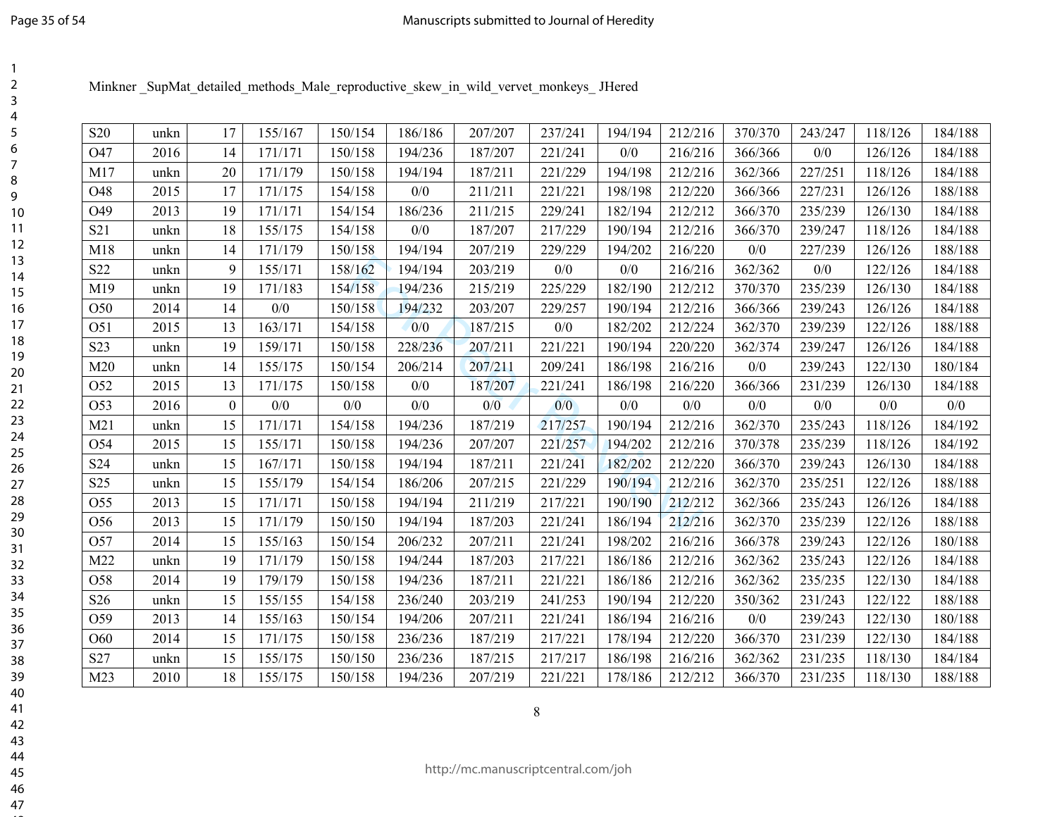| Minkner SupMat detailed methods Male reproductive skew in wild vervet monkeys JHered |  |  |  |  |  |  |  |  |  |  |  |
|--------------------------------------------------------------------------------------|--|--|--|--|--|--|--|--|--|--|--|
|--------------------------------------------------------------------------------------|--|--|--|--|--|--|--|--|--|--|--|

| S <sub>20</sub> | unkn | 17               | 155/167 | 150/154 | 186/186 | 207/207 | 237/241 | 194/194 | 212/216 | 370/370 | 243/247 | 118/126 | 184/188 |
|-----------------|------|------------------|---------|---------|---------|---------|---------|---------|---------|---------|---------|---------|---------|
| O47             | 2016 | 14               | 171/171 | 150/158 | 194/236 | 187/207 | 221/241 | 0/0     | 216/216 | 366/366 | 0/0     | 126/126 | 184/188 |
| M17             | unkn | $20\,$           | 171/179 | 150/158 | 194/194 | 187/211 | 221/229 | 194/198 | 212/216 | 362/366 | 227/251 | 118/126 | 184/188 |
| O48             | 2015 | 17               | 171/175 | 154/158 | 0/0     | 211/211 | 221/221 | 198/198 | 212/220 | 366/366 | 227/231 | 126/126 | 188/188 |
| O49             | 2013 | 19               | 171/171 | 154/154 | 186/236 | 211/215 | 229/241 | 182/194 | 212/212 | 366/370 | 235/239 | 126/130 | 184/188 |
| S21             | unkn | 18               | 155/175 | 154/158 | 0/0     | 187/207 | 217/229 | 190/194 | 212/216 | 366/370 | 239/247 | 118/126 | 184/188 |
| M18             | unkn | 14               | 171/179 | 150/158 | 194/194 | 207/219 | 229/229 | 194/202 | 216/220 | 0/0     | 227/239 | 126/126 | 188/188 |
| S22             | unkn | 9                | 155/171 | 158/162 | 194/194 | 203/219 | 0/0     | 0/0     | 216/216 | 362/362 | 0/0     | 122/126 | 184/188 |
| M19             | unkn | 19               | 171/183 | 154/158 | 194/236 | 215/219 | 225/229 | 182/190 | 212/212 | 370/370 | 235/239 | 126/130 | 184/188 |
| O50             | 2014 | 14               | 0/0     | 150/158 | 194/232 | 203/207 | 229/257 | 190/194 | 212/216 | 366/366 | 239/243 | 126/126 | 184/188 |
| O51             | 2015 | 13               | 163/171 | 154/158 | 0/0     | 187/215 | 0/0     | 182/202 | 212/224 | 362/370 | 239/239 | 122/126 | 188/188 |
| S23             | unkn | 19               | 159/171 | 150/158 | 228/236 | 207/211 | 221/221 | 190/194 | 220/220 | 362/374 | 239/247 | 126/126 | 184/188 |
| M20             | unkn | 14               | 155/175 | 150/154 | 206/214 | 207/211 | 209/241 | 186/198 | 216/216 | 0/0     | 239/243 | 122/130 | 180/184 |
| O52             | 2015 | 13               | 171/175 | 150/158 | 0/0     | 187/207 | 221/241 | 186/198 | 216/220 | 366/366 | 231/239 | 126/130 | 184/188 |
| O53             | 2016 | $\boldsymbol{0}$ | 0/0     | 0/0     | 0/0     | 0/0     | 0/0     | 0/0     | 0/0     | 0/0     | 0/0     | 0/0     | 0/0     |
| M21             | unkn | 15               | 171/171 | 154/158 | 194/236 | 187/219 | 217/257 | 190/194 | 212/216 | 362/370 | 235/243 | 118/126 | 184/192 |
| O54             | 2015 | 15               | 155/171 | 150/158 | 194/236 | 207/207 | 221/257 | 194/202 | 212/216 | 370/378 | 235/239 | 118/126 | 184/192 |
| S24             | unkn | 15               | 167/171 | 150/158 | 194/194 | 187/211 | 221/241 | 182/202 | 212/220 | 366/370 | 239/243 | 126/130 | 184/188 |
| S <sub>25</sub> | unkn | 15               | 155/179 | 154/154 | 186/206 | 207/215 | 221/229 | 190/194 | 212/216 | 362/370 | 235/251 | 122/126 | 188/188 |
| O55             | 2013 | 15               | 171/171 | 150/158 | 194/194 | 211/219 | 217/221 | 190/190 | 212/212 | 362/366 | 235/243 | 126/126 | 184/188 |
| O56             | 2013 | 15               | 171/179 | 150/150 | 194/194 | 187/203 | 221/241 | 186/194 | 212/216 | 362/370 | 235/239 | 122/126 | 188/188 |
| O57             | 2014 | 15               | 155/163 | 150/154 | 206/232 | 207/211 | 221/241 | 198/202 | 216/216 | 366/378 | 239/243 | 122/126 | 180/188 |
| M22             | unkn | 19               | 171/179 | 150/158 | 194/244 | 187/203 | 217/221 | 186/186 | 212/216 | 362/362 | 235/243 | 122/126 | 184/188 |
| O58             | 2014 | 19               | 179/179 | 150/158 | 194/236 | 187/211 | 221/221 | 186/186 | 212/216 | 362/362 | 235/235 | 122/130 | 184/188 |
| S <sub>26</sub> | unkn | 15               | 155/155 | 154/158 | 236/240 | 203/219 | 241/253 | 190/194 | 212/220 | 350/362 | 231/243 | 122/122 | 188/188 |
| O59             | 2013 | 14               | 155/163 | 150/154 | 194/206 | 207/211 | 221/241 | 186/194 | 216/216 | 0/0     | 239/243 | 122/130 | 180/188 |
| O60             | 2014 | 15               | 171/175 | 150/158 | 236/236 | 187/219 | 217/221 | 178/194 | 212/220 | 366/370 | 231/239 | 122/130 | 184/188 |
| S27             | unkn | 15               | 155/175 | 150/150 | 236/236 | 187/215 | 217/217 | 186/198 | 216/216 | 362/362 | 231/235 | 118/130 | 184/184 |
| M23             | 2010 | 18               | 155/175 | 150/158 | 194/236 | 207/219 | 221/221 | 178/186 | 212/212 | 366/370 | 231/235 | 118/130 | 188/188 |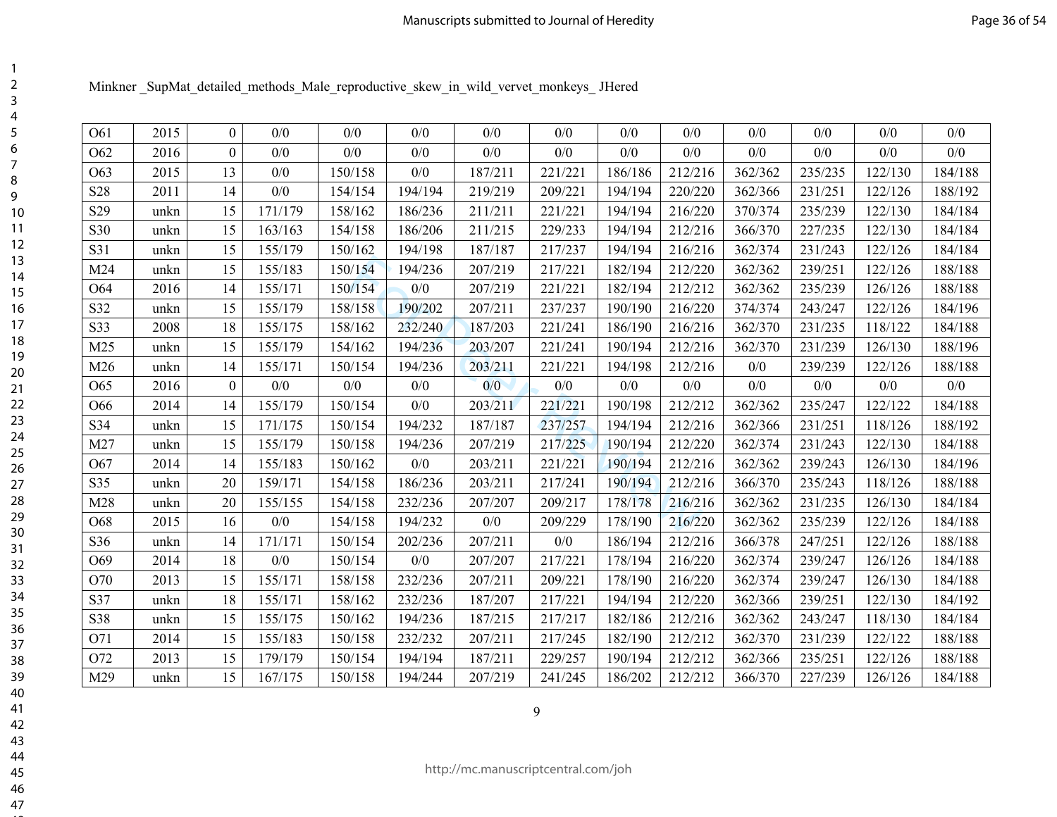| O61             | 2015 | $\overline{0}$   | 0/0     | 0/0     | 0/0     | 0/0     | 0/0     | 0/0     | 0/0     | 0/0     | 0/0     | 0/0     | 0/0     |
|-----------------|------|------------------|---------|---------|---------|---------|---------|---------|---------|---------|---------|---------|---------|
| O62             | 2016 | $\boldsymbol{0}$ | 0/0     | 0/0     | 0/0     | 0/0     | 0/0     | 0/0     | 0/0     | 0/0     | 0/0     | 0/0     | 0/0     |
| O63             | 2015 | 13               | 0/0     | 150/158 | 0/0     | 187/211 | 221/221 | 186/186 | 212/216 | 362/362 | 235/235 | 122/130 | 184/188 |
| S <sub>28</sub> | 2011 | 14               | 0/0     | 154/154 | 194/194 | 219/219 | 209/221 | 194/194 | 220/220 | 362/366 | 231/251 | 122/126 | 188/192 |
| S29             | unkn | 15               | 171/179 | 158/162 | 186/236 | 211/211 | 221/221 | 194/194 | 216/220 | 370/374 | 235/239 | 122/130 | 184/184 |
| S30             | unkn | 15               | 163/163 | 154/158 | 186/206 | 211/215 | 229/233 | 194/194 | 212/216 | 366/370 | 227/235 | 122/130 | 184/184 |
| S31             | unkn | 15               | 155/179 | 150/162 | 194/198 | 187/187 | 217/237 | 194/194 | 216/216 | 362/374 | 231/243 | 122/126 | 184/184 |
| M24             | unkn | 15               | 155/183 | 150/154 | 194/236 | 207/219 | 217/221 | 182/194 | 212/220 | 362/362 | 239/251 | 122/126 | 188/188 |
| O64             | 2016 | 14               | 155/171 | 150/154 | 0/0     | 207/219 | 221/221 | 182/194 | 212/212 | 362/362 | 235/239 | 126/126 | 188/188 |
| S32             | unkn | 15               | 155/179 | 158/158 | 190/202 | 207/211 | 237/237 | 190/190 | 216/220 | 374/374 | 243/247 | 122/126 | 184/196 |
| S33             | 2008 | 18               | 155/175 | 158/162 | 232/240 | 187/203 | 221/241 | 186/190 | 216/216 | 362/370 | 231/235 | 118/122 | 184/188 |
| M25             | unkn | 15               | 155/179 | 154/162 | 194/236 | 203/207 | 221/241 | 190/194 | 212/216 | 362/370 | 231/239 | 126/130 | 188/196 |
| M26             | unkn | 14               | 155/171 | 150/154 | 194/236 | 203/211 | 221/221 | 194/198 | 212/216 | 0/0     | 239/239 | 122/126 | 188/188 |
| O65             | 2016 | $\mathbf{0}$     | 0/0     | 0/0     | 0/0     | 0/0     | 0/0     | 0/0     | $0/0$   | 0/0     | 0/0     | 0/0     | $0/0$   |
| O66             | 2014 | 14               | 155/179 | 150/154 | 0/0     | 203/211 | 221/221 | 190/198 | 212/212 | 362/362 | 235/247 | 122/122 | 184/188 |
| S34             | unkn | 15               | 171/175 | 150/154 | 194/232 | 187/187 | 237/257 | 194/194 | 212/216 | 362/366 | 231/251 | 118/126 | 188/192 |
| M27             | unkn | 15               | 155/179 | 150/158 | 194/236 | 207/219 | 217/225 | 190/194 | 212/220 | 362/374 | 231/243 | 122/130 | 184/188 |
| O67             | 2014 | 14               | 155/183 | 150/162 | 0/0     | 203/211 | 221/221 | 190/194 | 212/216 | 362/362 | 239/243 | 126/130 | 184/196 |
| S35             | unkn | 20               | 159/171 | 154/158 | 186/236 | 203/211 | 217/241 | 190/194 | 212/216 | 366/370 | 235/243 | 118/126 | 188/188 |
| M28             | unkn | 20               | 155/155 | 154/158 | 232/236 | 207/207 | 209/217 | 178/178 | 216/216 | 362/362 | 231/235 | 126/130 | 184/184 |
| O68             | 2015 | 16               | 0/0     | 154/158 | 194/232 | 0/0     | 209/229 | 178/190 | 216/220 | 362/362 | 235/239 | 122/126 | 184/188 |
| S36             | unkn | 14               | 171/171 | 150/154 | 202/236 | 207/211 | 0/0     | 186/194 | 212/216 | 366/378 | 247/251 | 122/126 | 188/188 |
| O69             | 2014 | 18               | 0/0     | 150/154 | 0/0     | 207/207 | 217/221 | 178/194 | 216/220 | 362/374 | 239/247 | 126/126 | 184/188 |
| O70             | 2013 | 15               | 155/171 | 158/158 | 232/236 | 207/211 | 209/221 | 178/190 | 216/220 | 362/374 | 239/247 | 126/130 | 184/188 |
| S37             | unkn | 18               | 155/171 | 158/162 | 232/236 | 187/207 | 217/221 | 194/194 | 212/220 | 362/366 | 239/251 | 122/130 | 184/192 |
| S38             | unkn | 15               | 155/175 | 150/162 | 194/236 | 187/215 | 217/217 | 182/186 | 212/216 | 362/362 | 243/247 | 118/130 | 184/184 |
| O71             | 2014 | 15               | 155/183 | 150/158 | 232/232 | 207/211 | 217/245 | 182/190 | 212/212 | 362/370 | 231/239 | 122/122 | 188/188 |
| O72             | 2013 | 15               | 179/179 | 150/154 | 194/194 | 187/211 | 229/257 | 190/194 | 212/212 | 362/366 | 235/251 | 122/126 | 188/188 |
| M29             | unkn | 15               | 167/175 | 150/158 | 194/244 | 207/219 | 241/245 | 186/202 | 212/212 | 366/370 | 227/239 | 126/126 | 184/188 |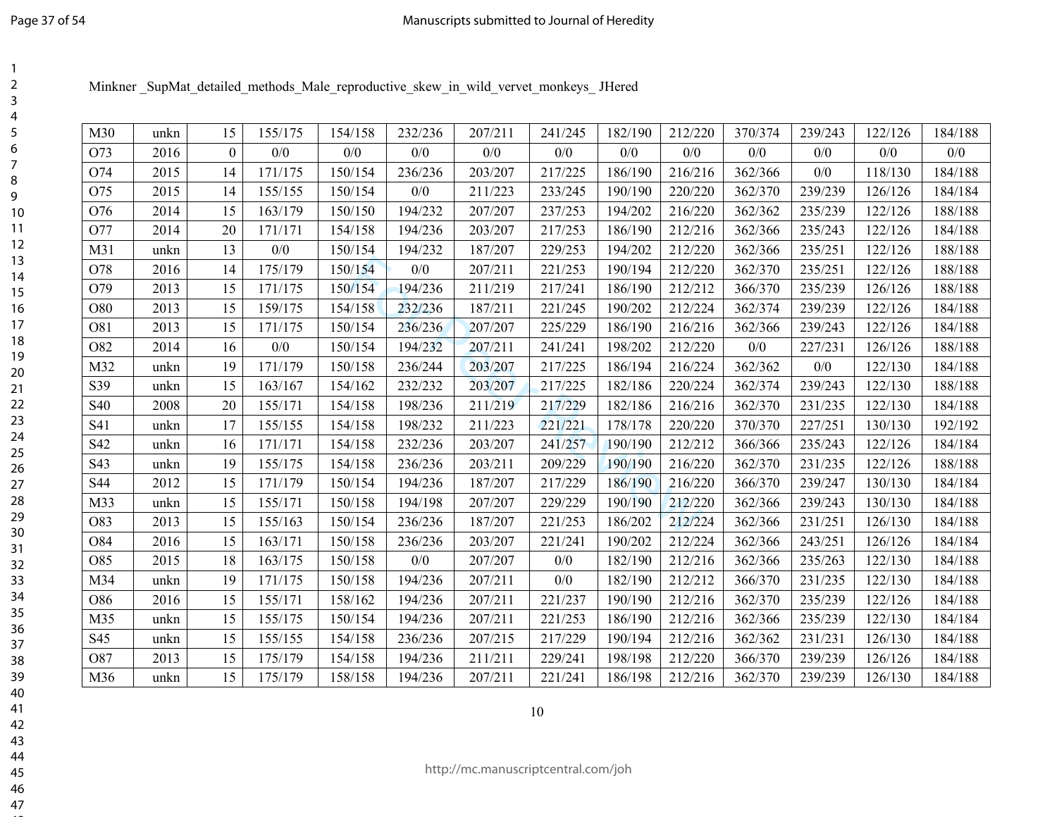| Minkner SupMat detailed methods Male reproductive skew in wild vervet monkeys JHered |  |  |  |  |  |  |  |  |  |  |  |
|--------------------------------------------------------------------------------------|--|--|--|--|--|--|--|--|--|--|--|
|--------------------------------------------------------------------------------------|--|--|--|--|--|--|--|--|--|--|--|

| M30        | unkn | 15             | 155/175 | 154/158 | 232/236 | 207/211 | 241/245 | 182/190 | 212/220 | 370/374 | 239/243 | 122/126 | 184/188 |
|------------|------|----------------|---------|---------|---------|---------|---------|---------|---------|---------|---------|---------|---------|
| O73        | 2016 | $\overline{0}$ | 0/0     | 0/0     | 0/0     | 0/0     | 0/0     | 0/0     | 0/0     | 0/0     | 0/0     | 0/0     | 0/0     |
| O74        | 2015 | 14             | 171/175 | 150/154 | 236/236 | 203/207 | 217/225 | 186/190 | 216/216 | 362/366 | 0/0     | 118/130 | 184/188 |
| O75        | 2015 | 14             | 155/155 | 150/154 | 0/0     | 211/223 | 233/245 | 190/190 | 220/220 | 362/370 | 239/239 | 126/126 | 184/184 |
| O76        | 2014 | 15             | 163/179 | 150/150 | 194/232 | 207/207 | 237/253 | 194/202 | 216/220 | 362/362 | 235/239 | 122/126 | 188/188 |
| O77        | 2014 | 20             | 171/171 | 154/158 | 194/236 | 203/207 | 217/253 | 186/190 | 212/216 | 362/366 | 235/243 | 122/126 | 184/188 |
| M31        | unkn | 13             | 0/0     | 150/154 | 194/232 | 187/207 | 229/253 | 194/202 | 212/220 | 362/366 | 235/251 | 122/126 | 188/188 |
| O78        | 2016 | 14             | 175/179 | 150/154 | 0/0     | 207/211 | 221/253 | 190/194 | 212/220 | 362/370 | 235/251 | 122/126 | 188/188 |
| O79        | 2013 | 15             | 171/175 | 150/154 | 194/236 | 211/219 | 217/241 | 186/190 | 212/212 | 366/370 | 235/239 | 126/126 | 188/188 |
| O80        | 2013 | 15             | 159/175 | 154/158 | 232/236 | 187/211 | 221/245 | 190/202 | 212/224 | 362/374 | 239/239 | 122/126 | 184/188 |
| O81        | 2013 | 15             | 171/175 | 150/154 | 236/236 | 207/207 | 225/229 | 186/190 | 216/216 | 362/366 | 239/243 | 122/126 | 184/188 |
| O82        | 2014 | 16             | 0/0     | 150/154 | 194/232 | 207/211 | 241/241 | 198/202 | 212/220 | 0/0     | 227/231 | 126/126 | 188/188 |
| M32        | unkn | 19             | 171/179 | 150/158 | 236/244 | 203/207 | 217/225 | 186/194 | 216/224 | 362/362 | 0/0     | 122/130 | 184/188 |
| S39        | unkn | 15             | 163/167 | 154/162 | 232/232 | 203/207 | 217/225 | 182/186 | 220/224 | 362/374 | 239/243 | 122/130 | 188/188 |
| <b>S40</b> | 2008 | 20             | 155/171 | 154/158 | 198/236 | 211/219 | 217/229 | 182/186 | 216/216 | 362/370 | 231/235 | 122/130 | 184/188 |
| S41        | unkn | 17             | 155/155 | 154/158 | 198/232 | 211/223 | 221/221 | 178/178 | 220/220 | 370/370 | 227/251 | 130/130 | 192/192 |
| S42        | unkn | 16             | 171/171 | 154/158 | 232/236 | 203/207 | 241/257 | 190/190 | 212/212 | 366/366 | 235/243 | 122/126 | 184/184 |
| S43        | unkn | 19             | 155/175 | 154/158 | 236/236 | 203/211 | 209/229 | 190/190 | 216/220 | 362/370 | 231/235 | 122/126 | 188/188 |
| S44        | 2012 | 15             | 171/179 | 150/154 | 194/236 | 187/207 | 217/229 | 186/190 | 216/220 | 366/370 | 239/247 | 130/130 | 184/184 |
| M33        | unkn | 15             | 155/171 | 150/158 | 194/198 | 207/207 | 229/229 | 190/190 | 212/220 | 362/366 | 239/243 | 130/130 | 184/188 |
| O83        | 2013 | 15             | 155/163 | 150/154 | 236/236 | 187/207 | 221/253 | 186/202 | 212/224 | 362/366 | 231/251 | 126/130 | 184/188 |
| O84        | 2016 | 15             | 163/171 | 150/158 | 236/236 | 203/207 | 221/241 | 190/202 | 212/224 | 362/366 | 243/251 | 126/126 | 184/184 |
| O85        | 2015 | 18             | 163/175 | 150/158 | 0/0     | 207/207 | 0/0     | 182/190 | 212/216 | 362/366 | 235/263 | 122/130 | 184/188 |
| M34        | unkn | 19             | 171/175 | 150/158 | 194/236 | 207/211 | 0/0     | 182/190 | 212/212 | 366/370 | 231/235 | 122/130 | 184/188 |
| O86        | 2016 | 15             | 155/171 | 158/162 | 194/236 | 207/211 | 221/237 | 190/190 | 212/216 | 362/370 | 235/239 | 122/126 | 184/188 |
| M35        | unkn | 15             | 155/175 | 150/154 | 194/236 | 207/211 | 221/253 | 186/190 | 212/216 | 362/366 | 235/239 | 122/130 | 184/184 |
| S45        | unkn | 15             | 155/155 | 154/158 | 236/236 | 207/215 | 217/229 | 190/194 | 212/216 | 362/362 | 231/231 | 126/130 | 184/188 |
| O87        | 2013 | 15             | 175/179 | 154/158 | 194/236 | 211/211 | 229/241 | 198/198 | 212/220 | 366/370 | 239/239 | 126/126 | 184/188 |
| M36        | unkn | 15             | 175/179 | 158/158 | 194/236 | 207/211 | 221/241 | 186/198 | 212/216 | 362/370 | 239/239 | 126/130 | 184/188 |
|            |      |                |         |         |         |         |         |         |         |         |         |         |         |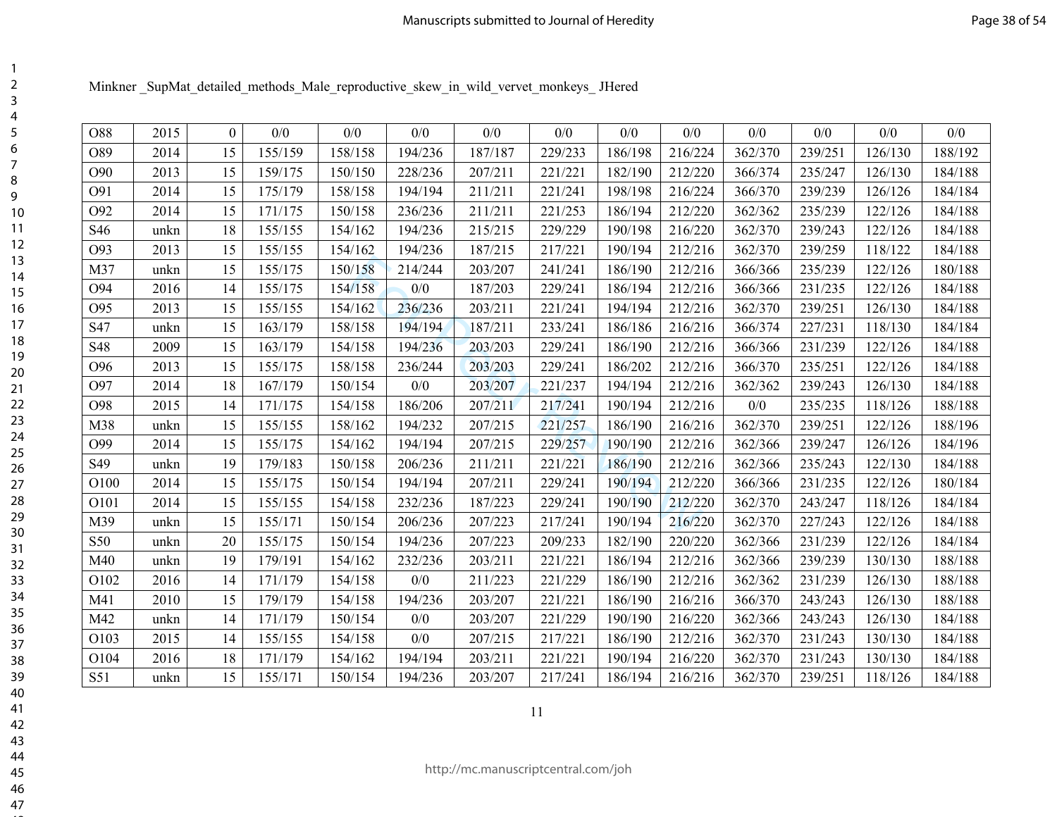|  |  | Minkner SupMat detailed methods Male reproductive skew in wild vervet monkeys JHered |  |  |  |
|--|--|--------------------------------------------------------------------------------------|--|--|--|
|  |  |                                                                                      |  |  |  |

| O88             | 2015 | $\overline{0}$ | 0/0     | 0/0     | 0/0     | 0/0     | 0/0     | 0/0     | 0/0     | 0/0     | 0/0     | 0/0     | $0/0$   |
|-----------------|------|----------------|---------|---------|---------|---------|---------|---------|---------|---------|---------|---------|---------|
| O89             | 2014 | 15             | 155/159 | 158/158 | 194/236 | 187/187 | 229/233 | 186/198 | 216/224 | 362/370 | 239/251 | 126/130 | 188/192 |
| O <sub>90</sub> | 2013 | 15             | 159/175 | 150/150 | 228/236 | 207/211 | 221/221 | 182/190 | 212/220 | 366/374 | 235/247 | 126/130 | 184/188 |
| O91             | 2014 | 15             | 175/179 | 158/158 | 194/194 | 211/211 | 221/241 | 198/198 | 216/224 | 366/370 | 239/239 | 126/126 | 184/184 |
| O92             | 2014 | 15             | 171/175 | 150/158 | 236/236 | 211/211 | 221/253 | 186/194 | 212/220 | 362/362 | 235/239 | 122/126 | 184/188 |
| S46             | unkn | 18             | 155/155 | 154/162 | 194/236 | 215/215 | 229/229 | 190/198 | 216/220 | 362/370 | 239/243 | 122/126 | 184/188 |
| O93             | 2013 | 15             | 155/155 | 154/162 | 194/236 | 187/215 | 217/221 | 190/194 | 212/216 | 362/370 | 239/259 | 118/122 | 184/188 |
| M37             | unkn | 15             | 155/175 | 150/158 | 214/244 | 203/207 | 241/241 | 186/190 | 212/216 | 366/366 | 235/239 | 122/126 | 180/188 |
| O94             | 2016 | 14             | 155/175 | 154/158 | 0/0     | 187/203 | 229/241 | 186/194 | 212/216 | 366/366 | 231/235 | 122/126 | 184/188 |
| O95             | 2013 | 15             | 155/155 | 154/162 | 236/236 | 203/211 | 221/241 | 194/194 | 212/216 | 362/370 | 239/251 | 126/130 | 184/188 |
| S47             | unkn | 15             | 163/179 | 158/158 | 194/194 | 187/211 | 233/241 | 186/186 | 216/216 | 366/374 | 227/231 | 118/130 | 184/184 |
| S48             | 2009 | 15             | 163/179 | 154/158 | 194/236 | 203/203 | 229/241 | 186/190 | 212/216 | 366/366 | 231/239 | 122/126 | 184/188 |
| O <sub>96</sub> | 2013 | 15             | 155/175 | 158/158 | 236/244 | 203/203 | 229/241 | 186/202 | 212/216 | 366/370 | 235/251 | 122/126 | 184/188 |
| O97             | 2014 | 18             | 167/179 | 150/154 | 0/0     | 203/207 | 221/237 | 194/194 | 212/216 | 362/362 | 239/243 | 126/130 | 184/188 |
| O98             | 2015 | 14             | 171/175 | 154/158 | 186/206 | 207/211 | 217/241 | 190/194 | 212/216 | 0/0     | 235/235 | 118/126 | 188/188 |
| M38             | unkn | 15             | 155/155 | 158/162 | 194/232 | 207/215 | 221/257 | 186/190 | 216/216 | 362/370 | 239/251 | 122/126 | 188/196 |
| O99             | 2014 | 15             | 155/175 | 154/162 | 194/194 | 207/215 | 229/257 | 190/190 | 212/216 | 362/366 | 239/247 | 126/126 | 184/196 |
| S49             | unkn | 19             | 179/183 | 150/158 | 206/236 | 211/211 | 221/221 | 186/190 | 212/216 | 362/366 | 235/243 | 122/130 | 184/188 |
| O100            | 2014 | 15             | 155/175 | 150/154 | 194/194 | 207/211 | 229/241 | 190/194 | 212/220 | 366/366 | 231/235 | 122/126 | 180/184 |
| O101            | 2014 | 15             | 155/155 | 154/158 | 232/236 | 187/223 | 229/241 | 190/190 | 212/220 | 362/370 | 243/247 | 118/126 | 184/184 |
| M39             | unkn | 15             | 155/171 | 150/154 | 206/236 | 207/223 | 217/241 | 190/194 | 216/220 | 362/370 | 227/243 | 122/126 | 184/188 |
| <b>S50</b>      | unkn | 20             | 155/175 | 150/154 | 194/236 | 207/223 | 209/233 | 182/190 | 220/220 | 362/366 | 231/239 | 122/126 | 184/184 |
| M40             | unkn | 19             | 179/191 | 154/162 | 232/236 | 203/211 | 221/221 | 186/194 | 212/216 | 362/366 | 239/239 | 130/130 | 188/188 |
| O102            | 2016 | 14             | 171/179 | 154/158 | 0/0     | 211/223 | 221/229 | 186/190 | 212/216 | 362/362 | 231/239 | 126/130 | 188/188 |
| M41             | 2010 | 15             | 179/179 | 154/158 | 194/236 | 203/207 | 221/221 | 186/190 | 216/216 | 366/370 | 243/243 | 126/130 | 188/188 |
| M42             | unkn | 14             | 171/179 | 150/154 | 0/0     | 203/207 | 221/229 | 190/190 | 216/220 | 362/366 | 243/243 | 126/130 | 184/188 |
| O103            | 2015 | 14             | 155/155 | 154/158 | 0/0     | 207/215 | 217/221 | 186/190 | 212/216 | 362/370 | 231/243 | 130/130 | 184/188 |
| O104            | 2016 | 18             | 171/179 | 154/162 | 194/194 | 203/211 | 221/221 | 190/194 | 216/220 | 362/370 | 231/243 | 130/130 | 184/188 |
| S51             | unkn | 15             | 155/171 | 150/154 | 194/236 | 203/207 | 217/241 | 186/194 | 216/216 | 362/370 | 239/251 | 118/126 | 184/188 |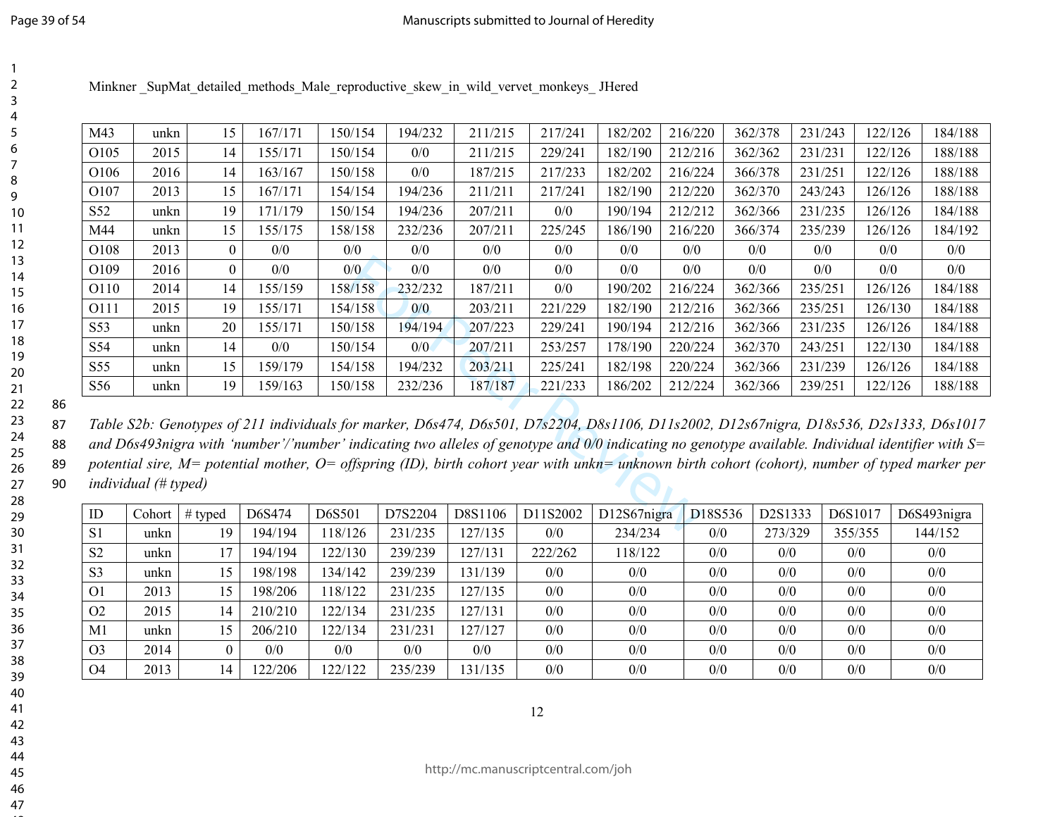86

| M43                                                                                                                                                                                                                                                                                           | unkn                    | 15       | 167/171 | 150/154 | 194/232 | 211/215 | 217/241                                                                                                                                               | 182/202     | 216/220 | 362/378 | 231/243 |         | 122/126     | 184/188 |
|-----------------------------------------------------------------------------------------------------------------------------------------------------------------------------------------------------------------------------------------------------------------------------------------------|-------------------------|----------|---------|---------|---------|---------|-------------------------------------------------------------------------------------------------------------------------------------------------------|-------------|---------|---------|---------|---------|-------------|---------|
| O105                                                                                                                                                                                                                                                                                          | 2015                    | 14       | 155/171 | 150/154 | 0/0     | 211/215 | 229/241                                                                                                                                               | 182/190     | 212/216 | 362/362 | 231/231 |         | 122/126     | 188/188 |
| O106                                                                                                                                                                                                                                                                                          | 2016                    | 14       | 163/167 | 150/158 | 0/0     | 187/215 | 217/233                                                                                                                                               | 182/202     | 216/224 | 366/378 | 231/251 |         | 122/126     | 188/188 |
| O107                                                                                                                                                                                                                                                                                          | 2013                    | 15       | 167/171 | 154/154 | 194/236 | 211/211 | 217/241                                                                                                                                               | 182/190     | 212/220 | 362/370 | 243/243 |         | 126/126     | 188/188 |
| S52                                                                                                                                                                                                                                                                                           | unkn                    | 19       | 171/179 | 150/154 | 194/236 | 207/211 | 0/0                                                                                                                                                   | 190/194     | 212/212 | 362/366 | 231/235 |         | 126/126     | 184/188 |
| M44                                                                                                                                                                                                                                                                                           | unkn                    | 15       | 155/175 | 158/158 | 232/236 | 207/211 | 225/245                                                                                                                                               | 186/190     | 216/220 | 366/374 | 235/239 |         | 126/126     | 184/192 |
| O108                                                                                                                                                                                                                                                                                          | 2013                    | $\theta$ | 0/0     | 0/0     | 0/0     | 0/0     | 0/0                                                                                                                                                   | 0/0         | 0/0     | 0/0     | 0/0     |         | 0/0         | 0/0     |
| O109                                                                                                                                                                                                                                                                                          | 2016                    | $\theta$ | 0/0     | 0/0     | 0/0     | 0/0     | 0/0                                                                                                                                                   | 0/0         | 0/0     | 0/0     | 0/0     |         | 0/0         | 0/0     |
| O110                                                                                                                                                                                                                                                                                          | 2014                    | 14       | 155/159 | 158/158 | 232/232 | 187/211 | 0/0                                                                                                                                                   | 190/202     | 216/224 | 362/366 | 235/251 |         | 126/126     | 184/188 |
| 0111                                                                                                                                                                                                                                                                                          | 2015                    | 19       | 155/171 | 154/158 | 0/0     | 203/211 | 221/229                                                                                                                                               | 182/190     | 212/216 | 362/366 | 235/251 |         | 126/130     | 184/188 |
| S53                                                                                                                                                                                                                                                                                           | unkn                    | 20       | 155/171 | 150/158 | 194/194 | 207/223 | 229/241                                                                                                                                               | 190/194     | 212/216 | 362/366 | 231/235 |         | 126/126     | 184/188 |
| S54                                                                                                                                                                                                                                                                                           | unkn                    | 14       | 0/0     | 150/154 | 0/0     | 207/211 | 253/257                                                                                                                                               | 178/190     | 220/224 | 362/370 | 243/251 |         | 122/130     | 184/188 |
| S55                                                                                                                                                                                                                                                                                           | unkn                    | 15       | 159/179 | 154/158 | 194/232 | 203/211 | 225/241                                                                                                                                               | 182/198     | 220/224 | 362/366 | 231/239 |         | 126/126     | 184/188 |
| S56                                                                                                                                                                                                                                                                                           | unkn                    | 19       | 159/163 | 150/158 | 232/236 | 187/187 | 221/233                                                                                                                                               | 186/202     | 212/224 | 362/366 | 239/251 |         | 122/126     | 188/188 |
| Table S2b: Genotypes of 211 individuals for marker, D6s474, D6s501, D7s2204, D8s1106, D11s2002, D12s67nigra, D18s536, D2s1333, D6s1017<br>and D6s493nigra with 'number'/'number' indicating two alleles of genotype and $0/0$ indicating no genotype available. Individual identifier with S= |                         |          |         |         |         |         |                                                                                                                                                       |             |         |         |         |         |             |         |
|                                                                                                                                                                                                                                                                                               |                         |          |         |         |         |         | potential sire, $M$ = potential mother, $O$ = offspring (ID), birth cohort year with unkn = unknown birth cohort (cohort), number of typed marker per |             |         |         |         |         |             |         |
|                                                                                                                                                                                                                                                                                               | individual $(\#$ typed) |          |         |         |         |         |                                                                                                                                                       |             |         |         |         |         |             |         |
| ID                                                                                                                                                                                                                                                                                            | Cohort                  | # typed  | D6S474  | D6S501  | D7S2204 | D8S1106 | D11S2002                                                                                                                                              | D12S67nigra | D18S536 |         | D2S1333 | D6S1017 | D6S493nigra |         |
| S <sub>1</sub>                                                                                                                                                                                                                                                                                | unkn                    | 19       | 194/194 | 118/126 | 231/235 | 127/135 | 0/0                                                                                                                                                   | 234/234     | 0/0     |         | 273/329 | 355/355 | 144/152     |         |

Minkner SupMat detailed methods Male reproductive skew in wild vervet monkeys JHered

| ID             | Cohort | $#$ typed | D6S474  | D6S501  | D7S2204 | D8S1106 | D11S2002 | D12S67nigra | D18S536 | D2S1333 | D6S1017 | D6S493nigra |
|----------------|--------|-----------|---------|---------|---------|---------|----------|-------------|---------|---------|---------|-------------|
| S <sub>1</sub> | unkn   | 19        | 194/194 | 18/126  | 231/235 | 127/135 | 0/0      | 234/234     | 0/0     | 273/329 | 355/355 | 144/152     |
| S <sub>2</sub> | unkn   | 17        | 94/194  | 122/130 | 239/239 | 127/131 | 222/262  | 118/122     | 0/0     | 0/0     | 0/0     | 0/0         |
| S <sub>3</sub> | unkn   | 15        | 98/198  | 134/142 | 239/239 | 131/139 | 0/0      | 0/0         | 0/0     | 0/0     | 0/0     | 0/0         |
| <sup>O1</sup>  | 2013   | 15        | 98/206  | 18/122  | 231/235 | 127/135 | 0/0      | 0/0         | 0/0     | 0/0     | 0/0     | 0/0         |
| O <sub>2</sub> | 2015   | 14        | 210/210 | 22/134  | 231/235 | 127/131 | 0/0      | 0/0         | 0/0     | 0/0     | 0/0     | 0/0         |
| M1             | unkn   | 15        | 206/210 | 122/134 | 231/231 | 127/127 | 0/0      | 0/0         | 0/0     | 0/0     | 0/0     | 0/0         |
| O <sub>3</sub> | 2014   |           | 0/0     | 0/0     | 0/0     | 0/0     | 0/0      | 0/0         | 0/0     | 0/0     | 0/0     | 0/0         |
| O4             | 2013   | 14        | 22/206  | 22/122  | 235/239 | 131/135 | 0/0      | 0/0         | 0/0     | 0/0     | 0/0     | 0/0         |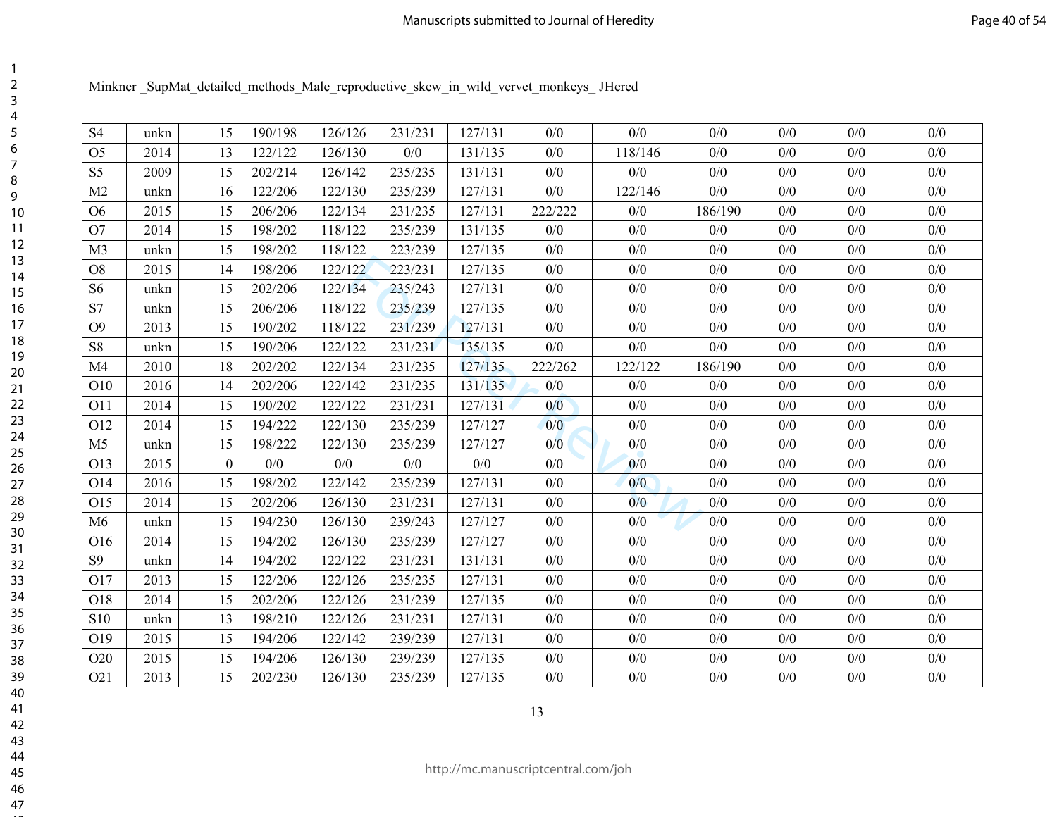|  |  | Minkner SupMat detailed methods Male reproductive skew in wild vervet monkeys JHered |  |  |  |
|--|--|--------------------------------------------------------------------------------------|--|--|--|
|  |  |                                                                                      |  |  |  |

| S <sub>4</sub><br>190/198<br>231/231<br>127/131<br>0/0<br>0/0<br>0/0<br>0/0<br>0/0<br>unkn<br>15<br>126/126<br>2014<br>122/122<br>13<br>126/130<br>0/0<br>131/135<br>0/0<br>118/146<br>0/0<br>0/0<br>0/0<br>O <sub>5</sub><br>S <sub>5</sub><br>2009<br>15<br>202/214<br>126/142<br>235/235<br>131/131<br>0/0<br>0/0<br>0/0<br>0/0<br>0/0<br>122/206<br>122/130<br>127/131<br>M <sub>2</sub><br>16<br>235/239<br>0/0<br>122/146<br>0/0<br>0/0<br>0/0<br>unkn<br>2015<br>15<br>206/206<br>122/134<br>231/235<br>127/131<br>222/222<br>186/190<br>0/0<br>0/0<br>0/0<br>O <sub>6</sub> | 0/0<br>0/0<br>0/0<br>0/0<br>0/0<br>0/0 |
|-------------------------------------------------------------------------------------------------------------------------------------------------------------------------------------------------------------------------------------------------------------------------------------------------------------------------------------------------------------------------------------------------------------------------------------------------------------------------------------------------------------------------------------------------------------------------------------|----------------------------------------|
|                                                                                                                                                                                                                                                                                                                                                                                                                                                                                                                                                                                     |                                        |
|                                                                                                                                                                                                                                                                                                                                                                                                                                                                                                                                                                                     |                                        |
|                                                                                                                                                                                                                                                                                                                                                                                                                                                                                                                                                                                     |                                        |
|                                                                                                                                                                                                                                                                                                                                                                                                                                                                                                                                                                                     |                                        |
|                                                                                                                                                                                                                                                                                                                                                                                                                                                                                                                                                                                     |                                        |
| 15<br>2014<br>198/202<br>118/122<br>235/239<br>131/135<br>0/0<br>0/0<br>0/0<br>O7<br>0/0<br>0/0                                                                                                                                                                                                                                                                                                                                                                                                                                                                                     |                                        |
| 15<br>198/202<br>127/135<br>118/122<br>223/239<br>0/0<br>0/0<br>0/0<br>0/0<br>0/0<br>M <sub>3</sub><br>unkn                                                                                                                                                                                                                                                                                                                                                                                                                                                                         | 0/0                                    |
| 2015<br>14<br>198/206<br>122/122<br>127/135<br>0/0<br>O <sub>8</sub><br>223/231<br>0/0<br>0/0<br>0/0<br>0/0                                                                                                                                                                                                                                                                                                                                                                                                                                                                         | 0/0                                    |
| 122/134<br>235/243<br>127/131<br>S <sub>6</sub><br>15<br>202/206<br>0/0<br>0/0<br>0/0<br>0/0<br>0/0<br>unkn                                                                                                                                                                                                                                                                                                                                                                                                                                                                         | 0/0                                    |
| S7<br>15<br>206/206<br>118/122<br>235/239<br>127/135<br>0/0<br>0/0<br>0/0<br>0/0<br>0/0<br>unkn                                                                                                                                                                                                                                                                                                                                                                                                                                                                                     | 0/0                                    |
| O <sub>9</sub><br>2013<br>15<br>190/202<br>118/122<br>231/239<br>127/131<br>0/0<br>0/0<br>0/0<br>0/0<br>0/0                                                                                                                                                                                                                                                                                                                                                                                                                                                                         | 0/0                                    |
| <b>S8</b><br>15<br>190/206<br>122/122<br>135/135<br>0/0<br>0/0<br>0/0<br>0/0<br>231/231<br>0/0<br>unkn                                                                                                                                                                                                                                                                                                                                                                                                                                                                              | 0/0                                    |
| 2010<br>127/135<br>M <sub>4</sub><br>18<br>202/202<br>122/134<br>231/235<br>222/262<br>122/122<br>186/190<br>0/0<br>0/0                                                                                                                                                                                                                                                                                                                                                                                                                                                             | 0/0                                    |
| 2016<br>202/206<br>131/135<br>0/0<br>0/0<br>0/0<br>O10<br>14<br>122/142<br>231/235<br>0/0<br>0/0                                                                                                                                                                                                                                                                                                                                                                                                                                                                                    | 0/0                                    |
| 0/0<br>2014<br>15<br>190/202<br>122/122<br>231/231<br>127/131<br>0/0<br>0/0<br>0/0<br>0/0<br><b>O11</b>                                                                                                                                                                                                                                                                                                                                                                                                                                                                             | 0/0                                    |
| 2014<br>15<br>194/222<br>122/130<br>235/239<br>127/127<br>0/0<br>0/0<br>O12<br>0/0<br>0/0<br>0/0                                                                                                                                                                                                                                                                                                                                                                                                                                                                                    | 0/0                                    |
| 15<br>198/222<br>127/127<br>0/0<br>M <sub>5</sub><br>122/130<br>235/239<br>0/0<br>0/0<br>0/0<br>0/0<br>unkn                                                                                                                                                                                                                                                                                                                                                                                                                                                                         | 0/0                                    |
| 2015<br>$\overline{0}$<br>0/0<br>0/0<br>0/0<br>0/0<br>0/0<br>O13<br>0/0<br>0/0<br>0/0<br>0/0                                                                                                                                                                                                                                                                                                                                                                                                                                                                                        | 0/0                                    |
| 2016<br>15<br>198/202<br>122/142<br>235/239<br>127/131<br>O14<br>0/0<br>0/0<br>0/0<br>0/0<br>0/0                                                                                                                                                                                                                                                                                                                                                                                                                                                                                    | 0/0                                    |
| 2014<br>15<br>127/131<br>O15<br>202/206<br>126/130<br>231/231<br>0/0<br>0/0<br>0/0<br>0/0<br>0/0                                                                                                                                                                                                                                                                                                                                                                                                                                                                                    | 0/0                                    |
| 15<br>194/230<br>126/130<br>239/243<br>127/127<br>0/0<br>0/0<br>0/0<br>0/0<br>M6<br>unkn<br>0/0                                                                                                                                                                                                                                                                                                                                                                                                                                                                                     | 0/0                                    |
| 2014<br>15<br>194/202<br>126/130<br>235/239<br>127/127<br>0/0<br>0/0<br>0/0<br>0/0<br>O <sub>16</sub><br>0/0                                                                                                                                                                                                                                                                                                                                                                                                                                                                        | 0/0                                    |
| S <sub>9</sub><br>194/202<br>122/122<br>14<br>231/231<br>131/131<br>0/0<br>0/0<br>0/0<br>0/0<br>0/0<br>unkn                                                                                                                                                                                                                                                                                                                                                                                                                                                                         | 0/0                                    |
| O17<br>2013<br>15<br>122/206<br>122/126<br>235/235<br>127/131<br>0/0<br>0/0<br>0/0<br>0/0<br>0/0                                                                                                                                                                                                                                                                                                                                                                                                                                                                                    | 0/0                                    |
| 15<br>O18<br>2014<br>202/206<br>122/126<br>231/239<br>127/135<br>0/0<br>0/0<br>0/0<br>0/0<br>0/0                                                                                                                                                                                                                                                                                                                                                                                                                                                                                    | 0/0                                    |
| 13<br>198/210<br>122/126<br>127/131<br><b>S10</b><br>231/231<br>0/0<br>0/0<br>0/0<br>0/0<br>0/0<br>unkn                                                                                                                                                                                                                                                                                                                                                                                                                                                                             | 0/0                                    |
| O19<br>2015<br>15<br>194/206<br>122/142<br>239/239<br>127/131<br>0/0<br>0/0<br>0/0<br>0/0<br>0/0                                                                                                                                                                                                                                                                                                                                                                                                                                                                                    | 0/0                                    |
| O20<br>2015<br>15<br>194/206<br>239/239<br>127/135<br>0/0<br>0/0<br>0/0<br>0/0<br>126/130<br>0/0                                                                                                                                                                                                                                                                                                                                                                                                                                                                                    | 0/0                                    |
| 2013<br>0/0<br>0/0<br>15<br>202/230<br>126/130<br>235/239<br>127/135<br>0/0<br>0/0<br>0/0<br>O <sub>21</sub>                                                                                                                                                                                                                                                                                                                                                                                                                                                                        | 0/0                                    |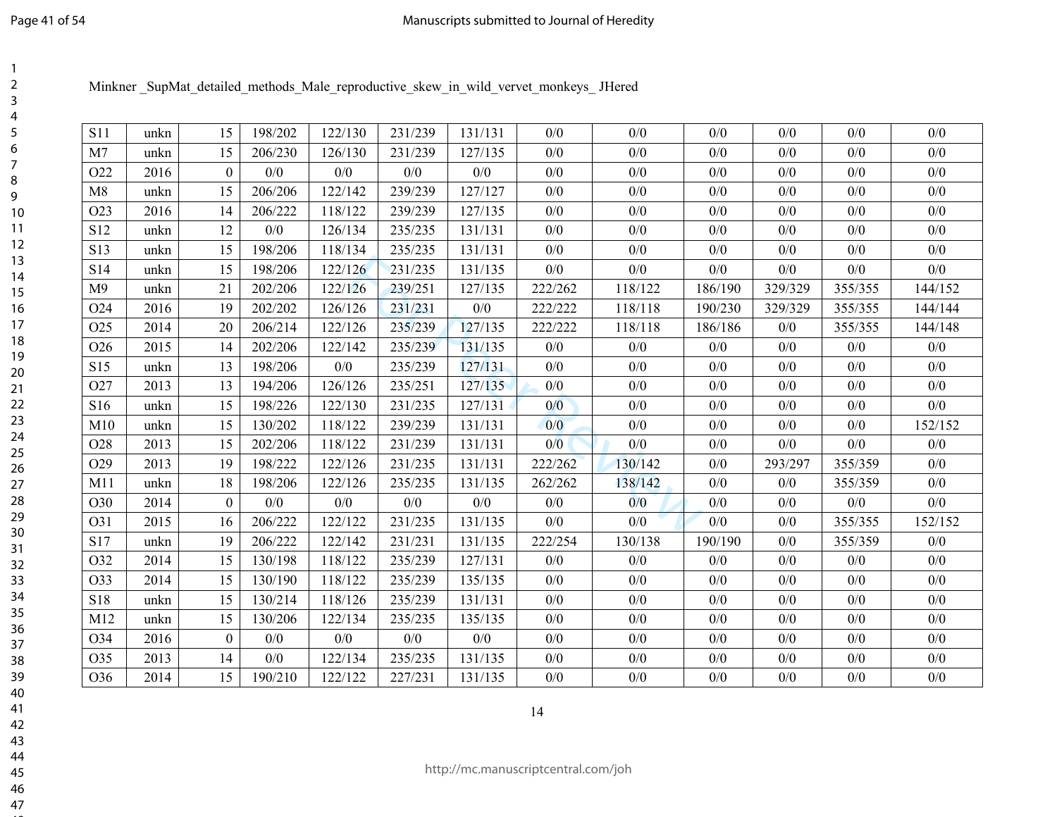|  |  | Minkner SupMat detailed methods Male reproductive skew in wild vervet monkeys JHered |  |  |  |
|--|--|--------------------------------------------------------------------------------------|--|--|--|
|  |  |                                                                                      |  |  |  |

| <b>S11</b>      | unkn | 15             | 198/202 | 122/130 | 231/239 | 131/131 | 0/0     | 0/0     | 0/0     | 0/0     | 0/0     | 0/0     |
|-----------------|------|----------------|---------|---------|---------|---------|---------|---------|---------|---------|---------|---------|
| M7              | unkn | 15             | 206/230 | 126/130 | 231/239 | 127/135 | 0/0     | 0/0     | 0/0     | 0/0     | 0/0     | 0/0     |
| O22             | 2016 | $\overline{0}$ | 0/0     | 0/0     | 0/0     | 0/0     | 0/0     | $0/0$   | 0/0     | 0/0     | 0/0     | 0/0     |
| M8              | unkn | 15             | 206/206 | 122/142 | 239/239 | 127/127 | 0/0     | 0/0     | 0/0     | 0/0     | 0/0     | 0/0     |
| O23             | 2016 | 14             | 206/222 | 118/122 | 239/239 | 127/135 | 0/0     | 0/0     | 0/0     | 0/0     | 0/0     | 0/0     |
| S <sub>12</sub> | unkn | 12             | 0/0     | 126/134 | 235/235 | 131/131 | 0/0     | 0/0     | 0/0     | 0/0     | 0/0     | 0/0     |
| S13             | unkn | 15             | 198/206 | 118/134 | 235/235 | 131/131 | 0/0     | 0/0     | 0/0     | 0/0     | 0/0     | 0/0     |
| S <sub>14</sub> | unkn | 15             | 198/206 | 122/126 | 231/235 | 131/135 | 0/0     | 0/0     | 0/0     | 0/0     | 0/0     | 0/0     |
| M9              | unkn | 21             | 202/206 | 122/126 | 239/251 | 127/135 | 222/262 | 118/122 | 186/190 | 329/329 | 355/355 | 144/152 |
| O <sub>24</sub> | 2016 | 19             | 202/202 | 126/126 | 231/231 | 0/0     | 222/222 | 118/118 | 190/230 | 329/329 | 355/355 | 144/144 |
| O25             | 2014 | 20             | 206/214 | 122/126 | 235/239 | 127/135 | 222/222 | 118/118 | 186/186 | 0/0     | 355/355 | 144/148 |
| O <sub>26</sub> | 2015 | 14             | 202/206 | 122/142 | 235/239 | 131/135 | 0/0     | 0/0     | 0/0     | 0/0     | 0/0     | 0/0     |
| S <sub>15</sub> | unkn | 13             | 198/206 | 0/0     | 235/239 | 127/131 | 0/0     | 0/0     | 0/0     | 0/0     | 0/0     | 0/0     |
| O27             | 2013 | 13             | 194/206 | 126/126 | 235/251 | 127/135 | 0/0     | 0/0     | 0/0     | 0/0     | 0/0     | 0/0     |
| S16             | unkn | 15             | 198/226 | 122/130 | 231/235 | 127/131 | 0/0     | 0/0     | 0/0     | 0/0     | 0/0     | 0/0     |
| M10             | unkn | 15             | 130/202 | 118/122 | 239/239 | 131/131 | 0/0     | 0/0     | 0/0     | 0/0     | 0/0     | 152/152 |
| O28             | 2013 | 15             | 202/206 | 118/122 | 231/239 | 131/131 | 0/0     | 0/0     | 0/0     | 0/0     | $0/0$   | 0/0     |
| O <sub>29</sub> | 2013 | 19             | 198/222 | 122/126 | 231/235 | 131/131 | 222/262 | 130/142 | 0/0     | 293/297 | 355/359 | 0/0     |
| M11             | unkn | 18             | 198/206 | 122/126 | 235/235 | 131/135 | 262/262 | 138/142 | 0/0     | 0/0     | 355/359 | 0/0     |
| O30             | 2014 | $\overline{0}$ | 0/0     | 0/0     | 0/0     | 0/0     | 0/0     | 0/0     | 0/0     | 0/0     | 0/0     | 0/0     |
| O31             | 2015 | 16             | 206/222 | 122/122 | 231/235 | 131/135 | 0/0     | 0/0     | 0/0     | 0/0     | 355/355 | 152/152 |
| S17             | unkn | 19             | 206/222 | 122/142 | 231/231 | 131/135 | 222/254 | 130/138 | 190/190 | 0/0     | 355/359 | 0/0     |
| O32             | 2014 | 15             | 130/198 | 118/122 | 235/239 | 127/131 | 0/0     | 0/0     | 0/0     | 0/0     | 0/0     | 0/0     |
| O33             | 2014 | 15             | 130/190 | 118/122 | 235/239 | 135/135 | 0/0     | 0/0     | 0/0     | 0/0     | 0/0     | 0/0     |
| S18             | unkn | 15             | 130/214 | 118/126 | 235/239 | 131/131 | 0/0     | 0/0     | 0/0     | 0/0     | 0/0     | 0/0     |
| M12             | unkn | 15             | 130/206 | 122/134 | 235/235 | 135/135 | 0/0     | 0/0     | 0/0     | 0/0     | 0/0     | 0/0     |
| O34             | 2016 | $\overline{0}$ | 0/0     | 0/0     | 0/0     | 0/0     | 0/0     | 0/0     | 0/0     | 0/0     | 0/0     | 0/0     |
| O35             | 2013 | 14             | 0/0     | 122/134 | 235/235 | 131/135 | 0/0     | 0/0     | 0/0     | 0/0     | 0/0     | 0/0     |
| O36             | 2014 | 15             | 190/210 | 122/122 | 227/231 | 131/135 | 0/0     | 0/0     | 0/0     | 0/0     | 0/0     | 0/0     |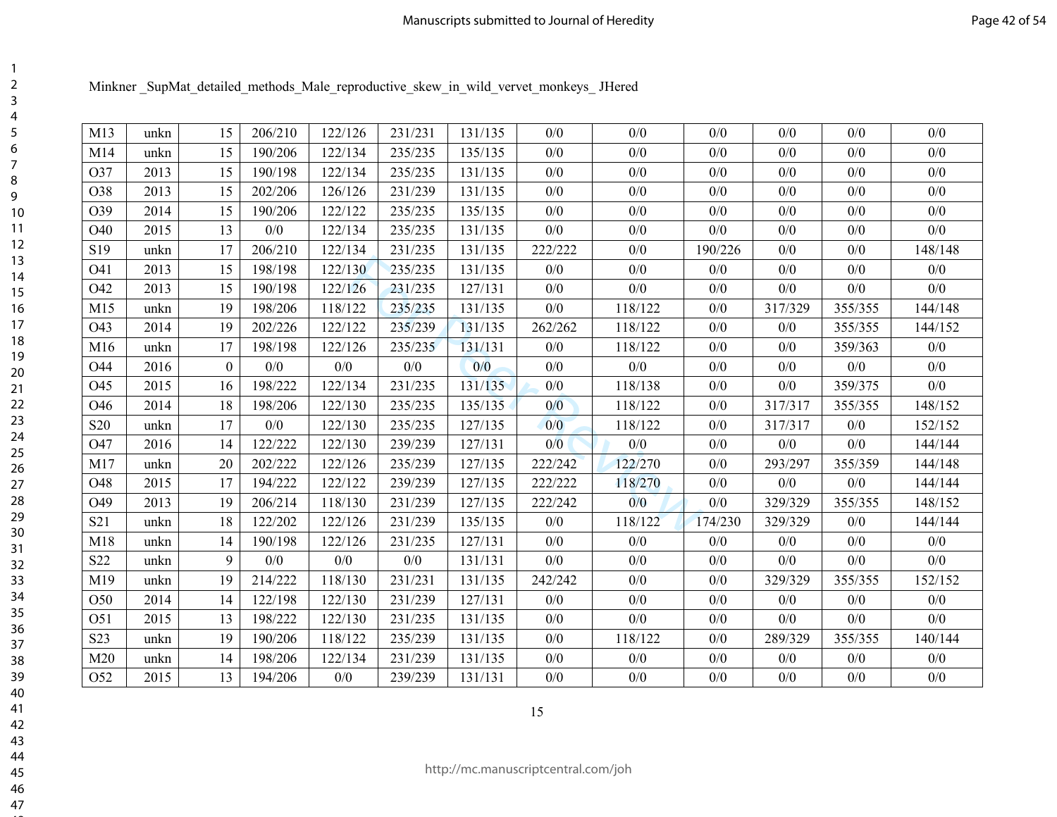|  |  | Minkner SupMat detailed methods Male reproductive skew in wild vervet monkeys JHered |  |  |  |
|--|--|--------------------------------------------------------------------------------------|--|--|--|
|  |  |                                                                                      |  |  |  |

| 131/135<br>0/0<br>M13<br>15<br>206/210<br>122/126<br>231/231<br>0/0<br>0/0<br>0/0<br>0/0<br>0/0<br>unkn<br>M14<br>15<br>190/206<br>135/135<br>0/0<br>0/0<br>122/134<br>235/235<br>0/0<br>0/0<br>0/0<br>0/0<br>unkn<br>O37<br>2013<br>0/0<br>15<br>190/198<br>122/134<br>235/235<br>131/135<br>0/0<br>0/0<br>0/0<br>0/0<br>0/0<br>O38<br>2013<br>15<br>202/206<br>131/135<br>0/0<br>0/0<br>0/0<br>0/0<br>0/0<br>126/126<br>231/239<br>0/0<br>2014<br>O39<br>15<br>190/206<br>122/122<br>235/235<br>135/135<br>0/0<br>0/0<br>0/0<br>0/0<br>0/0<br>0/0<br>2015<br>0/0<br>O40<br>13<br>0/0<br>122/134<br>235/235<br>131/135<br>0/0<br>0/0<br>0/0<br>0/0<br>0/0<br>206/210<br>S19<br>unkn<br>122/134<br>231/235<br>131/135<br>222/222<br>0/0<br>190/226<br>0/0<br>0/0<br>148/148<br>17<br>2013<br>15<br>198/198<br>122/130<br>235/235<br>131/135<br>0/0<br>O41<br>0/0<br>0/0<br>0/0<br>0/0<br>0/0<br>2013<br>127/131<br>0/0<br>O42<br>15<br>190/198<br>122/126<br>231/235<br>0/0<br>0/0<br>0/0<br>0/0<br>0/0<br>M15<br>19<br>198/206<br>118/122<br>118/122<br>355/355<br>144/148<br>235/235<br>131/135<br>0/0<br>0/0<br>317/329<br>unkn<br>2014<br>O43<br>19<br>202/226<br>122/122<br>235/239<br>131/135<br>262/262<br>118/122<br>355/355<br>144/152<br>0/0<br>0/0<br>17<br>0/0<br>198/198<br>122/126<br>235/235<br>131/131<br>0/0<br>118/122<br>0/0<br>359/363<br>M16<br>unkn<br>0/0<br><b>O44</b><br>2016<br>0/0<br>$\theta$<br>0/0<br>0/0<br>0/0<br>0/0<br>0/0<br>0/0<br>0/0<br>0/0<br>0/0<br>2015<br>131/135<br>O45<br>198/222<br>122/134<br>231/235<br>0/0<br>118/138<br>0/0<br>0/0<br>359/375<br>0/0<br>16<br>2014<br>198/206<br>135/135<br>118/122<br>148/152<br>O46<br>18<br>122/130<br>235/235<br>0/0<br>0/0<br>317/317<br>355/355<br>0/0<br>S <sub>20</sub><br>17<br>122/130<br>235/235<br>127/135<br>0/0<br>118/122<br>0/0<br>317/317<br>0/0<br>152/152<br>unkn<br>O47<br>2016<br>122/222<br>239/239<br>127/131<br>0/0<br>0/0<br>0/0<br>14<br>122/130<br>0/0<br>0/0<br>144/144<br>202/222<br>0/0<br>M17<br>unkn<br>20<br>122/126<br>235/239<br>127/135<br>222/242<br>122/270<br>293/297<br>355/359<br>144/148<br>2015<br>O48<br>17<br>194/222<br>122/122<br>239/239<br>127/135<br>222/222<br>118/270<br>0/0<br>0/0<br>0/0<br>144/144<br>2013<br>O49<br>19<br>206/214<br>118/130<br>231/239<br>127/135<br>222/242<br>0/0<br>329/329<br>355/355<br>148/152<br>0/0<br>122/202<br>122/126<br>135/135<br>118/122<br>329/329<br>S <sub>21</sub><br>18<br>231/239<br>0/0<br>174/230<br>0/0<br>144/144<br>unkn<br>M18<br>190/198<br>122/126<br>231/235<br>127/131<br>0/0<br>0/0<br>0/0<br>0/0<br>0/0<br>0/0<br>14<br>unkn<br>S22<br>9<br>0/0<br>0/0<br>0/0<br>131/131<br>0/0<br>0/0<br>0/0<br>0/0<br>0/0<br>0/0<br>unkn<br>M19<br>19<br>214/222<br>118/130<br>231/231<br>131/135<br>242/242<br>329/329<br>355/355<br>152/152<br>unkn<br>0/0<br>0/0<br>O50<br>2014<br>122/130<br>127/131<br>0/0<br>0/0<br>122/198<br>231/239<br>0/0<br>0/0<br>0/0<br>0/0<br>14<br>2015<br>198/222<br>122/130<br>131/135<br>0/0<br>0/0<br>O51<br>13<br>231/235<br>0/0<br>0/0<br>0/0<br>0/0<br>S <sub>2</sub> 3<br>118/122<br>131/135<br>19<br>190/206<br>235/239<br>0/0<br>118/122<br>0/0<br>289/329<br>355/355<br>140/144<br>unkn<br>M20<br>14<br>198/206<br>231/239<br>131/135<br>0/0<br>0/0<br>0/0<br>0/0<br>0/0<br>122/134<br>0/0<br>unkn |     |      |    |         |     |         |         |     |     |     |     |     |     |
|---------------------------------------------------------------------------------------------------------------------------------------------------------------------------------------------------------------------------------------------------------------------------------------------------------------------------------------------------------------------------------------------------------------------------------------------------------------------------------------------------------------------------------------------------------------------------------------------------------------------------------------------------------------------------------------------------------------------------------------------------------------------------------------------------------------------------------------------------------------------------------------------------------------------------------------------------------------------------------------------------------------------------------------------------------------------------------------------------------------------------------------------------------------------------------------------------------------------------------------------------------------------------------------------------------------------------------------------------------------------------------------------------------------------------------------------------------------------------------------------------------------------------------------------------------------------------------------------------------------------------------------------------------------------------------------------------------------------------------------------------------------------------------------------------------------------------------------------------------------------------------------------------------------------------------------------------------------------------------------------------------------------------------------------------------------------------------------------------------------------------------------------------------------------------------------------------------------------------------------------------------------------------------------------------------------------------------------------------------------------------------------------------------------------------------------------------------------------------------------------------------------------------------------------------------------------------------------------------------------------------------------------------------------------------------------------------------------------------------------------------------------------------------------------------------------------------------------------------------------------------------------------------------------------------------------------------------------------------------------------------------------------------------------------------------------------------------------------------------------------------------------------------------------------------------------------------------------------------------------------------------------------------------------------------------------------------|-----|------|----|---------|-----|---------|---------|-----|-----|-----|-----|-----|-----|
|                                                                                                                                                                                                                                                                                                                                                                                                                                                                                                                                                                                                                                                                                                                                                                                                                                                                                                                                                                                                                                                                                                                                                                                                                                                                                                                                                                                                                                                                                                                                                                                                                                                                                                                                                                                                                                                                                                                                                                                                                                                                                                                                                                                                                                                                                                                                                                                                                                                                                                                                                                                                                                                                                                                                                                                                                                                                                                                                                                                                                                                                                                                                                                                                                                                                                                                           |     |      |    |         |     |         |         |     |     |     |     |     |     |
|                                                                                                                                                                                                                                                                                                                                                                                                                                                                                                                                                                                                                                                                                                                                                                                                                                                                                                                                                                                                                                                                                                                                                                                                                                                                                                                                                                                                                                                                                                                                                                                                                                                                                                                                                                                                                                                                                                                                                                                                                                                                                                                                                                                                                                                                                                                                                                                                                                                                                                                                                                                                                                                                                                                                                                                                                                                                                                                                                                                                                                                                                                                                                                                                                                                                                                                           |     |      |    |         |     |         |         |     |     |     |     |     |     |
|                                                                                                                                                                                                                                                                                                                                                                                                                                                                                                                                                                                                                                                                                                                                                                                                                                                                                                                                                                                                                                                                                                                                                                                                                                                                                                                                                                                                                                                                                                                                                                                                                                                                                                                                                                                                                                                                                                                                                                                                                                                                                                                                                                                                                                                                                                                                                                                                                                                                                                                                                                                                                                                                                                                                                                                                                                                                                                                                                                                                                                                                                                                                                                                                                                                                                                                           |     |      |    |         |     |         |         |     |     |     |     |     |     |
|                                                                                                                                                                                                                                                                                                                                                                                                                                                                                                                                                                                                                                                                                                                                                                                                                                                                                                                                                                                                                                                                                                                                                                                                                                                                                                                                                                                                                                                                                                                                                                                                                                                                                                                                                                                                                                                                                                                                                                                                                                                                                                                                                                                                                                                                                                                                                                                                                                                                                                                                                                                                                                                                                                                                                                                                                                                                                                                                                                                                                                                                                                                                                                                                                                                                                                                           |     |      |    |         |     |         |         |     |     |     |     |     |     |
|                                                                                                                                                                                                                                                                                                                                                                                                                                                                                                                                                                                                                                                                                                                                                                                                                                                                                                                                                                                                                                                                                                                                                                                                                                                                                                                                                                                                                                                                                                                                                                                                                                                                                                                                                                                                                                                                                                                                                                                                                                                                                                                                                                                                                                                                                                                                                                                                                                                                                                                                                                                                                                                                                                                                                                                                                                                                                                                                                                                                                                                                                                                                                                                                                                                                                                                           |     |      |    |         |     |         |         |     |     |     |     |     |     |
|                                                                                                                                                                                                                                                                                                                                                                                                                                                                                                                                                                                                                                                                                                                                                                                                                                                                                                                                                                                                                                                                                                                                                                                                                                                                                                                                                                                                                                                                                                                                                                                                                                                                                                                                                                                                                                                                                                                                                                                                                                                                                                                                                                                                                                                                                                                                                                                                                                                                                                                                                                                                                                                                                                                                                                                                                                                                                                                                                                                                                                                                                                                                                                                                                                                                                                                           |     |      |    |         |     |         |         |     |     |     |     |     |     |
|                                                                                                                                                                                                                                                                                                                                                                                                                                                                                                                                                                                                                                                                                                                                                                                                                                                                                                                                                                                                                                                                                                                                                                                                                                                                                                                                                                                                                                                                                                                                                                                                                                                                                                                                                                                                                                                                                                                                                                                                                                                                                                                                                                                                                                                                                                                                                                                                                                                                                                                                                                                                                                                                                                                                                                                                                                                                                                                                                                                                                                                                                                                                                                                                                                                                                                                           |     |      |    |         |     |         |         |     |     |     |     |     |     |
|                                                                                                                                                                                                                                                                                                                                                                                                                                                                                                                                                                                                                                                                                                                                                                                                                                                                                                                                                                                                                                                                                                                                                                                                                                                                                                                                                                                                                                                                                                                                                                                                                                                                                                                                                                                                                                                                                                                                                                                                                                                                                                                                                                                                                                                                                                                                                                                                                                                                                                                                                                                                                                                                                                                                                                                                                                                                                                                                                                                                                                                                                                                                                                                                                                                                                                                           |     |      |    |         |     |         |         |     |     |     |     |     |     |
|                                                                                                                                                                                                                                                                                                                                                                                                                                                                                                                                                                                                                                                                                                                                                                                                                                                                                                                                                                                                                                                                                                                                                                                                                                                                                                                                                                                                                                                                                                                                                                                                                                                                                                                                                                                                                                                                                                                                                                                                                                                                                                                                                                                                                                                                                                                                                                                                                                                                                                                                                                                                                                                                                                                                                                                                                                                                                                                                                                                                                                                                                                                                                                                                                                                                                                                           |     |      |    |         |     |         |         |     |     |     |     |     |     |
|                                                                                                                                                                                                                                                                                                                                                                                                                                                                                                                                                                                                                                                                                                                                                                                                                                                                                                                                                                                                                                                                                                                                                                                                                                                                                                                                                                                                                                                                                                                                                                                                                                                                                                                                                                                                                                                                                                                                                                                                                                                                                                                                                                                                                                                                                                                                                                                                                                                                                                                                                                                                                                                                                                                                                                                                                                                                                                                                                                                                                                                                                                                                                                                                                                                                                                                           |     |      |    |         |     |         |         |     |     |     |     |     |     |
|                                                                                                                                                                                                                                                                                                                                                                                                                                                                                                                                                                                                                                                                                                                                                                                                                                                                                                                                                                                                                                                                                                                                                                                                                                                                                                                                                                                                                                                                                                                                                                                                                                                                                                                                                                                                                                                                                                                                                                                                                                                                                                                                                                                                                                                                                                                                                                                                                                                                                                                                                                                                                                                                                                                                                                                                                                                                                                                                                                                                                                                                                                                                                                                                                                                                                                                           |     |      |    |         |     |         |         |     |     |     |     |     |     |
|                                                                                                                                                                                                                                                                                                                                                                                                                                                                                                                                                                                                                                                                                                                                                                                                                                                                                                                                                                                                                                                                                                                                                                                                                                                                                                                                                                                                                                                                                                                                                                                                                                                                                                                                                                                                                                                                                                                                                                                                                                                                                                                                                                                                                                                                                                                                                                                                                                                                                                                                                                                                                                                                                                                                                                                                                                                                                                                                                                                                                                                                                                                                                                                                                                                                                                                           |     |      |    |         |     |         |         |     |     |     |     |     |     |
|                                                                                                                                                                                                                                                                                                                                                                                                                                                                                                                                                                                                                                                                                                                                                                                                                                                                                                                                                                                                                                                                                                                                                                                                                                                                                                                                                                                                                                                                                                                                                                                                                                                                                                                                                                                                                                                                                                                                                                                                                                                                                                                                                                                                                                                                                                                                                                                                                                                                                                                                                                                                                                                                                                                                                                                                                                                                                                                                                                                                                                                                                                                                                                                                                                                                                                                           |     |      |    |         |     |         |         |     |     |     |     |     |     |
|                                                                                                                                                                                                                                                                                                                                                                                                                                                                                                                                                                                                                                                                                                                                                                                                                                                                                                                                                                                                                                                                                                                                                                                                                                                                                                                                                                                                                                                                                                                                                                                                                                                                                                                                                                                                                                                                                                                                                                                                                                                                                                                                                                                                                                                                                                                                                                                                                                                                                                                                                                                                                                                                                                                                                                                                                                                                                                                                                                                                                                                                                                                                                                                                                                                                                                                           |     |      |    |         |     |         |         |     |     |     |     |     |     |
|                                                                                                                                                                                                                                                                                                                                                                                                                                                                                                                                                                                                                                                                                                                                                                                                                                                                                                                                                                                                                                                                                                                                                                                                                                                                                                                                                                                                                                                                                                                                                                                                                                                                                                                                                                                                                                                                                                                                                                                                                                                                                                                                                                                                                                                                                                                                                                                                                                                                                                                                                                                                                                                                                                                                                                                                                                                                                                                                                                                                                                                                                                                                                                                                                                                                                                                           |     |      |    |         |     |         |         |     |     |     |     |     |     |
|                                                                                                                                                                                                                                                                                                                                                                                                                                                                                                                                                                                                                                                                                                                                                                                                                                                                                                                                                                                                                                                                                                                                                                                                                                                                                                                                                                                                                                                                                                                                                                                                                                                                                                                                                                                                                                                                                                                                                                                                                                                                                                                                                                                                                                                                                                                                                                                                                                                                                                                                                                                                                                                                                                                                                                                                                                                                                                                                                                                                                                                                                                                                                                                                                                                                                                                           |     |      |    |         |     |         |         |     |     |     |     |     |     |
|                                                                                                                                                                                                                                                                                                                                                                                                                                                                                                                                                                                                                                                                                                                                                                                                                                                                                                                                                                                                                                                                                                                                                                                                                                                                                                                                                                                                                                                                                                                                                                                                                                                                                                                                                                                                                                                                                                                                                                                                                                                                                                                                                                                                                                                                                                                                                                                                                                                                                                                                                                                                                                                                                                                                                                                                                                                                                                                                                                                                                                                                                                                                                                                                                                                                                                                           |     |      |    |         |     |         |         |     |     |     |     |     |     |
|                                                                                                                                                                                                                                                                                                                                                                                                                                                                                                                                                                                                                                                                                                                                                                                                                                                                                                                                                                                                                                                                                                                                                                                                                                                                                                                                                                                                                                                                                                                                                                                                                                                                                                                                                                                                                                                                                                                                                                                                                                                                                                                                                                                                                                                                                                                                                                                                                                                                                                                                                                                                                                                                                                                                                                                                                                                                                                                                                                                                                                                                                                                                                                                                                                                                                                                           |     |      |    |         |     |         |         |     |     |     |     |     |     |
|                                                                                                                                                                                                                                                                                                                                                                                                                                                                                                                                                                                                                                                                                                                                                                                                                                                                                                                                                                                                                                                                                                                                                                                                                                                                                                                                                                                                                                                                                                                                                                                                                                                                                                                                                                                                                                                                                                                                                                                                                                                                                                                                                                                                                                                                                                                                                                                                                                                                                                                                                                                                                                                                                                                                                                                                                                                                                                                                                                                                                                                                                                                                                                                                                                                                                                                           |     |      |    |         |     |         |         |     |     |     |     |     |     |
|                                                                                                                                                                                                                                                                                                                                                                                                                                                                                                                                                                                                                                                                                                                                                                                                                                                                                                                                                                                                                                                                                                                                                                                                                                                                                                                                                                                                                                                                                                                                                                                                                                                                                                                                                                                                                                                                                                                                                                                                                                                                                                                                                                                                                                                                                                                                                                                                                                                                                                                                                                                                                                                                                                                                                                                                                                                                                                                                                                                                                                                                                                                                                                                                                                                                                                                           |     |      |    |         |     |         |         |     |     |     |     |     |     |
|                                                                                                                                                                                                                                                                                                                                                                                                                                                                                                                                                                                                                                                                                                                                                                                                                                                                                                                                                                                                                                                                                                                                                                                                                                                                                                                                                                                                                                                                                                                                                                                                                                                                                                                                                                                                                                                                                                                                                                                                                                                                                                                                                                                                                                                                                                                                                                                                                                                                                                                                                                                                                                                                                                                                                                                                                                                                                                                                                                                                                                                                                                                                                                                                                                                                                                                           |     |      |    |         |     |         |         |     |     |     |     |     |     |
|                                                                                                                                                                                                                                                                                                                                                                                                                                                                                                                                                                                                                                                                                                                                                                                                                                                                                                                                                                                                                                                                                                                                                                                                                                                                                                                                                                                                                                                                                                                                                                                                                                                                                                                                                                                                                                                                                                                                                                                                                                                                                                                                                                                                                                                                                                                                                                                                                                                                                                                                                                                                                                                                                                                                                                                                                                                                                                                                                                                                                                                                                                                                                                                                                                                                                                                           |     |      |    |         |     |         |         |     |     |     |     |     |     |
|                                                                                                                                                                                                                                                                                                                                                                                                                                                                                                                                                                                                                                                                                                                                                                                                                                                                                                                                                                                                                                                                                                                                                                                                                                                                                                                                                                                                                                                                                                                                                                                                                                                                                                                                                                                                                                                                                                                                                                                                                                                                                                                                                                                                                                                                                                                                                                                                                                                                                                                                                                                                                                                                                                                                                                                                                                                                                                                                                                                                                                                                                                                                                                                                                                                                                                                           |     |      |    |         |     |         |         |     |     |     |     |     |     |
|                                                                                                                                                                                                                                                                                                                                                                                                                                                                                                                                                                                                                                                                                                                                                                                                                                                                                                                                                                                                                                                                                                                                                                                                                                                                                                                                                                                                                                                                                                                                                                                                                                                                                                                                                                                                                                                                                                                                                                                                                                                                                                                                                                                                                                                                                                                                                                                                                                                                                                                                                                                                                                                                                                                                                                                                                                                                                                                                                                                                                                                                                                                                                                                                                                                                                                                           |     |      |    |         |     |         |         |     |     |     |     |     |     |
|                                                                                                                                                                                                                                                                                                                                                                                                                                                                                                                                                                                                                                                                                                                                                                                                                                                                                                                                                                                                                                                                                                                                                                                                                                                                                                                                                                                                                                                                                                                                                                                                                                                                                                                                                                                                                                                                                                                                                                                                                                                                                                                                                                                                                                                                                                                                                                                                                                                                                                                                                                                                                                                                                                                                                                                                                                                                                                                                                                                                                                                                                                                                                                                                                                                                                                                           |     |      |    |         |     |         |         |     |     |     |     |     |     |
|                                                                                                                                                                                                                                                                                                                                                                                                                                                                                                                                                                                                                                                                                                                                                                                                                                                                                                                                                                                                                                                                                                                                                                                                                                                                                                                                                                                                                                                                                                                                                                                                                                                                                                                                                                                                                                                                                                                                                                                                                                                                                                                                                                                                                                                                                                                                                                                                                                                                                                                                                                                                                                                                                                                                                                                                                                                                                                                                                                                                                                                                                                                                                                                                                                                                                                                           |     |      |    |         |     |         |         |     |     |     |     |     |     |
|                                                                                                                                                                                                                                                                                                                                                                                                                                                                                                                                                                                                                                                                                                                                                                                                                                                                                                                                                                                                                                                                                                                                                                                                                                                                                                                                                                                                                                                                                                                                                                                                                                                                                                                                                                                                                                                                                                                                                                                                                                                                                                                                                                                                                                                                                                                                                                                                                                                                                                                                                                                                                                                                                                                                                                                                                                                                                                                                                                                                                                                                                                                                                                                                                                                                                                                           |     |      |    |         |     |         |         |     |     |     |     |     |     |
|                                                                                                                                                                                                                                                                                                                                                                                                                                                                                                                                                                                                                                                                                                                                                                                                                                                                                                                                                                                                                                                                                                                                                                                                                                                                                                                                                                                                                                                                                                                                                                                                                                                                                                                                                                                                                                                                                                                                                                                                                                                                                                                                                                                                                                                                                                                                                                                                                                                                                                                                                                                                                                                                                                                                                                                                                                                                                                                                                                                                                                                                                                                                                                                                                                                                                                                           |     |      |    |         |     |         |         |     |     |     |     |     |     |
|                                                                                                                                                                                                                                                                                                                                                                                                                                                                                                                                                                                                                                                                                                                                                                                                                                                                                                                                                                                                                                                                                                                                                                                                                                                                                                                                                                                                                                                                                                                                                                                                                                                                                                                                                                                                                                                                                                                                                                                                                                                                                                                                                                                                                                                                                                                                                                                                                                                                                                                                                                                                                                                                                                                                                                                                                                                                                                                                                                                                                                                                                                                                                                                                                                                                                                                           | O52 | 2015 | 13 | 194/206 | 0/0 | 239/239 | 131/131 | 0/0 | 0/0 | 0/0 | 0/0 | 0/0 | 0/0 |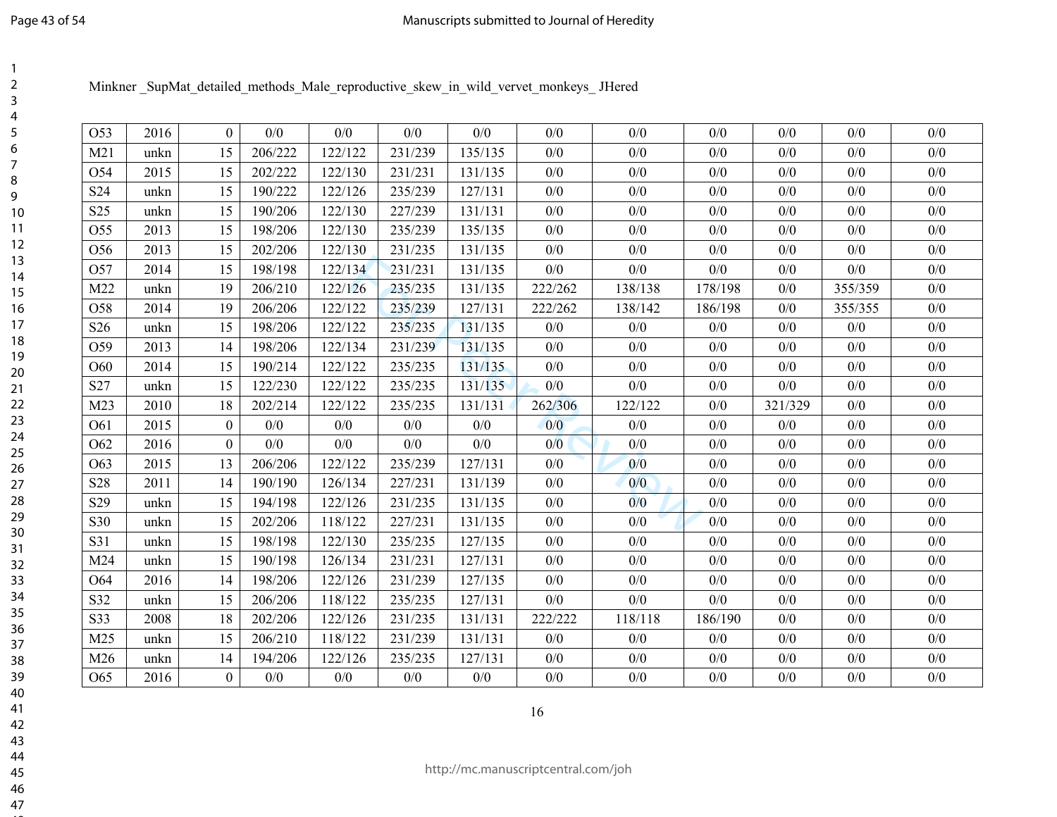|  |  | Minkner SupMat detailed methods Male reproductive skew in wild vervet monkeys JHered |  |  |  |
|--|--|--------------------------------------------------------------------------------------|--|--|--|
|  |  |                                                                                      |  |  |  |

| O <sub>53</sub> | 2016 | $\theta$       | 0/0     | 0/0     | 0/0     | 0/0     | 0/0     | 0/0     | 0/0     | 0/0     | 0/0     | 0/0 |
|-----------------|------|----------------|---------|---------|---------|---------|---------|---------|---------|---------|---------|-----|
| M21             | unkn | 15             | 206/222 | 122/122 | 231/239 | 135/135 | 0/0     | 0/0     | 0/0     | 0/0     | 0/0     | 0/0 |
| O54             | 2015 | 15             | 202/222 | 122/130 | 231/231 | 131/135 | 0/0     | 0/0     | 0/0     | 0/0     | 0/0     | 0/0 |
| S <sub>24</sub> | unkn | 15             | 190/222 | 122/126 | 235/239 | 127/131 | 0/0     | 0/0     | 0/0     | 0/0     | 0/0     | 0/0 |
| S <sub>25</sub> | unkn | 15             | 190/206 | 122/130 | 227/239 | 131/131 | 0/0     | 0/0     | 0/0     | 0/0     | 0/0     | 0/0 |
| O <sub>55</sub> | 2013 | 15             | 198/206 | 122/130 | 235/239 | 135/135 | 0/0     | 0/0     | 0/0     | 0/0     | 0/0     | 0/0 |
| O56             | 2013 | 15             | 202/206 | 122/130 | 231/235 | 131/135 | 0/0     | 0/0     | 0/0     | 0/0     | 0/0     | 0/0 |
| O57             | 2014 | 15             | 198/198 | 122/134 | 231/231 | 131/135 | 0/0     | 0/0     | 0/0     | 0/0     | 0/0     | 0/0 |
| M22             | unkn | 19             | 206/210 | 122/126 | 235/235 | 131/135 | 222/262 | 138/138 | 178/198 | 0/0     | 355/359 | 0/0 |
| O58             | 2014 | 19             | 206/206 | 122/122 | 235/239 | 127/131 | 222/262 | 138/142 | 186/198 | 0/0     | 355/355 | 0/0 |
| S <sub>26</sub> | unkn | 15             | 198/206 | 122/122 | 235/235 | 131/135 | 0/0     | 0/0     | 0/0     | 0/0     | 0/0     | 0/0 |
| O59             | 2013 | 14             | 198/206 | 122/134 | 231/239 | 131/135 | 0/0     | 0/0     | 0/0     | 0/0     | 0/0     | 0/0 |
| O60             | 2014 | 15             | 190/214 | 122/122 | 235/235 | 131/135 | 0/0     | 0/0     | 0/0     | 0/0     | 0/0     | 0/0 |
| S <sub>27</sub> | unkn | 15             | 122/230 | 122/122 | 235/235 | 131/135 | 0/0     | $0/0$   | 0/0     | 0/0     | 0/0     | 0/0 |
| M23             | 2010 | 18             | 202/214 | 122/122 | 235/235 | 131/131 | 262/306 | 122/122 | 0/0     | 321/329 | 0/0     | 0/0 |
| O61             | 2015 | $\overline{0}$ | 0/0     | 0/0     | 0/0     | 0/0     | 0/0     | 0/0     | 0/0     | 0/0     | 0/0     | 0/0 |
| O62             | 2016 | $\overline{0}$ | 0/0     | 0/0     | 0/0     | 0/0     | 0/0     | 0/0     | 0/0     | 0/0     | 0/0     | 0/0 |
| O63             | 2015 | 13             | 206/206 | 122/122 | 235/239 | 127/131 | 0/0     | 0/0     | 0/0     | 0/0     | 0/0     | 0/0 |
| S <sub>28</sub> | 2011 | 14             | 190/190 | 126/134 | 227/231 | 131/139 | 0/0     | 0/0     | 0/0     | 0/0     | 0/0     | 0/0 |
| S <sub>29</sub> | unkn | 15             | 194/198 | 122/126 | 231/235 | 131/135 | 0/0     | 0/0     | 0/0     | 0/0     | 0/0     | 0/0 |
| <b>S30</b>      | unkn | 15             | 202/206 | 118/122 | 227/231 | 131/135 | 0/0     | 0/0     | 0/0     | 0/0     | 0/0     | 0/0 |
| S31             | unkn | 15             | 198/198 | 122/130 | 235/235 | 127/135 | 0/0     | 0/0     | 0/0     | 0/0     | 0/0     | 0/0 |
| M24             | unkn | 15             | 190/198 | 126/134 | 231/231 | 127/131 | 0/0     | 0/0     | 0/0     | 0/0     | 0/0     | 0/0 |
| O64             | 2016 | 14             | 198/206 | 122/126 | 231/239 | 127/135 | 0/0     | 0/0     | 0/0     | 0/0     | 0/0     | 0/0 |
| S32             | unkn | 15             | 206/206 | 118/122 | 235/235 | 127/131 | 0/0     | $0/0$   | 0/0     | 0/0     | 0/0     | 0/0 |
| S33             | 2008 | 18             | 202/206 | 122/126 | 231/235 | 131/131 | 222/222 | 118/118 | 186/190 | 0/0     | 0/0     | 0/0 |
| M25             | unkn | 15             | 206/210 | 118/122 | 231/239 | 131/131 | 0/0     | 0/0     | 0/0     | 0/0     | 0/0     | 0/0 |
| M26             | unkn | 14             | 194/206 | 122/126 | 235/235 | 127/131 | 0/0     | 0/0     | 0/0     | 0/0     | 0/0     | 0/0 |
| O65             | 2016 | $\Omega$       | 0/0     | 0/0     | 0/0     | 0/0     | 0/0     | 0/0     | 0/0     | 0/0     | 0/0     | 0/0 |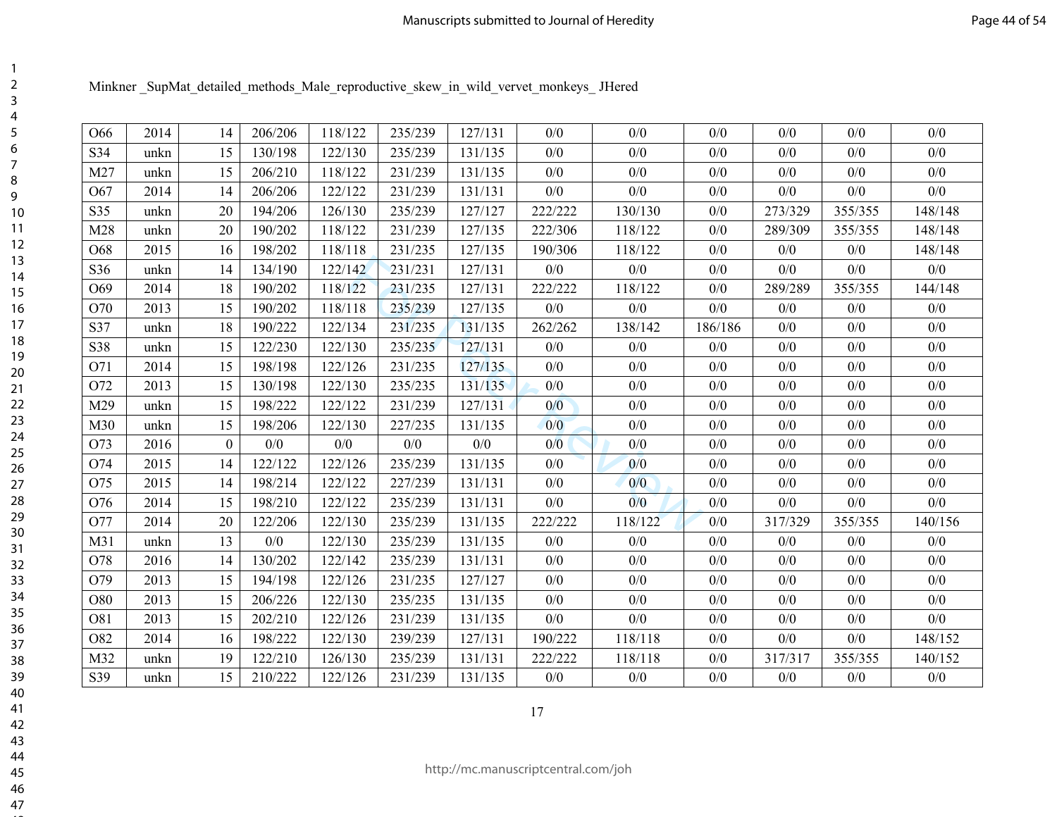|  |  | Minkner SupMat detailed methods Male reproductive skew in wild vervet monkeys JHered |  |  |  |
|--|--|--------------------------------------------------------------------------------------|--|--|--|
|  |  |                                                                                      |  |  |  |

| O <sub>66</sub> | 2014 | 14       | 206/206 | 118/122 | 235/239 | 127/131 | 0/0     | 0/0     | 0/0     | 0/0     | 0/0     | 0/0     |
|-----------------|------|----------|---------|---------|---------|---------|---------|---------|---------|---------|---------|---------|
| S34             | unkn | 15       | 130/198 | 122/130 | 235/239 | 131/135 | 0/0     | 0/0     | 0/0     | 0/0     | 0/0     | 0/0     |
| M27             | unkn | 15       | 206/210 | 118/122 | 231/239 | 131/135 | 0/0     | 0/0     | 0/0     | 0/0     | 0/0     | 0/0     |
| O67             | 2014 | 14       | 206/206 | 122/122 | 231/239 | 131/131 | 0/0     | 0/0     | 0/0     | 0/0     | 0/0     | 0/0     |
| S35             | unkn | 20       | 194/206 | 126/130 | 235/239 | 127/127 | 222/222 | 130/130 | 0/0     | 273/329 | 355/355 | 148/148 |
| M28             | unkn | 20       | 190/202 | 118/122 | 231/239 | 127/135 | 222/306 | 118/122 | 0/0     | 289/309 | 355/355 | 148/148 |
| O68             | 2015 | 16       | 198/202 | 118/118 | 231/235 | 127/135 | 190/306 | 118/122 | 0/0     | 0/0     | 0/0     | 148/148 |
| S36             | unkn | 14       | 134/190 | 122/142 | 231/231 | 127/131 | 0/0     | 0/0     | 0/0     | 0/0     | 0/0     | 0/0     |
| O69             | 2014 | 18       | 190/202 | 118/122 | 231/235 | 127/131 | 222/222 | 118/122 | 0/0     | 289/289 | 355/355 | 144/148 |
| O70             | 2013 | 15       | 190/202 | 118/118 | 235/239 | 127/135 | 0/0     | 0/0     | 0/0     | 0/0     | 0/0     | 0/0     |
| S37             | unkn | 18       | 190/222 | 122/134 | 231/235 | 131/135 | 262/262 | 138/142 | 186/186 | 0/0     | 0/0     | 0/0     |
| S38             | unkn | 15       | 122/230 | 122/130 | 235/235 | 127/131 | 0/0     | 0/0     | 0/0     | 0/0     | 0/0     | 0/0     |
| O71             | 2014 | 15       | 198/198 | 122/126 | 231/235 | 127/135 | 0/0     | 0/0     | 0/0     | 0/0     | 0/0     | 0/0     |
| O72             | 2013 | 15       | 130/198 | 122/130 | 235/235 | 131/135 | 0/0     | 0/0     | 0/0     | 0/0     | 0/0     | 0/0     |
| M29             | unkn | 15       | 198/222 | 122/122 | 231/239 | 127/131 | 0/0     | 0/0     | 0/0     | 0/0     | 0/0     | 0/0     |
| M30             | unkn | 15       | 198/206 | 122/130 | 227/235 | 131/135 | 0/0     | 0/0     | 0/0     | 0/0     | 0/0     | 0/0     |
| O73             | 2016 | $\theta$ | 0/0     | 0/0     | 0/0     | 0/0     | 0/0     | 0/0     | 0/0     | 0/0     | 0/0     | 0/0     |
| O74             | 2015 | 14       | 122/122 | 122/126 | 235/239 | 131/135 | 0/0     | 0/0     | 0/0     | 0/0     | 0/0     | 0/0     |
| O75             | 2015 | 14       | 198/214 | 122/122 | 227/239 | 131/131 | 0/0     | 0/0     | 0/0     | 0/0     | 0/0     | 0/0     |
| O76             | 2014 | 15       | 198/210 | 122/122 | 235/239 | 131/131 | 0/0     | 0/0     | 0/0     | 0/0     | 0/0     | 0/0     |
| O77             | 2014 | 20       | 122/206 | 122/130 | 235/239 | 131/135 | 222/222 | 118/122 | 0/0     | 317/329 | 355/355 | 140/156 |
| M31             | unkn | 13       | 0/0     | 122/130 | 235/239 | 131/135 | 0/0     | 0/0     | 0/0     | 0/0     | 0/0     | 0/0     |
| O78             | 2016 | 14       | 130/202 | 122/142 | 235/239 | 131/131 | 0/0     | 0/0     | 0/0     | 0/0     | 0/0     | 0/0     |
| O79             | 2013 | 15       | 194/198 | 122/126 | 231/235 | 127/127 | 0/0     | 0/0     | 0/0     | 0/0     | 0/0     | 0/0     |
| O80             | 2013 | 15       | 206/226 | 122/130 | 235/235 | 131/135 | 0/0     | 0/0     | 0/0     | 0/0     | 0/0     | 0/0     |
| O81             | 2013 | 15       | 202/210 | 122/126 | 231/239 | 131/135 | 0/0     | 0/0     | 0/0     | 0/0     | 0/0     | 0/0     |
| O82             | 2014 | 16       | 198/222 | 122/130 | 239/239 | 127/131 | 190/222 | 118/118 | 0/0     | 0/0     | 0/0     | 148/152 |
| M32             | unkn | 19       | 122/210 | 126/130 | 235/239 | 131/131 | 222/222 | 118/118 | 0/0     | 317/317 | 355/355 | 140/152 |
| S39             | unkn | 15       | 210/222 | 122/126 | 231/239 | 131/135 | 0/0     | 0/0     | 0/0     | 0/0     | 0/0     | 0/0     |
|                 |      |          |         |         |         |         |         |         |         |         |         |         |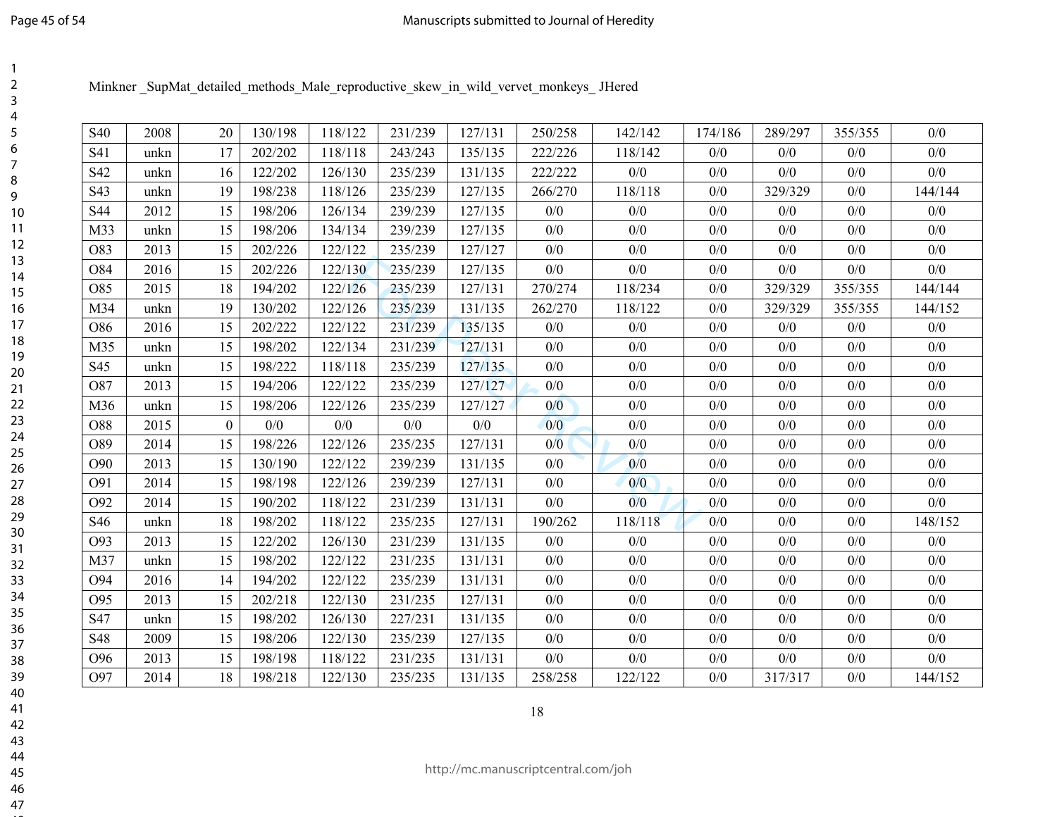|  |  | Minkner SupMat detailed methods Male reproductive skew in wild vervet monkeys JHered |  |  |  |
|--|--|--------------------------------------------------------------------------------------|--|--|--|
|  |  |                                                                                      |  |  |  |

| <b>S40</b>      | 2008 | 20       | 130/198 | 118/122 | 231/239 | 127/131 | 250/258 | 142/142 | 174/186 | 289/297 | 355/355 | 0/0     |
|-----------------|------|----------|---------|---------|---------|---------|---------|---------|---------|---------|---------|---------|
| S41             | unkn | 17       | 202/202 | 118/118 | 243/243 | 135/135 | 222/226 | 118/142 | 0/0     | 0/0     | 0/0     | 0/0     |
| S42             | unkn | 16       | 122/202 | 126/130 | 235/239 | 131/135 | 222/222 | 0/0     | 0/0     | 0/0     | 0/0     | 0/0     |
| S43             | unkn | 19       | 198/238 | 118/126 | 235/239 | 127/135 | 266/270 | 118/118 | 0/0     | 329/329 | 0/0     | 144/144 |
| S44             | 2012 | 15       | 198/206 | 126/134 | 239/239 | 127/135 | 0/0     | 0/0     | 0/0     | 0/0     | 0/0     | 0/0     |
| M33             | unkn | 15       | 198/206 | 134/134 | 239/239 | 127/135 | 0/0     | 0/0     | 0/0     | 0/0     | 0/0     | 0/0     |
| O83             | 2013 | 15       | 202/226 | 122/122 | 235/239 | 127/127 | 0/0     | 0/0     | 0/0     | 0/0     | 0/0     | 0/0     |
| O84             | 2016 | 15       | 202/226 | 122/130 | 235/239 | 127/135 | 0/0     | 0/0     | 0/0     | 0/0     | 0/0     | 0/0     |
| O85             | 2015 | 18       | 194/202 | 122/126 | 235/239 | 127/131 | 270/274 | 118/234 | 0/0     | 329/329 | 355/355 | 144/144 |
| M34             | unkn | 19       | 130/202 | 122/126 | 235/239 | 131/135 | 262/270 | 118/122 | 0/0     | 329/329 | 355/355 | 144/152 |
| O86             | 2016 | 15       | 202/222 | 122/122 | 231/239 | 135/135 | 0/0     | 0/0     | 0/0     | 0/0     | 0/0     | 0/0     |
| M35             | unkn | 15       | 198/202 | 122/134 | 231/239 | 127/131 | 0/0     | 0/0     | 0/0     | 0/0     | 0/0     | 0/0     |
| S45             | unkn | 15       | 198/222 | 118/118 | 235/239 | 127/135 | 0/0     | 0/0     | 0/0     | 0/0     | 0/0     | 0/0     |
| O87             | 2013 | 15       | 194/206 | 122/122 | 235/239 | 127/127 | 0/0     | 0/0     | 0/0     | 0/0     | 0/0     | 0/0     |
| M36             | unkn | 15       | 198/206 | 122/126 | 235/239 | 127/127 | 0/0     | 0/0     | 0/0     | 0/0     | 0/0     | 0/0     |
| O88             | 2015 | $\theta$ | 0/0     | 0/0     | 0/0     | 0/0     | 0/0     | 0/0     | 0/0     | 0/0     | 0/0     | 0/0     |
| O89             | 2014 | 15       | 198/226 | 122/126 | 235/235 | 127/131 | 0/0     | 0/0     | 0/0     | 0/0     | 0/0     | 0/0     |
| O <sub>90</sub> | 2013 | 15       | 130/190 | 122/122 | 239/239 | 131/135 | 0/0     | 0/0     | 0/0     | 0/0     | 0/0     | 0/0     |
| O91             | 2014 | 15       | 198/198 | 122/126 | 239/239 | 127/131 | 0/0     | 0/0     | 0/0     | 0/0     | 0/0     | 0/0     |
| O92             | 2014 | 15       | 190/202 | 118/122 | 231/239 | 131/131 | 0/0     | 0/0     | 0/0     | 0/0     | 0/0     | 0/0     |
| S46             | unkn | 18       | 198/202 | 118/122 | 235/235 | 127/131 | 190/262 | 118/118 | 0/0     | 0/0     | 0/0     | 148/152 |
| O93             | 2013 | 15       | 122/202 | 126/130 | 231/239 | 131/135 | 0/0     | 0/0     | 0/0     | 0/0     | 0/0     | 0/0     |
| M37             | unkn | 15       | 198/202 | 122/122 | 231/235 | 131/131 | 0/0     | 0/0     | 0/0     | 0/0     | 0/0     | 0/0     |
| O94             | 2016 | 14       | 194/202 | 122/122 | 235/239 | 131/131 | 0/0     | 0/0     | 0/0     | 0/0     | 0/0     | 0/0     |
| O95             | 2013 | 15       | 202/218 | 122/130 | 231/235 | 127/131 | 0/0     | 0/0     | 0/0     | 0/0     | 0/0     | 0/0     |
| S47             | unkn | 15       | 198/202 | 126/130 | 227/231 | 131/135 | 0/0     | 0/0     | 0/0     | 0/0     | 0/0     | 0/0     |
| S48             | 2009 | 15       | 198/206 | 122/130 | 235/239 | 127/135 | 0/0     | 0/0     | 0/0     | 0/0     | 0/0     | 0/0     |
| O <sub>96</sub> | 2013 | 15       | 198/198 | 118/122 | 231/235 | 131/131 | 0/0     | $0/0$   | 0/0     | 0/0     | 0/0     | 0/0     |
| O97             | 2014 | 18       | 198/218 | 122/130 | 235/235 | 131/135 | 258/258 | 122/122 | 0/0     | 317/317 | 0/0     | 144/152 |
|                 |      |          |         |         |         |         |         |         |         |         |         |         |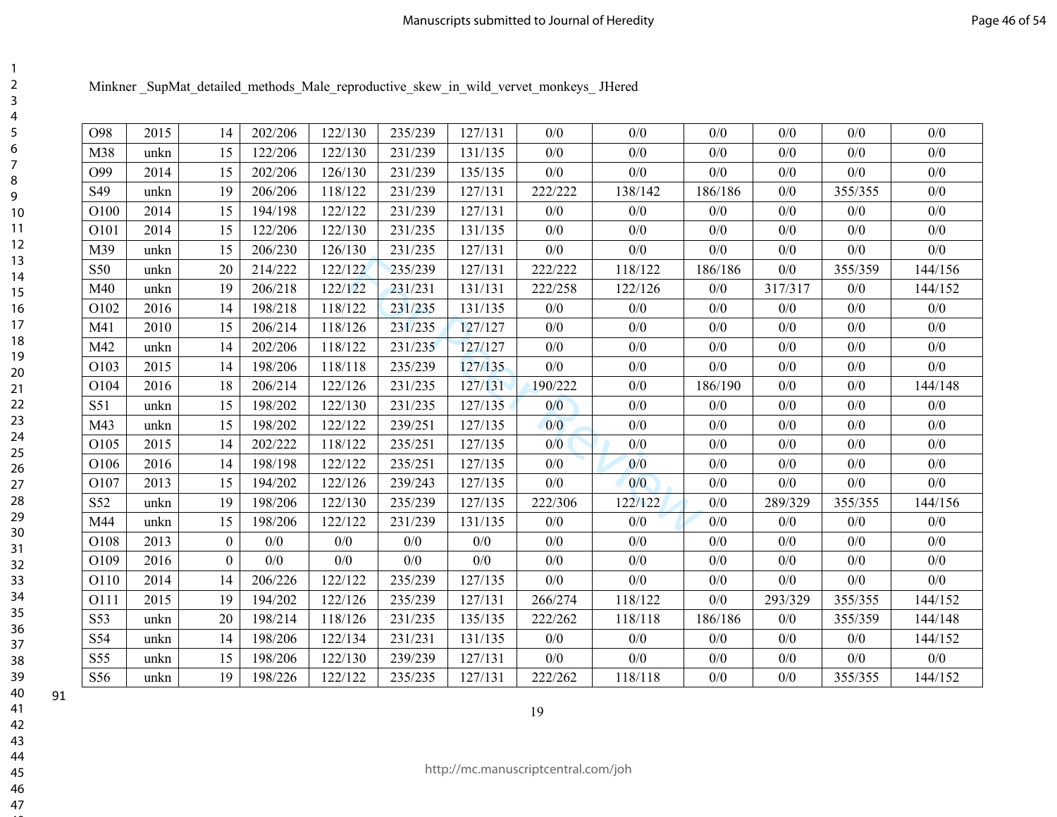| O98  | 2015 | 14             | 202/206 | 122/130 | 235/239 | 127/131 | 0/0     | 0/0     | 0/0     | 0/0     | 0/0     | 0/0     |
|------|------|----------------|---------|---------|---------|---------|---------|---------|---------|---------|---------|---------|
| M38  | unkn | 15             | 122/206 | 122/130 | 231/239 | 131/135 | 0/0     | 0/0     | 0/0     | 0/0     | 0/0     | 0/0     |
| O99  | 2014 | 15             | 202/206 | 126/130 | 231/239 | 135/135 | $0/0$   | 0/0     | $0/0$   | $0/0$   | 0/0     | $0/0$   |
| S49  | unkn | 19             | 206/206 | 118/122 | 231/239 | 127/131 | 222/222 | 138/142 | 186/186 | 0/0     | 355/355 | 0/0     |
| O100 | 2014 | 15             | 194/198 | 122/122 | 231/239 | 127/131 | $0/0$   | 0/0     | 0/0     | 0/0     | 0/0     | $0/0$   |
| O101 | 2014 | 15             | 122/206 | 122/130 | 231/235 | 131/135 | 0/0     | 0/0     | 0/0     | 0/0     | 0/0     | 0/0     |
| M39  | unkn | 15             | 206/230 | 126/130 | 231/235 | 127/131 | $0/0$   | 0/0     | $0/0$   | 0/0     | 0/0     | 0/0     |
| S50  | unkn | 20             | 214/222 | 122/122 | 235/239 | 127/131 | 222/222 | 118/122 | 186/186 | 0/0     | 355/359 | 144/156 |
| M40  | unkn | 19             | 206/218 | 122/122 | 231/231 | 131/131 | 222/258 | 122/126 | 0/0     | 317/317 | 0/0     | 144/152 |
| O102 | 2016 | 14             | 198/218 | 118/122 | 231/235 | 131/135 | 0/0     | 0/0     | 0/0     | 0/0     | 0/0     | 0/0     |
| M41  | 2010 | 15             | 206/214 | 118/126 | 231/235 | 127/127 | 0/0     | 0/0     | 0/0     | 0/0     | 0/0     | 0/0     |
| M42  | unkn | 14             | 202/206 | 118/122 | 231/235 | 127/127 | 0/0     | 0/0     | 0/0     | 0/0     | 0/0     | 0/0     |
| O103 | 2015 | 14             | 198/206 | 118/118 | 235/239 | 127/135 | 0/0     | 0/0     | 0/0     | 0/0     | 0/0     | 0/0     |
| O104 | 2016 | 18             | 206/214 | 122/126 | 231/235 | 127/131 | 190/222 | 0/0     | 186/190 | 0/0     | 0/0     | 144/148 |
| S51  | unkn | 15             | 198/202 | 122/130 | 231/235 | 127/135 | 0/0     | 0/0     | 0/0     | 0/0     | 0/0     | 0/0     |
| M43  | unkn | 15             | 198/202 | 122/122 | 239/251 | 127/135 | 0/0     | 0/0     | 0/0     | 0/0     | 0/0     | 0/0     |
| O105 | 2015 | 14             | 202/222 | 118/122 | 235/251 | 127/135 | 0/0     | 0/0     | 0/0     | 0/0     | 0/0     | 0/0     |
| O106 | 2016 | 14             | 198/198 | 122/122 | 235/251 | 127/135 | 0/0     | 0/0     | 0/0     | 0/0     | 0/0     | 0/0     |
| O107 | 2013 | 15             | 194/202 | 122/126 | 239/243 | 127/135 | 0/0     | 0/0     | 0/0     | 0/0     | 0/0     | 0/0     |
| S52  | unkn | 19             | 198/206 | 122/130 | 235/239 | 127/135 | 222/306 | 122/122 | 0/0     | 289/329 | 355/355 | 144/156 |
| M44  | unkn | 15             | 198/206 | 122/122 | 231/239 | 131/135 | 0/0     | 0/0     | 0/0     | 0/0     | 0/0     | 0/0     |
| O108 | 2013 | $\overline{0}$ | 0/0     | 0/0     | 0/0     | 0/0     | 0/0     | 0/0     | 0/0     | 0/0     | 0/0     | 0/0     |
| O109 | 2016 | $\Omega$       | 0/0     | 0/0     | 0/0     | 0/0     | 0/0     | $0/0$   | 0/0     | 0/0     | 0/0     | 0/0     |
| O110 | 2014 | 14             | 206/226 | 122/122 | 235/239 | 127/135 | 0/0     | 0/0     | 0/0     | 0/0     | 0/0     | 0/0     |
| O111 | 2015 | 19             | 194/202 | 122/126 | 235/239 | 127/131 | 266/274 | 118/122 | 0/0     | 293/329 | 355/355 | 144/152 |
| S53  | unkn | 20             | 198/214 | 118/126 | 231/235 | 135/135 | 222/262 | 118/118 | 186/186 | 0/0     | 355/359 | 144/148 |
| S54  | unkn | 14             | 198/206 | 122/134 | 231/231 | 131/135 | 0/0     | 0/0     | 0/0     | 0/0     | 0/0     | 144/152 |
| S55  | unkn | 15             | 198/206 | 122/130 | 239/239 | 127/131 | 0/0     | 0/0     | 0/0     | 0/0     | 0/0     | 0/0     |
| S56  | unkn | 19             | 198/226 | 122/122 | 235/235 | 127/131 | 222/262 | 118/118 | 0/0     | 0/0     | 355/355 | 144/152 |

http://mc.manuscriptcentral.com/joh



- 41 42 43
- 

- 44 45
- 46
- 47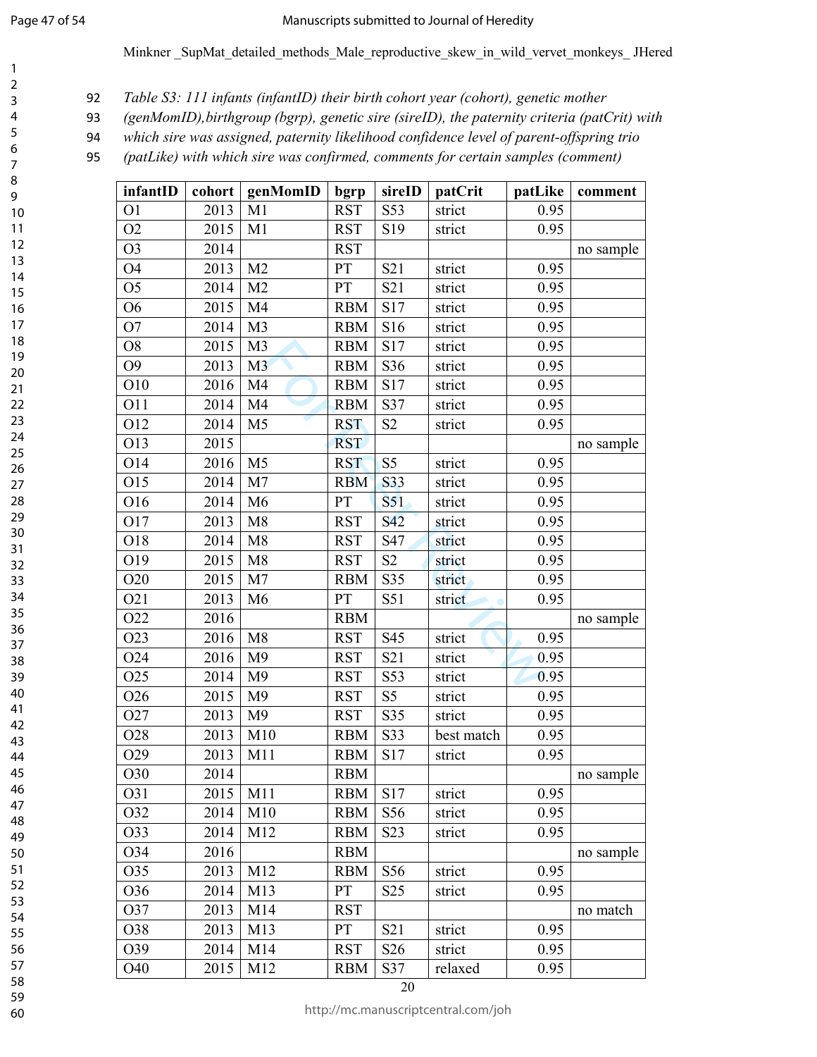$\mathbf{1}$  $\overline{2}$ 3  $\overline{4}$ 5 6  $\overline{7}$ 8 9

Minkner SupMat detailed methods Male reproductive skew in wild vervet monkeys JHered

- 92 *Table S3: 111 infants (infantID) their birth cohort year (cohort), genetic mother*
- 93 *(genMomID),birthgroup (bgrp), genetic sire (sireID), the paternity criteria (patCrit) with*
- 94 *which sire was assigned, paternity likelihood confidence level of parent-offspring trio*
- 95 *(patLike) with which sire was confirmed, comments for certain samples (comment)*

| infantID         |      | cohort   genMomID | bgrp       | sireID           | patCrit    | patLike | comment   |
|------------------|------|-------------------|------------|------------------|------------|---------|-----------|
| O <sub>1</sub>   | 2013 | M1                | <b>RST</b> | S53              | strict     | 0.95    |           |
| O2               | 2015 | M1                | <b>RST</b> | S19              | strict     | 0.95    |           |
| O <sub>3</sub>   | 2014 |                   | <b>RST</b> |                  |            |         | no sample |
| O <sub>4</sub>   | 2013 | M <sub>2</sub>    | PT         | S <sub>21</sub>  | strict     | 0.95    |           |
| O <sub>5</sub>   | 2014 | M <sub>2</sub>    | PT         | S21              | strict     | 0.95    |           |
| O <sub>6</sub>   | 2015 | M4                | <b>RBM</b> | S17              | strict     | 0.95    |           |
| O <sub>7</sub>   | 2014 | M <sub>3</sub>    | <b>RBM</b> | S16              | strict     | 0.95    |           |
| O <sub>8</sub>   | 2015 | M <sub>3</sub>    | <b>RBM</b> | S17              | strict     | 0.95    |           |
| O <sub>9</sub>   | 2013 | M <sub>3</sub>    | <b>RBM</b> | S36              | strict     | 0.95    |           |
| O10              | 2016 | M4                | <b>RBM</b> | S17              | strict     | 0.95    |           |
| O11              | 2014 | M4                | <b>RBM</b> | S37              | strict     | 0.95    |           |
| O12              | 2014 | M <sub>5</sub>    | <b>RST</b> | S2               | strict     | 0.95    |           |
| O13              | 2015 |                   | <b>RST</b> |                  |            |         | no sample |
| O14              | 2016 | M <sub>5</sub>    | <b>RST</b> | S <sub>5</sub>   | strict     | 0.95    |           |
| O15              | 2014 | M7                | <b>RBM</b> | S33              | strict     | 0.95    |           |
| O16              | 2014 | M <sub>6</sub>    | <b>PT</b>  | S51              | strict     | 0.95    |           |
| O17              | 2013 | M8                | <b>RST</b> | S42              | strict     | 0.95    |           |
| O18              | 2014 | M8                | <b>RST</b> | S47              | strict     | 0.95    |           |
| O19              | 2015 | M8                | <b>RST</b> | S <sub>2</sub>   | strict     | 0.95    |           |
| O <sub>20</sub>  | 2015 | M7                | <b>RBM</b> | S35              | strict     | 0.95    |           |
| O <sub>21</sub>  | 2013 | M <sub>6</sub>    | PT         | S51              | strict     | 0.95    |           |
| O22              | 2016 |                   | <b>RBM</b> |                  |            |         | no sample |
| O <sub>2</sub> 3 | 2016 | M8                | <b>RST</b> | S45              | strict     | 0.95    |           |
| O24              | 2016 | M <sub>9</sub>    | <b>RST</b> | S21              | strict     | 0.95    |           |
| O <sub>25</sub>  | 2014 | M <sub>9</sub>    | <b>RST</b> | S53              | strict     | 0.95    |           |
| O <sub>26</sub>  | 2015 | M <sub>9</sub>    | <b>RST</b> | S <sub>5</sub>   | strict     | 0.95    |           |
| O27              | 2013 | M <sub>9</sub>    | <b>RST</b> | S35              | strict     | 0.95    |           |
| O28              | 2013 | M10               | <b>RBM</b> | S33              | best match | 0.95    |           |
| O29              | 2013 | M11               | <b>RBM</b> | S17              | strict     | 0.95    |           |
| O30              | 2014 |                   | <b>RBM</b> |                  |            |         | no sample |
| O31              | 2015 | M11               | RBM        | S17              | strict     | 0.95    |           |
| O32              | 2014 | M10               | <b>RBM</b> | S <sub>56</sub>  | strict     | 0.95    |           |
| O33              | 2014 | M12               | <b>RBM</b> | S <sub>2</sub> 3 | strict     | 0.95    |           |
| O34              | 2016 |                   | <b>RBM</b> |                  |            |         | no sample |
| O35              | 2013 | M12               | <b>RBM</b> | S <sub>56</sub>  | strict     | 0.95    |           |
| O36              | 2014 | M13               | PT         | S <sub>25</sub>  | strict     | 0.95    |           |
| O37              | 2013 | M14               | <b>RST</b> |                  |            |         | no match  |
| O38              | 2013 | M13               | PT         | S <sub>21</sub>  | strict     | 0.95    |           |
| O39              | 2014 | M14               | <b>RST</b> | S <sub>26</sub>  | strict     | 0.95    |           |
| O40              | 2015 | M12               | <b>RBM</b> | S37              | relaxed    | 0.95    |           |
|                  |      |                   |            | 20               |            |         |           |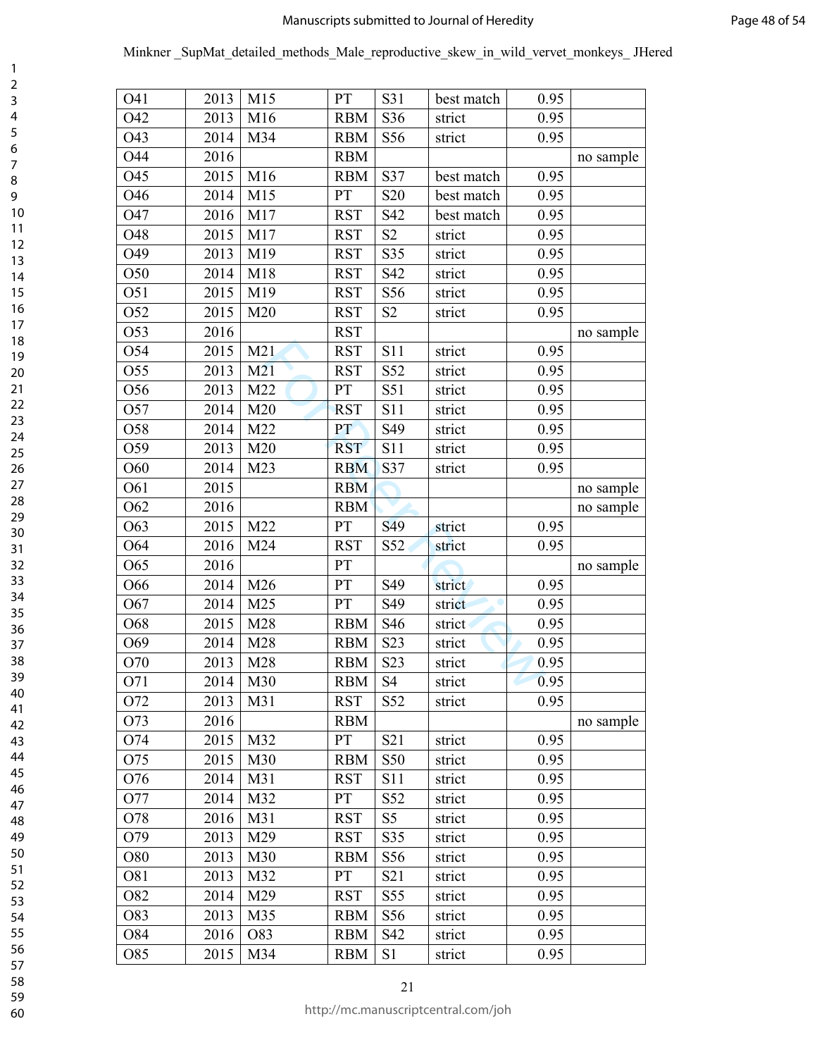#### Manuscripts submitted to Journal of Heredity

Minkner SupMat detailed methods Male reproductive skew in wild vervet monkeys JHered

| O41 | 2013 | M15             | PT         | S31              | best match | 0.95 |           |
|-----|------|-----------------|------------|------------------|------------|------|-----------|
| O42 | 2013 | M16             | <b>RBM</b> | S36              | strict     | 0.95 |           |
| O43 | 2014 | M34             | <b>RBM</b> | S56              | strict     | 0.95 |           |
| O44 | 2016 |                 | <b>RBM</b> |                  |            |      | no sample |
| O45 | 2015 | M16             | <b>RBM</b> | S37              | best match | 0.95 |           |
| O46 | 2014 | M15             | PT         | S <sub>20</sub>  | best match | 0.95 |           |
| O47 | 2016 | M17             | <b>RST</b> | S42              | best match | 0.95 |           |
| O48 | 2015 | M17             | <b>RST</b> | S2               | strict     | 0.95 |           |
| O49 | 2013 | M19             | <b>RST</b> | S35              | strict     | 0.95 |           |
| O50 | 2014 | M18             | <b>RST</b> | S42              | strict     | 0.95 |           |
| O51 | 2015 | M19             | <b>RST</b> | S56              | strict     | 0.95 |           |
| O52 | 2015 | M20             | <b>RST</b> | S <sub>2</sub>   | strict     | 0.95 |           |
| O53 | 2016 |                 | <b>RST</b> |                  |            |      | no sample |
| O54 | 2015 | M21             | <b>RST</b> | S11              | strict     | 0.95 |           |
| O55 | 2013 | M21             | <b>RST</b> | S52              | strict     | 0.95 |           |
| O56 | 2013 | M22             | PT         | S51              | strict     | 0.95 |           |
| O57 | 2014 | M20             | <b>RST</b> | S11              | strict     | 0.95 |           |
| O58 | 2014 | M22             | PT         | S49              | strict     | 0.95 |           |
| O59 | 2013 | M20             | <b>RST</b> | S11              | strict     | 0.95 |           |
| O60 | 2014 | M <sub>23</sub> | <b>RBM</b> | S37              | strict     | 0.95 |           |
| O61 | 2015 |                 | <b>RBM</b> |                  |            |      | no sample |
| O62 | 2016 |                 | <b>RBM</b> |                  |            |      | no sample |
| O63 | 2015 | M22             | PT         | S <sub>49</sub>  | strict     | 0.95 |           |
| O64 | 2016 | M24             | <b>RST</b> | S52              | strict     | 0.95 |           |
| O65 | 2016 |                 | PT         |                  |            |      | no sample |
| O66 | 2014 | M26             | PT         | S49              | strict     | 0.95 |           |
| O67 | 2014 | M25             | PT         | S49              | strict     | 0.95 |           |
| O68 | 2015 | M28             | <b>RBM</b> | S46              | strict     | 0.95 |           |
| O69 | 2014 | M28             | <b>RBM</b> | S <sub>2</sub> 3 | strict     | 0.95 |           |
| O70 | 2013 | M28             | <b>RBM</b> | S23              | strict     | 0.95 |           |
| O71 | 2014 | M30             | RBM        | S4               | strict     | 0.95 |           |
| O72 | 2013 | M31             | <b>RST</b> | S52              | strict     | 0.95 |           |
| O73 | 2016 |                 | <b>RBM</b> |                  |            |      | no sample |
| O74 | 2015 | M32             | PT         | S <sub>21</sub>  | strict     | 0.95 |           |
| O75 | 2015 | M30             | <b>RBM</b> | S50              | strict     | 0.95 |           |
| O76 | 2014 | M31             | <b>RST</b> | S11              | strict     | 0.95 |           |
| O77 | 2014 | M32             | PT         | S52              | strict     | 0.95 |           |
| O78 | 2016 | M31             | <b>RST</b> | S <sub>5</sub>   | strict     | 0.95 |           |
| O79 | 2013 | M29             | <b>RST</b> | S35              | strict     | 0.95 |           |
| O80 | 2013 | M30             | <b>RBM</b> | S56              | strict     | 0.95 |           |
| O81 | 2013 | M32             | PT         | S <sub>21</sub>  | strict     | 0.95 |           |
| O82 | 2014 | M29             | <b>RST</b> | S55              | strict     | 0.95 |           |
| O83 | 2013 | M35             | <b>RBM</b> | S56              | strict     | 0.95 |           |
| O84 | 2016 | O83             | <b>RBM</b> | S42              | strict     | 0.95 |           |
| O85 | 2015 | M34             | <b>RBM</b> | S <sub>1</sub>   | strict     | 0.95 |           |
|     |      |                 |            |                  |            |      |           |

http://mc.manuscriptcentral.com/joh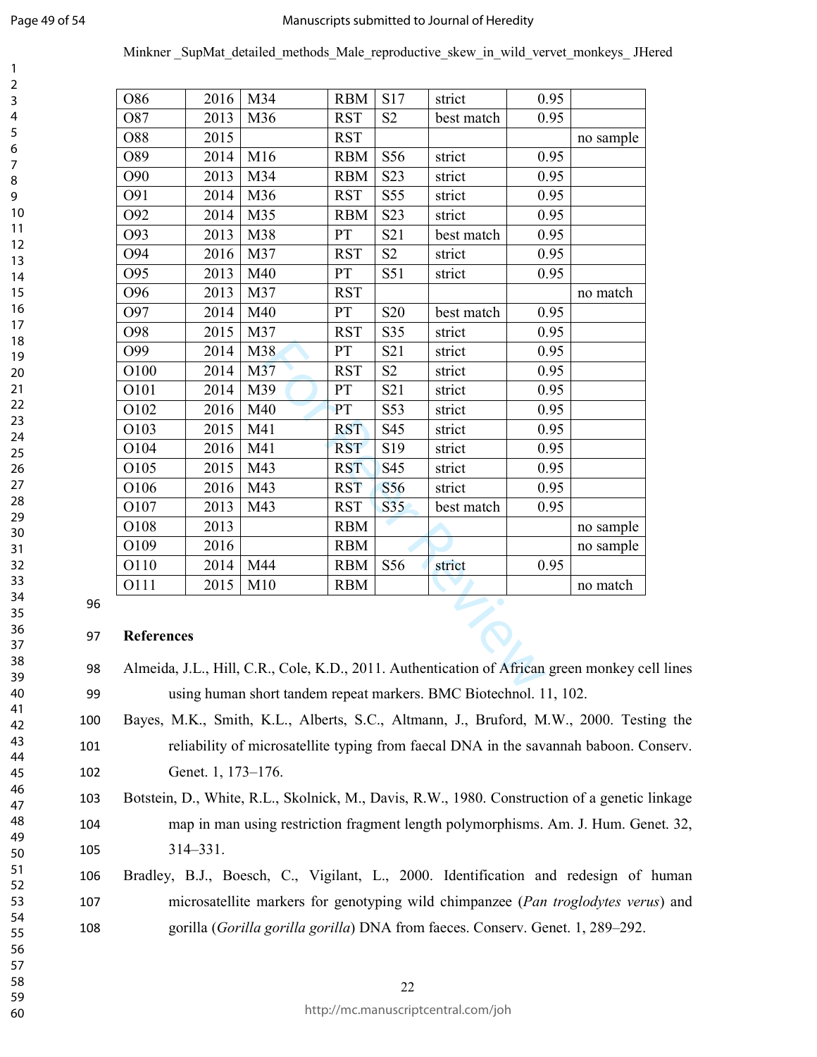$\mathbf{1}$  $\overline{2}$  $\overline{4}$  $\overline{7}$ 

| O86               | 2016 | M34                                                                                    | <b>RBM</b> | S17              | strict     | 0.95 |           |
|-------------------|------|----------------------------------------------------------------------------------------|------------|------------------|------------|------|-----------|
| O87               | 2013 | M36                                                                                    | <b>RST</b> | S2               | best match | 0.95 |           |
| O88               | 2015 |                                                                                        | <b>RST</b> |                  |            |      | no sample |
| O89               | 2014 | M16                                                                                    | <b>RBM</b> | S56              | strict     | 0.95 |           |
| O <sub>90</sub>   | 2013 | M34                                                                                    | <b>RBM</b> | S <sub>2</sub> 3 | strict     | 0.95 |           |
| O91               | 2014 | M36                                                                                    | <b>RST</b> | S55              | strict     | 0.95 |           |
| O92               | 2014 | M35                                                                                    | <b>RBM</b> | S23              | strict     | 0.95 |           |
| O93               | 2013 | M38                                                                                    | PT         | S <sub>21</sub>  | best match | 0.95 |           |
| O94               | 2016 | M37                                                                                    | <b>RST</b> | S <sub>2</sub>   | strict     | 0.95 |           |
| O95               | 2013 | M40                                                                                    | PT         | S51              | strict     | 0.95 |           |
| O <sub>96</sub>   | 2013 | M37                                                                                    | <b>RST</b> |                  |            |      | no match  |
| O97               | 2014 | M40                                                                                    | PT         | <b>S20</b>       | best match | 0.95 |           |
| O98               | 2015 | M37                                                                                    | <b>RST</b> | S35              | strict     | 0.95 |           |
| O99               | 2014 | M38                                                                                    | PT         | S <sub>21</sub>  | strict     | 0.95 |           |
| O100              | 2014 | M37                                                                                    | <b>RST</b> | S <sub>2</sub>   | strict     | 0.95 |           |
| O101              | 2014 | M39                                                                                    | PT         | S <sub>21</sub>  | strict     | 0.95 |           |
| O102              | 2016 | M40                                                                                    | PT         | S53              | strict     | 0.95 |           |
| O103              | 2015 | M41                                                                                    | <b>RST</b> | S45              | strict     | 0.95 |           |
| O104              | 2016 | M41                                                                                    | <b>RST</b> | S <sub>19</sub>  | strict     | 0.95 |           |
| O105              | 2015 | M43                                                                                    | <b>RST</b> | S45              | strict     | 0.95 |           |
| O106              | 2016 | M43                                                                                    | <b>RST</b> | S <sub>56</sub>  | strict     | 0.95 |           |
| O107              | 2013 | M43                                                                                    | <b>RST</b> | <b>S35</b>       | best match | 0.95 |           |
| O108              | 2013 |                                                                                        | <b>RBM</b> |                  |            |      | no sample |
| O109              | 2016 |                                                                                        | <b>RBM</b> |                  |            |      | no sample |
| O110              | 2014 | M44                                                                                    | <b>RBM</b> | S56              | strict     | 0.95 |           |
| O111              | 2015 | M10                                                                                    | <b>RBM</b> |                  |            |      | no match  |
| <b>References</b> |      | Almeida, J.L., Hill, C.R., Cole, K.D., 2011. Authentication of African green monkey ce |            |                  |            |      |           |

|  |  | Minkner SupMat detailed methods Male reproductive skew in wild vervet monkeys JHered |  |  |  |
|--|--|--------------------------------------------------------------------------------------|--|--|--|
|  |  |                                                                                      |  |  |  |

## **References**

Almeida, J.L., Hill, C.R., Cole, K.D., 2011. Authentication of African green monkey cell lines using human short tandem repeat markers. BMC Biotechnol. 11, 102.

Bayes, M.K., Smith, K.L., Alberts, S.C., Altmann, J., Bruford, M.W., 2000. Testing the reliability of microsatellite typing from faecal DNA in the savannah baboon. Conserv. 102 Genet. 1, 173–176.

Botstein, D., White, R.L., Skolnick, M., Davis, R.W., 1980. Construction of a genetic linkage map in man using restriction fragment length polymorphisms. Am. J. Hum. Genet. 32, 314–331.

Bradley, B.J., Boesch, C., Vigilant, L., 2000. Identification and redesign of human microsatellite markers for genotyping wild chimpanzee (*Pan troglodytes verus*) and gorilla (*Gorilla gorilla gorilla*) DNA from faeces. Conserv. Genet. 1, 289–292.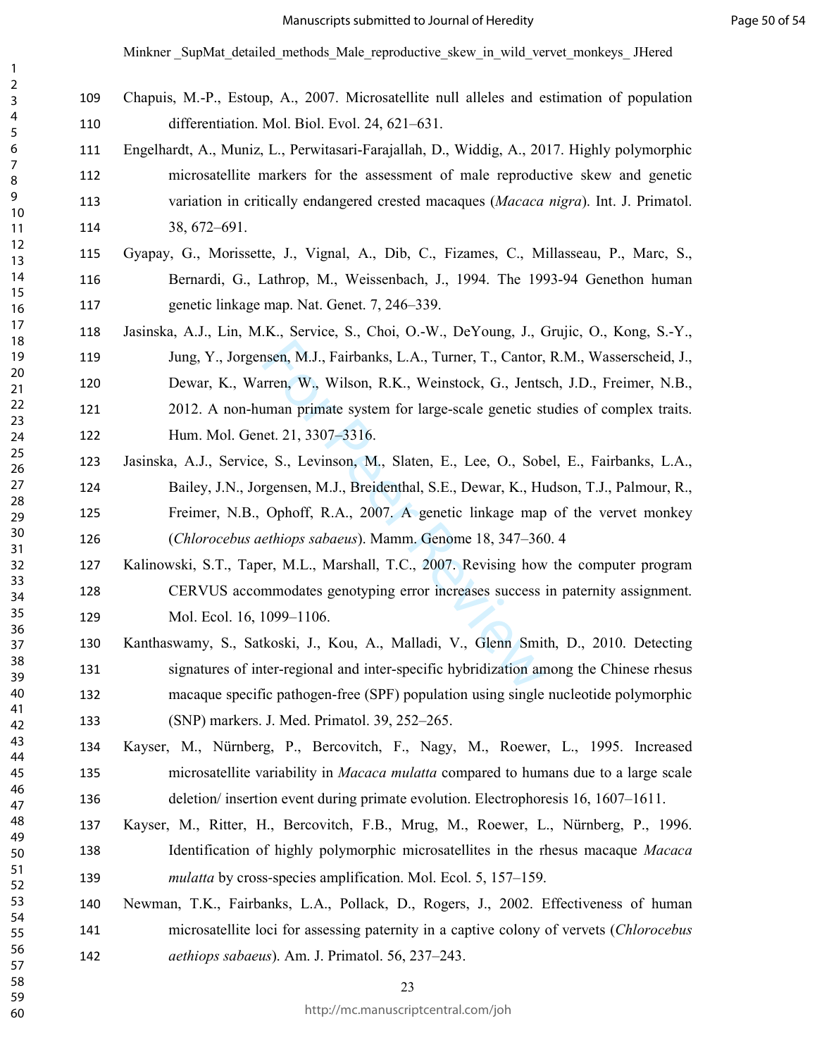Minkner SupMat detailed methods Male reproductive skew in wild vervet monkeys JHered

# Chapuis, M.-P., Estoup, A., 2007. Microsatellite null alleles and estimation of population differentiation. Mol. Biol. Evol. 24, 621–631.

Engelhardt, A., Muniz, L., Perwitasari-Farajallah, D., Widdig, A., 2017. Highly polymorphic microsatellite markers for the assessment of male reproductive skew and genetic variation in critically endangered crested macaques (*Macaca nigra*). Int. J. Primatol. 38, 672–691.

# Gyapay, G., Morissette, J., Vignal, A., Dib, C., Fizames, C., Millasseau, P., Marc, S., Bernardi, G., Lathrop, M., Weissenbach, J., 1994. The 1993-94 Genethon human genetic linkage map. Nat. Genet. 7, 246–339.

- nsen, M.J., Fairbanks, L.A., Turner, T., Cantor,<br>urren, W., Wilson, R.K., Weinstock, G., Jents<br>uman primate system for large-scale genetic st<br>tet. 21, 3307–3316.<br>p. S., Levinson, M., Slaten, E., Lee, O., Sobar<br>rgensen, M.J Jasinska, A.J., Lin, M.K., Service, S., Choi, O.-W., DeYoung, J., Grujic, O., Kong, S.-Y., Jung, Y., Jorgensen, M.J., Fairbanks, L.A., Turner, T., Cantor, R.M., Wasserscheid, J., Dewar, K., Warren, W., Wilson, R.K., Weinstock, G., Jentsch, J.D., Freimer, N.B., 2012. A non-human primate system for large-scale genetic studies of complex traits. Hum. Mol. Genet. 21, 3307–3316.
- Jasinska, A.J., Service, S., Levinson, M., Slaten, E., Lee, O., Sobel, E., Fairbanks, L.A., Bailey, J.N., Jorgensen, M.J., Breidenthal, S.E., Dewar, K., Hudson, T.J., Palmour, R., Freimer, N.B., Ophoff, R.A., 2007. A genetic linkage map of the vervet monkey (*Chlorocebus aethiops sabaeus*). Mamm. Genome 18, 347–360. 4
- Kalinowski, S.T., Taper, M.L., Marshall, T.C., 2007. Revising how the computer program CERVUS accommodates genotyping error increases success in paternity assignment. Mol. Ecol. 16, 1099–1106.
- Kanthaswamy, S., Satkoski, J., Kou, A., Malladi, V., Glenn Smith, D., 2010. Detecting signatures of inter-regional and inter-specific hybridization among the Chinese rhesus macaque specific pathogen-free (SPF) population using single nucleotide polymorphic (SNP) markers. J. Med. Primatol. 39, 252–265.
- Kayser, M., Nürnberg, P., Bercovitch, F., Nagy, M., Roewer, L., 1995. Increased microsatellite variability in *Macaca mulatta* compared to humans due to a large scale deletion/ insertion event during primate evolution. Electrophoresis 16, 1607–1611.
- Kayser, M., Ritter, H., Bercovitch, F.B., Mrug, M., Roewer, L., Nürnberg, P., 1996. Identification of highly polymorphic microsatellites in the rhesus macaque *Macaca mulatta* by cross‐species amplification. Mol. Ecol. 5, 157–159.
- Newman, T.K., Fairbanks, L.A., Pollack, D., Rogers, J., 2002. Effectiveness of human microsatellite loci for assessing paternity in a captive colony of vervets (*Chlorocebus aethiops sabaeus*). Am. J. Primatol. 56, 237–243.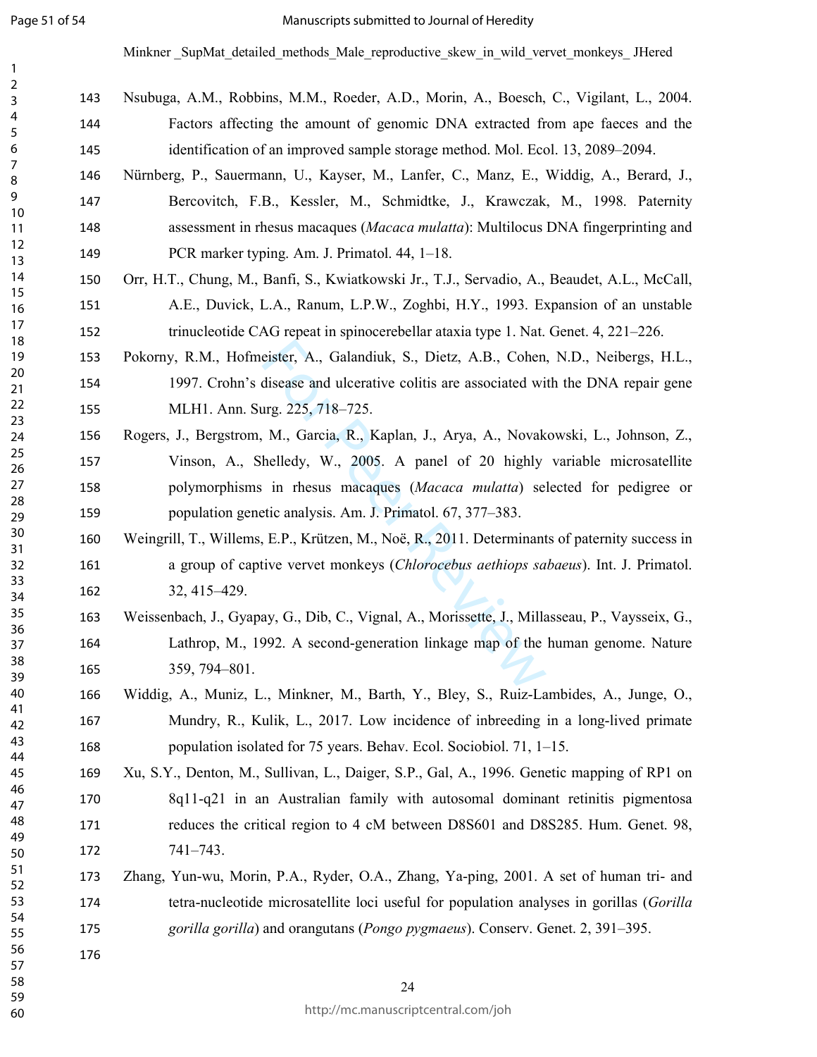Minkner SupMat detailed methods Male reproductive skew in wild vervet monkeys JHered

- Nsubuga, A.M., Robbins, M.M., Roeder, A.D., Morin, A., Boesch, C., Vigilant, L., 2004. Factors affecting the amount of genomic DNA extracted from ape faeces and the identification of an improved sample storage method. Mol. Ecol. 13, 2089–2094.
- Nürnberg, P., Sauermann, U., Kayser, M., Lanfer, C., Manz, E., Widdig, A., Berard, J., Bercovitch, F.B., Kessler, M., Schmidtke, J., Krawczak, M., 1998. Paternity assessment in rhesus macaques (*Macaca mulatta*): Multilocus DNA fingerprinting and PCR marker typing. Am. J. Primatol. 44, 1–18.
	- Orr, H.T., Chung, M., Banfi, S., Kwiatkowski Jr., T.J., Servadio, A., Beaudet, A.L., McCall, A.E., Duvick, L.A., Ranum, L.P.W., Zoghbi, H.Y., 1993. Expansion of an unstable trinucleotide CAG repeat in spinocerebellar ataxia type 1. Nat. Genet. 4, 221–226.
- Pokorny, R.M., Hofmeister, A., Galandiuk, S., Dietz, A.B., Cohen, N.D., Neibergs, H.L., 1997. Crohn's disease and ulcerative colitis are associated with the DNA repair gene MLH1. Ann. Surg. 225, 718–725.
- eister, A., Galandiuk, S., Dietz, A.B., Cohen<br>disease and ulcerative colitis are associated wi<br>arg. 225, 718–725.<br>M., Garcia, R., Kaplan, J., Arya, A., Novak<br>helledy, W., 2005. A panel of 20 highly<br>in rhesus macaques (*Mac* Rogers, J., Bergstrom, M., Garcia, R., Kaplan, J., Arya, A., Novakowski, L., Johnson, Z., Vinson, A., Shelledy, W., 2005. A panel of 20 highly variable microsatellite polymorphisms in rhesus macaques (*Macaca mulatta*) selected for pedigree or population genetic analysis. Am. J. Primatol. 67, 377–383.
- Weingrill, T., Willems, E.P., Krützen, M., Noë, R., 2011. Determinants of paternity success in a group of captive vervet monkeys (*Chlorocebus aethiops sabaeus*). Int. J. Primatol. 32, 415–429.
- Weissenbach, J., Gyapay, G., Dib, C., Vignal, A., Morissette, J., Millasseau, P., Vaysseix, G., Lathrop, M., 1992. A second-generation linkage map of the human genome. Nature 359, 794–801.
	- Widdig, A., Muniz, L., Minkner, M., Barth, Y., Bley, S., Ruiz-Lambides, A., Junge, O., Mundry, R., Kulik, L., 2017. Low incidence of inbreeding in a long-lived primate population isolated for 75 years. Behav. Ecol. Sociobiol. 71, 1–15.
	- Xu, S.Y., Denton, M., Sullivan, L., Daiger, S.P., Gal, A., 1996. Genetic mapping of RP1 on 8q11-q21 in an Australian family with autosomal dominant retinitis pigmentosa reduces the critical region to 4 cM between D8S601 and D8S285. Hum. Genet. 98, 741–743.
	- Zhang, Yun-wu, Morin, P.A., Ryder, O.A., Zhang, Ya-ping, 2001. A set of human tri- and tetra-nucleotide microsatellite loci useful for population analyses in gorillas (*Gorilla gorilla gorilla*) and orangutans (*Pongo pygmaeus*). Conserv. Genet. 2, 391–395.
-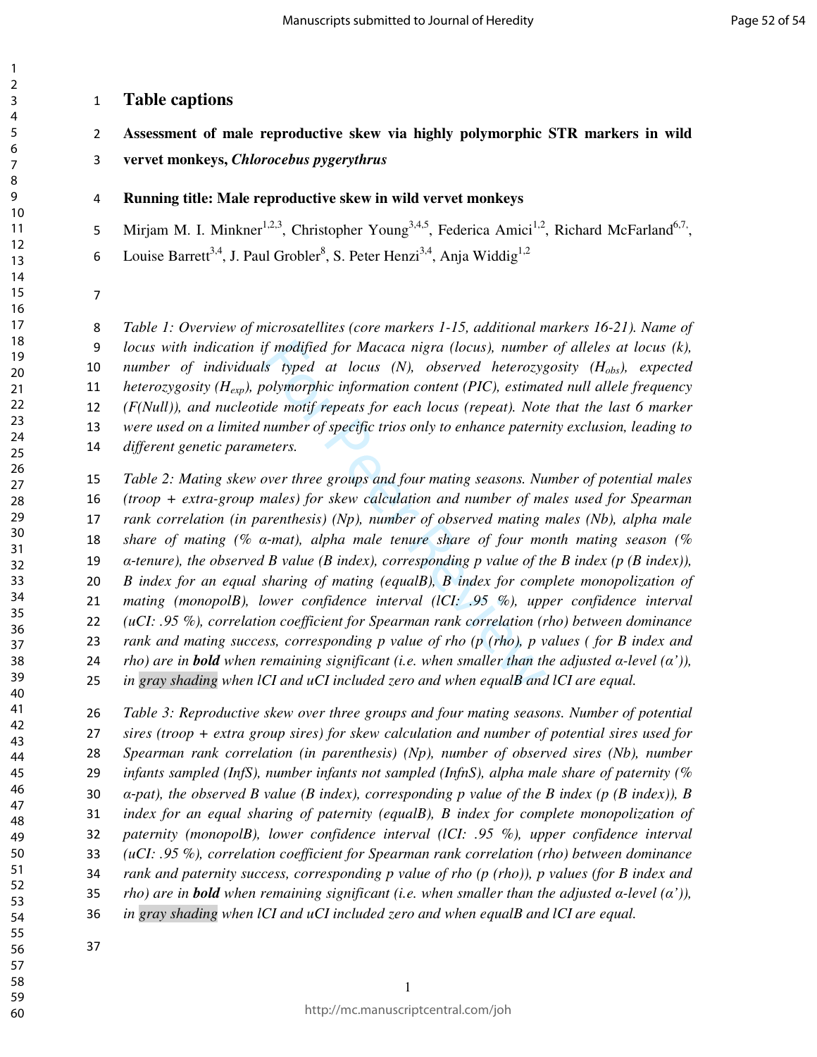# **Table captions**

# **Assessment of male reproductive skew via highly polymorphic STR markers in wild**

**vervet monkeys,** *Chlorocebus pygerythrus* 

# **Running title: Male reproductive skew in wild vervet monkeys**

5 Mirjam M. I. Minkner<sup>1,2,3</sup>, Christopher Young<sup>3,4,5</sup>, Federica Amici<sup>1,2</sup>, Richard McFarland<sup>6,7</sup>, 6 Louise Barrett<sup>3,4</sup>, J. Paul Grobler<sup>8</sup>, S. Peter Henzi<sup>3,4</sup>, Anja Widdig<sup>1,2</sup>

*Table 1: Overview of microsatellites (core markers 1-15, additional markers 16-21). Name of locus with indication if modified for Macaca nigra (locus), number of alleles at locus (k), number of individuals typed at locus (N), observed heterozygosity (Hobs), expected heterozygosity (Hexp), polymorphic information content (PIC), estimated null allele frequency (F(Null)), and nucleotide motif repeats for each locus (repeat). Note that the last 6 marker were used on a limited number of specific trios only to enhance paternity exclusion, leading to different genetic parameters.* 

if modified for Macaca nigra (locus), number<br>ls typed at locus (N), observed heterozygolymorphic information content (PIC), estimat<br>ide motif repeats for each locus (repeat). Note<br>number of specific trios only to enhance p *Table 2: Mating skew over three groups and four mating seasons. Number of potential males (troop + extra-group males) for skew calculation and number of males used for Spearman rank correlation (in parenthesis) (Np), number of observed mating males (Nb), alpha male share of mating (% α‐mat), alpha male tenure share of four month mating season (% α‐tenure), the observed B value (B index), corresponding p value of the B index (p (B index)), B index for an equal sharing of mating (equalB), B index for complete monopolization of mating (monopolB), lower confidence interval (lCI: .95 %), upper confidence interval (uCI: .95 %), correlation coefficient for Spearman rank correlation (rho) between dominance rank and mating success, corresponding p value of rho (p (rho), p values ( for B index and rho)* are in *bold* when remaining significant (i.e. when smaller than the adjusted α-level ( $α'$ )), *in gray shading when lCI and uCI included zero and when equalB and lCI are equal.* 

*Table 3: Reproductive skew over three groups and four mating seasons. Number of potential sires (troop + extra group sires) for skew calculation and number of potential sires used for Spearman rank correlation (in parenthesis) (Np), number of observed sires (Nb), number infants sampled (InfS), number infants not sampled (InfnS), alpha male share of paternity (% α‐pat), the observed B value (B index), corresponding p value of the B index (p (B index)), B index for an equal sharing of paternity (equalB), B index for complete monopolization of paternity (monopolB), lower confidence interval (lCI: .95 %), upper confidence interval (uCI: .95 %), correlation coefficient for Spearman rank correlation (rho) between dominance rank and paternity success, corresponding p value of rho (p (rho)), p values (for B index and rho)* are in *bold* when remaining significant (i.e. when smaller than the adjusted  $\alpha$ -level  $(\alpha')$ ), *in gray shading when lCI and uCI included zero and when equalB and lCI are equal.*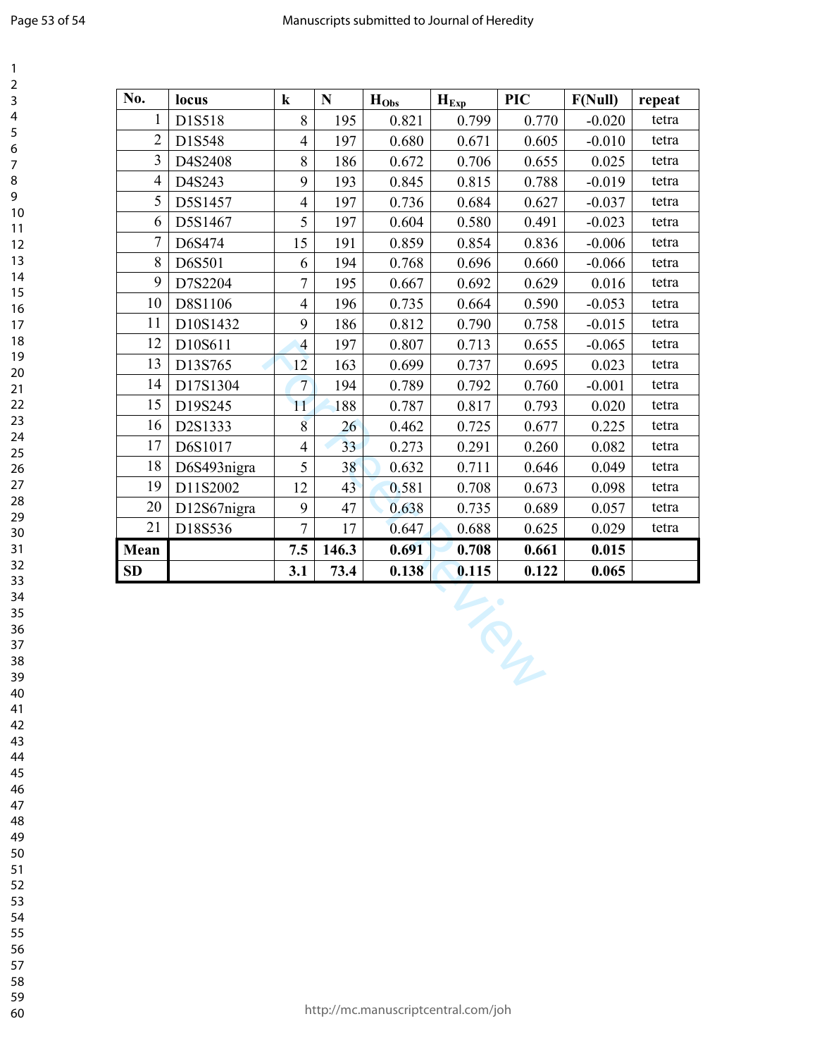| No.            | locus       | $\bf k$        | ${\bf N}$ | $H_{Obs}$ | $H_{Exp}$ | <b>PIC</b> | F(Null)  | repeat |
|----------------|-------------|----------------|-----------|-----------|-----------|------------|----------|--------|
| $\mathbf{1}$   | D1S518      | 8              | 195       | 0.821     | 0.799     | 0.770      | $-0.020$ | tetra  |
| $\overline{2}$ | D1S548      | $\overline{4}$ | 197       | 0.680     | 0.671     | 0.605      | $-0.010$ | tetra  |
| 3              | D4S2408     | 8              | 186       | 0.672     | 0.706     | 0.655      | 0.025    | tetra  |
| 4              | D4S243      | 9              | 193       | 0.845     | 0.815     | 0.788      | $-0.019$ | tetra  |
| 5              | D5S1457     | $\overline{4}$ | 197       | 0.736     | 0.684     | 0.627      | $-0.037$ | tetra  |
| 6              | D5S1467     | 5              | 197       | 0.604     | 0.580     | 0.491      | $-0.023$ | tetra  |
| $\overline{7}$ | D6S474      | 15             | 191       | 0.859     | 0.854     | 0.836      | $-0.006$ | tetra  |
| 8              | D6S501      | 6              | 194       | 0.768     | 0.696     | 0.660      | $-0.066$ | tetra  |
| 9              | D7S2204     | $\overline{7}$ | 195       | 0.667     | 0.692     | 0.629      | 0.016    | tetra  |
| 10             | D8S1106     | $\overline{4}$ | 196       | 0.735     | 0.664     | 0.590      | $-0.053$ | tetra  |
| 11             | D10S1432    | 9              | 186       | 0.812     | 0.790     | 0.758      | $-0.015$ | tetra  |
| 12             | D10S611     | $\overline{4}$ | 197       | 0.807     | 0.713     | 0.655      | $-0.065$ | tetra  |
| 13             | D13S765     | 12             | 163       | 0.699     | 0.737     | 0.695      | 0.023    | tetra  |
| 14             | D17S1304    | $\overline{7}$ | 194       | 0.789     | 0.792     | 0.760      | $-0.001$ | tetra  |
| 15             | D19S245     | 11             | 188       | 0.787     | 0.817     | 0.793      | 0.020    | tetra  |
| 16             | D2S1333     | 8              | 26        | 0.462     | 0.725     | 0.677      | 0.225    | tetra  |
| 17             | D6S1017     | $\overline{4}$ | 33        | 0.273     | 0.291     | 0.260      | 0.082    | tetra  |
| 18             | D6S493nigra | 5              | 38        | 0.632     | 0.711     | 0.646      | 0.049    | tetra  |
| 19             | D11S2002    | 12             | 43        | 0.581     | 0.708     | 0.673      | 0.098    | tetra  |
| 20             | D12S67nigra | 9              | 47        | 0.638     | 0.735     | 0.689      | 0.057    | tetra  |
| 21             | D18S536     | $\overline{7}$ | 17        | 0.647     | 0.688     | 0.625      | 0.029    | tetra  |
| Mean           |             | 7.5            | 146.3     | 0.691     | 0.708     | 0.661      | 0.015    |        |
| SD             |             | 3.1            | 73.4      | 0.138     | 0.115     | 0.122      | 0.065    |        |
|                |             |                |           |           | Lieu      |            |          |        |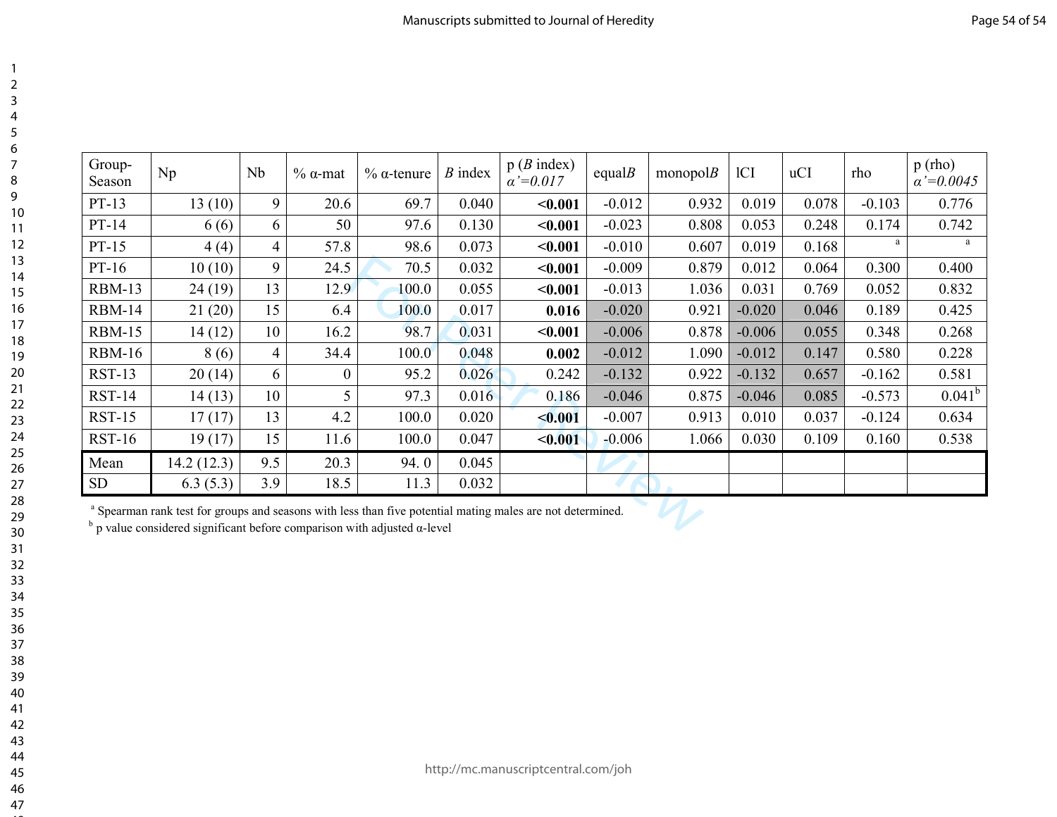| Page 54 of 54 |  |
|---------------|--|
|---------------|--|

| Group-<br>Season | Np         | Nb             | $% \alpha$ -mat | $\%$ $\alpha$ -tenure | $B$ index | $p(B \text{ index})$<br>$\alpha' = 0.017$ | equal $B$ | monopolB | 1 <sub>CI</sub> | uCI   | rho      | $p$ (rho)<br>$\alpha' = 0.0045$ |
|------------------|------------|----------------|-----------------|-----------------------|-----------|-------------------------------------------|-----------|----------|-----------------|-------|----------|---------------------------------|
| $PT-13$          | 13(10)     | 9              | 20.6            | 69.7                  | 0.040     | < 0.001                                   | $-0.012$  | 0.932    | 0.019           | 0.078 | $-0.103$ | 0.776                           |
| $PT-14$          | 6(6)       | 6              | 50              | 97.6                  | 0.130     | < 0.001                                   | $-0.023$  | 0.808    | 0.053           | 0.248 | 0.174    | 0.742                           |
| $PT-15$          | 4(4)       | 4              | 57.8            | 98.6                  | 0.073     | $0.001$                                   | $-0.010$  | 0.607    | 0.019           | 0.168 | a        | a                               |
| $PT-16$          | 10(10)     | 9              | 24.5            | 70.5                  | 0.032     | $0.001$                                   | $-0.009$  | 0.879    | 0.012           | 0.064 | 0.300    | 0.400                           |
| <b>RBM-13</b>    | 24(19)     | 13             | 12.9            | 100.0                 | 0.055     | $0.001$                                   | $-0.013$  | 1.036    | 0.031           | 0.769 | 0.052    | 0.832                           |
| <b>RBM-14</b>    | 21(20)     | 15             | 6.4             | 100.0                 | 0.017     | 0.016                                     | $-0.020$  | 0.921    | $-0.020$        | 0.046 | 0.189    | 0.425                           |
| <b>RBM-15</b>    | 14(12)     | 10             | 16.2            | 98.7                  | 0.031     | $0.001$                                   | $-0.006$  | 0.878    | $-0.006$        | 0.055 | 0.348    | 0.268                           |
| <b>RBM-16</b>    | 8 (6)      | $\overline{4}$ | 34.4            | 100.0                 | 0.048     | 0.002                                     | $-0.012$  | 1.090    | $-0.012$        | 0.147 | 0.580    | 0.228                           |
| $RST-13$         | 20(14)     | 6              | $\overline{0}$  | 95.2                  | 0.026     | 0.242                                     | $-0.132$  | 0.922    | $-0.132$        | 0.657 | $-0.162$ | 0.581                           |
| <b>RST-14</b>    | 14(13)     | 10             | 5               | 97.3                  | 0.016     | 0.186                                     | $-0.046$  | 0.875    | $-0.046$        | 0.085 | $-0.573$ | $0.041^b$                       |
| <b>RST-15</b>    | 17(17)     | 13             | 4.2             | 100.0                 | 0.020     | $0.001$                                   | $-0.007$  | 0.913    | 0.010           | 0.037 | $-0.124$ | 0.634                           |
| $RST-16$         | 19(17)     | 15             | 11.6            | 100.0                 | 0.047     | $0.001$                                   | $-0.006$  | 1.066    | 0.030           | 0.109 | 0.160    | 0.538                           |
| Mean             | 14.2(12.3) | 9.5            | 20.3            | 94.0                  | 0.045     |                                           |           |          |                 |       |          |                                 |
| ${\rm SD}$       | 6.3(5.3)   | 3.9            | 18.5            | 11.3                  | 0.032     |                                           |           |          |                 |       |          |                                 |

<sup>a</sup> Spearman rank test for groups and seasons with less than five potential mating males are not determined. b p value considered significant before comparison with adjusted α-level